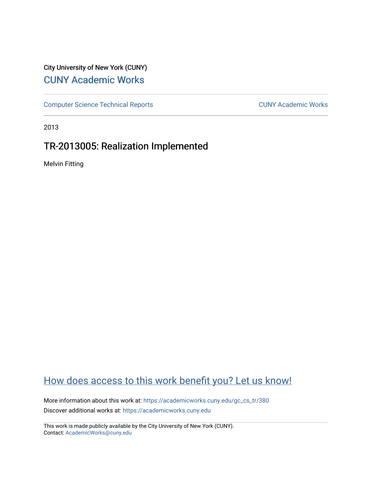## City University of New York (CUNY) [CUNY Academic Works](https://academicworks.cuny.edu/)

[Computer Science Technical Reports](https://academicworks.cuny.edu/gc_cs_tr) **CUNY Academic Works** CUNY Academic Works

2013

## TR-2013005: Realization Implemented

Melvin Fitting

# [How does access to this work benefit you? Let us know!](http://ols.cuny.edu/academicworks/?ref=https://academicworks.cuny.edu/gc_cs_tr/380)

More information about this work at: https://academicworks.cuny.edu/gc\_cs\_tr/380 Discover additional works at: [https://academicworks.cuny.edu](https://academicworks.cuny.edu/?)

This work is made publicly available by the City University of New York (CUNY). Contact: [AcademicWorks@cuny.edu](mailto:AcademicWorks@cuny.edu)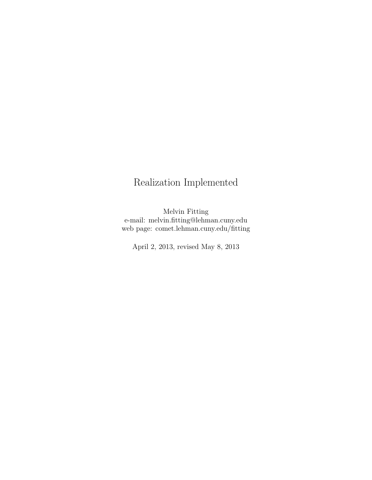# Realization Implemented

Melvin Fitting e-mail: melvin.fitting@lehman.cuny.edu web page: comet.lehman.cuny.edu/fitting

April 2, 2013, revised May 8, 2013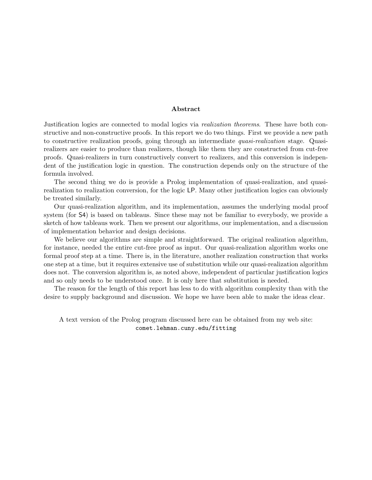#### Abstract

<span id="page-2-0"></span>Justification logics are connected to modal logics via realization theorems. These have both constructive and non-constructive proofs. In this report we do two things. First we provide a new path to constructive realization proofs, going through an intermediate *quasi-realization* stage. Quasirealizers are easier to produce than realizers, though like them they are constructed from cut-free proofs. Quasi-realizers in turn constructively convert to realizers, and this conversion is independent of the justification logic in question. The construction depends only on the structure of the formula involved.

The second thing we do is provide a Prolog implementation of quasi-realization, and quasirealization to realization conversion, for the logic LP. Many other justification logics can obviously be treated similarly.

Our quasi-realization algorithm, and its implementation, assumes the underlying modal proof system (for S4) is based on tableaus. Since these may not be familiar to everybody, we provide a sketch of how tableaus work. Then we present our algorithms, our implementation, and a discussion of implementation behavior and design decisions.

We believe our algorithms are simple and straightforward. The original realization algorithm, for instance, needed the entire cut-free proof as input. Our quasi-realization algorithm works one formal proof step at a time. There is, in the literature, another realization construction that works one step at a time, but it requires extensive use of substitution while our quasi-realization algorithm does not. The conversion algorithm is, as noted above, independent of particular justification logics and so only needs to be understood once. It is only here that substitution is needed.

The reason for the length of this report has less to do with algorithm complexity than with the desire to supply background and discussion. We hope we have been able to make the ideas clear.

A text version of the Prolog program discussed here can be obtained from my web site: comet.lehman.cuny.edu/fitting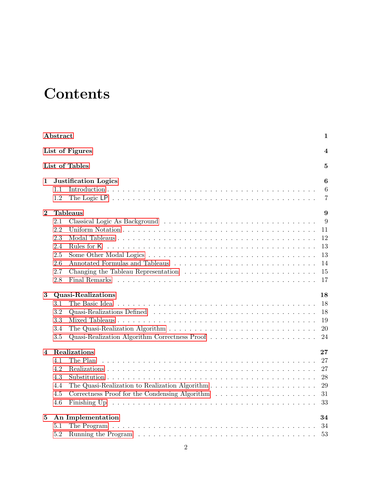# **Contents**

|          | Abstract                                                                                                                | 1                                                                   |
|----------|-------------------------------------------------------------------------------------------------------------------------|---------------------------------------------------------------------|
|          | List of Figures                                                                                                         | $\overline{\mathcal{A}}$                                            |
|          | List of Tables                                                                                                          | $\overline{5}$                                                      |
| 1        | <b>Justification Logics</b>                                                                                             | $\boldsymbol{6}$                                                    |
|          | 1.1<br>1.2                                                                                                              | $6\phantom{.}6$<br>$\overline{7}$                                   |
| $\bf{2}$ | <b>Tableaus</b>                                                                                                         | 9                                                                   |
| 3        | 2.1<br>2.2<br>2.3<br>2.4<br>2.5<br>2.6<br>2.7<br>2.8<br>Quasi-Realizations<br>3.1<br>3.2<br>3.3                         | 9<br>11<br>12<br>13<br>13<br>14<br>15<br>17<br>18<br>18<br>18<br>19 |
|          | 3.4<br>Quasi-Realization Algorithm Correctness Proof<br>3.5                                                             | 20<br>24                                                            |
| 4        | Realizations                                                                                                            | $\bf{27}$                                                           |
|          | 4.1<br>The Plan<br>4.2<br>4.3<br>4.4<br>4.5<br>4.6                                                                      | 27<br>27<br>28<br>29<br>31<br>33                                    |
| 5        | An Implementation                                                                                                       | 34                                                                  |
|          | 5.1<br>5.2<br>Running the Program $\dots \dots \dots \dots \dots \dots \dots \dots \dots \dots \dots \dots \dots \dots$ | 34<br>53                                                            |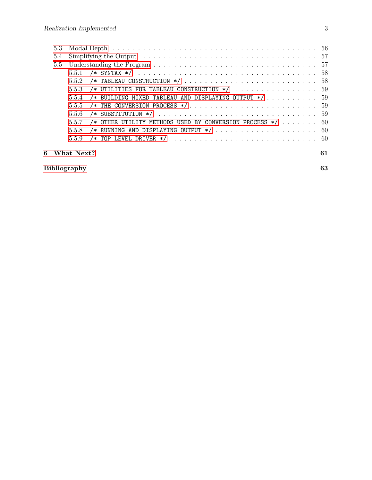| 5.4 |                                                                  |    |
|-----|------------------------------------------------------------------|----|
|     |                                                                  |    |
|     |                                                                  |    |
|     |                                                                  |    |
|     | 5.5.3 /* UTILITIES FOR TABLEAU CONSTRUCTION $*/$ 59              |    |
|     | 5.5.4 /* BUILDING MIXED TABLEAU AND DISPLAYING OUTPUT */  59     |    |
|     |                                                                  |    |
|     |                                                                  |    |
|     | 5.5.7 /* OTHER UTILITY METHODS USED BY CONVERSION PROCESS */  60 |    |
|     |                                                                  |    |
|     |                                                                  |    |
|     | 6 What Next?                                                     | 61 |

| Bibliography | Λn |
|--------------|----|
|              |    |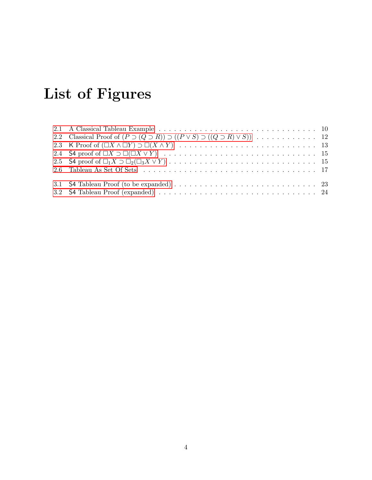# List of Figures

<span id="page-5-0"></span>

| 3.1 S4 Tableau Proof (to be expanded) $\ldots \ldots \ldots \ldots \ldots \ldots \ldots \ldots \ldots \ldots \ldots$ 23 |  |
|-------------------------------------------------------------------------------------------------------------------------|--|
|                                                                                                                         |  |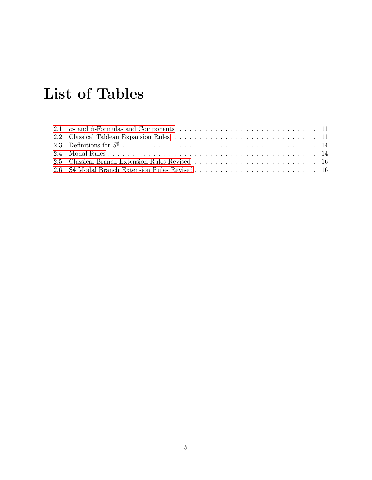# List of Tables

<span id="page-6-0"></span>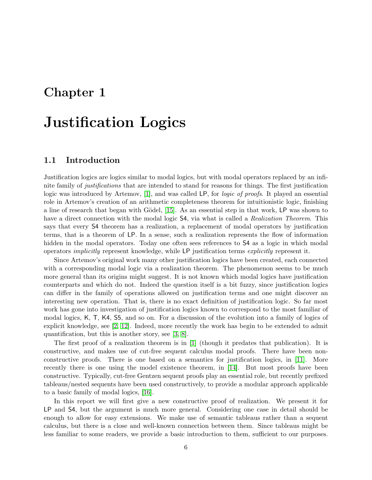# <span id="page-7-0"></span>Chapter 1

# Justification Logics

### <span id="page-7-1"></span>1.1 Introduction

Justification logics are logics similar to modal logics, but with modal operators replaced by an infinite family of justifications that are intended to stand for reasons for things. The first justification logic was introduced by Artemov, [\[1\]](#page-63-1), and was called LP, for *logic of proofs*. It played an essential role in Artemov's creation of an arithmetic completeness theorem for intuitionistic logic, finishing a line of research that began with Gödel, [\[15\]](#page-63-2). As an essential step in that work, LP was shown to have a direct connection with the modal logic  $\mathsf{S4}$ , via what is called a *Realization Theorem*. This says that every S4 theorem has a realization, a replacement of modal operators by justification terms, that is a theorem of LP. In a sense, such a realization represents the flow of information hidden in the modal operators. Today one often sees references to  $S4$  as a logic in which modal operators implicitly represent knowledge, while LP justification terms explicitly represent it.

Since Artemov's original work many other justification logics have been created, each connected with a corresponding modal logic via a realization theorem. The phenomenon seems to be much more general than its origins might suggest. It is not known which modal logics have justification counterparts and which do not. Indeed the question itself is a bit fuzzy, since justification logics can differ in the family of operations allowed on justification terms and one might discover an interesting new operation. That is, there is no exact definition of justification logic. So far most work has gone into investigation of justification logics known to correspond to the most familiar of modal logics, K, T, K4, S5, and so on. For a discussion of the evolution into a family of logics of explicit knowledge, see [\[2,](#page-63-3) [12\]](#page-63-4). Indeed, more recently the work has begin to be extended to admit quantification, but this is another story, see [\[3,](#page-63-5) [8\]](#page-63-6).

The first proof of a realization theorem is in [\[1\]](#page-63-1) (though it predates that publication). It is constructive, and makes use of cut-free sequent calculus modal proofs. There have been nonconstructive proofs. There is one based on a semantics for justification logics, in [\[11\]](#page-63-7). More recently there is one using the model existence theorem, in [\[14\]](#page-63-8). But most proofs have been constructive. Typically, cut-free Gentzen sequent proofs play an essential role, but recently prefixed tableaus/nested sequents have been used constructively, to provide a modular approach applicable to a basic family of modal logics, [\[16\]](#page-64-0).

In this report we will first give a new constructive proof of realization. We present it for LP and S4, but the argument is much more general. Considering one case in detail should be enough to allow for easy extensions. We make use of semantic tableaus rather than a sequent calculus, but there is a close and well-known connection between them. Since tableaus might be less familiar to some readers, we provide a basic introduction to them, sufficient to our purposes.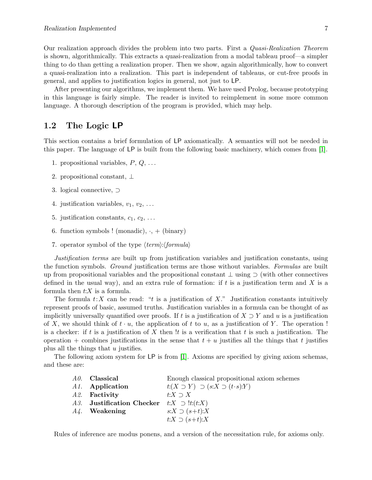Our realization approach divides the problem into two parts. First a *Quasi-Realization Theorem* is shown, algorithmically. This extracts a quasi-realization from a modal tableau proof—a simpler thing to do than getting a realization proper. Then we show, again algorithmically, how to convert a quasi-realization into a realization. This part is independent of tableaus, or cut-free proofs in general, and applies to justification logics in general, not just to LP.

After presenting our algorithms, we implement them. We have used Prolog, because prototyping in this language is fairly simple. The reader is invited to reimplement in some more common language. A thorough description of the program is provided, which may help.

### <span id="page-8-0"></span>1.2 The Logic LP

This section contains a brief formulation of LP axiomatically. A semantics will not be needed in this paper. The language of LP is built from the following basic machinery, which comes from [\[1\]](#page-63-1).

- 1. propositional variables,  $P, Q, \ldots$
- 2. propositional constant, ⊥
- 3. logical connective, ⊃
- 4. justification variables,  $v_1, v_2, \ldots$
- 5. justification constants,  $c_1, c_2, \ldots$
- 6. function symbols ! (monadic),  $\cdot$ , + (binary)
- 7. operator symbol of the type  $\langle term \rangle$ :  $\langle formula \rangle$

Justification terms are built up from justification variables and justification constants, using the function symbols. Ground justification terms are those without variables. Formulas are built up from propositional variables and the propositional constant ⊥ using ⊃ (with other connectives defined in the usual way), and an extra rule of formation: if t is a justification term and X is a formula then  $t:X$  is a formula.

The formula  $t:X$  can be read: "t is a justification of X." Justification constants intuitively represent proofs of basic, assumed truths. Justification variables in a formula can be thought of as implicitly universally quantified over proofs. If t is a justification of  $X \supset Y$  and u is a justification of X, we should think of  $t \cdot u$ , the application of t to u, as a justification of Y. The operation! is a checker: if t is a justification of X then  $!t$  is a verification that t is such a justification. The operation + combines justifications in the sense that  $t + u$  justifies all the things that t justifies plus all the things that  $u$  justifies.

The following axiom system for LP is from [\[1\]](#page-63-1). Axioms are specified by giving axiom schemas, and these are:

| <i>A0.</i> Classical                              | Enough classical propositional axiom schemes          |
|---------------------------------------------------|-------------------------------------------------------|
| A <sub>1</sub> . Application                      | $t:(X \supset Y) \supset (s:X \supset (t \cdot s):Y)$ |
| A2. Factivity                                     | $t:X\supset X$                                        |
| A3. Justification Checker $t:X \supset \{t:(t:X)$ |                                                       |
| $A_4$ . Weakening                                 | $s:X \supset (s+t):X$                                 |
|                                                   | $t:X \supset (s+t):X$                                 |

Rules of inference are modus ponens, and a version of the necessitation rule, for axioms only.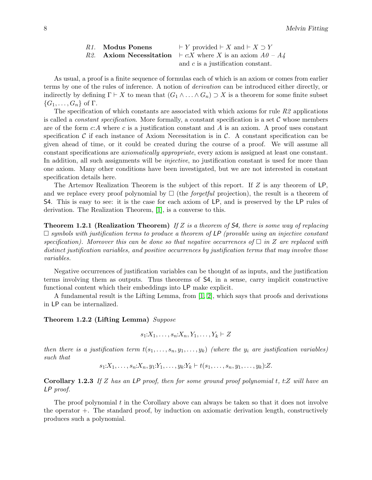| R <sub>1</sub> . Modus Ponens | $\vdash Y$ provided $\vdash X$ and $\vdash X \supset Y$            |
|-------------------------------|--------------------------------------------------------------------|
|                               | R2. Axiom Necessitation $\vdash c.X$ where X is an axiom $A0 - A4$ |
|                               | and $c$ is a justification constant.                               |

As usual, a proof is a finite sequence of formulas each of which is an axiom or comes from earlier terms by one of the rules of inference. A notion of derivation can be introduced either directly, or indirectly by defining  $\Gamma \vdash X$  to mean that  $(G_1 \wedge \ldots \wedge G_n) \supset X$  is a theorem for some finite subset  $\{G_1, \ldots, G_n\}$  of  $\Gamma$ .

The specification of which constants are associated with which axioms for rule  $R2$  applications is called a *constant specification*. More formally, a constant specification is a set  $\mathcal C$  whose members are of the form  $c:A$  where c is a justification constant and A is an axiom. A proof uses constant specification C if each instance of Axiom Necessitation is in C. A constant specification can be given ahead of time, or it could be created during the course of a proof. We will assume all constant specifications are axiomatically appropriate, every axiom is assigned at least one constant. In addition, all such assignments will be *injective*, no justification constant is used for more than one axiom. Many other conditions have been investigated, but we are not interested in constant specification details here.

The Artemov Realization Theorem is the subject of this report. If Z is any theorem of LP, and we replace every proof polynomial by  $\Box$  (the *forgetful* projection), the result is a theorem of S4. This is easy to see: it is the case for each axiom of LP, and is preserved by the LP rules of derivation. The Realization Theorem, [\[1\]](#page-63-1), is a converse to this.

**Theorem 1.2.1 (Realization Theorem)** If Z is a theorem of S4, there is some way of replacing  $\Box$  symbols with justification terms to produce a theorem of LP (provable using an injective constant specification). Moreover this can be done so that negative occurrences of  $\Box$  in Z are replaced with distinct justification variables, and positive occurrences by justification terms that may involve those variables.

Negative occurrences of justification variables can be thought of as inputs, and the justification terms involving them as outputs. Thus theorems of S4, in a sense, carry implicit constructive functional content which their embeddings into LP make explicit.

A fundamental result is the Lifting Lemma, from [\[1,](#page-63-1) [2\]](#page-63-3), which says that proofs and derivations in LP can be internalized.

<span id="page-9-0"></span>Theorem 1.2.2 (Lifting Lemma) Suppose

$$
s_1:X_1,\ldots,s_n:X_n,Y_1,\ldots,Y_k\vdash Z
$$

then there is a justification term  $t(s_1, \ldots, s_n, y_1, \ldots, y_k)$  (where the  $y_i$  are justification variables) such that

 $s_1:X_1,\ldots,s_n:X_n,y_1:Y_1,\ldots,y_k:Y_k\vdash t(s_1,\ldots,s_n,y_1,\ldots,y_k):Z.$ 

<span id="page-9-1"></span>Corollary 1.2.3 If Z has an LP proof, then for some ground proof polynomial  $t, t:Z$  will have an LP proof.

The proof polynomial t in the Corollary above can always be taken so that it does not involve the operator  $+$ . The standard proof, by induction on axiomatic derivation length, constructively produces such a polynomial.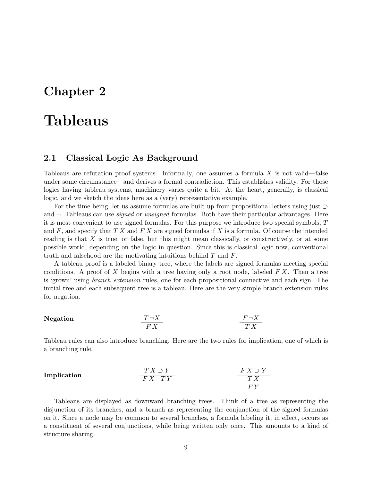# <span id="page-10-0"></span>Chapter 2

# Tableaus

### <span id="page-10-1"></span>2.1 Classical Logic As Background

Tableaus are refutation proof systems. Informally, one assumes a formula  $X$  is not valid—false under some circumstance—and derives a formal contradiction. This establishes validity. For those logics having tableau systems, machinery varies quite a bit. At the heart, generally, is classical logic, and we sketch the ideas here as a (very) representative example.

For the time being, let us assume formulas are built up from propositional letters using just ⊃ and  $\neg$ . Tableaus can use *signed* or *unsigned* formulas. Both have their particular advantages. Here it is most convenient to use signed formulas. For this purpose we introduce two special symbols, T and  $F$ , and specify that  $TX$  and  $FX$  are signed formulas if  $X$  is a formula. Of course the intended reading is that  $X$  is true, or false, but this might mean classically, or constructively, or at some possible world, depending on the logic in question. Since this is classical logic now, conventional truth and falsehood are the motivating intuitions behind T and F.

A tableau proof is a labeled binary tree, where the labels are signed formulas meeting special conditions. A proof of X begins with a tree having only a root node, labeled  $FX$ . Then a tree is 'grown' using branch extension rules, one for each propositional connective and each sign. The initial tree and each subsequent tree is a tableau. Here are the very simple branch extension rules for negation.

#### Negation  $\frac{T \neg X}{F X}$  $F \neg X$ T X

Tableau rules can also introduce branching. Here are the two rules for implication, one of which is a branching rule.

| Implication | $\frac{TX \supset Y}{FX \mid TY}$ | $\frac{FX \supset Y}{TX}$ |
|-------------|-----------------------------------|---------------------------|
| $TY$        | $TY$                              |                           |

<span id="page-10-2"></span>Tableaus are displayed as downward branching trees. Think of a tree as representing the disjunction of its branches, and a branch as representing the conjunction of the signed formulas on it. Since a node may be common to several branches, a formula labeling it, in effect, occurs as a constituent of several conjunctions, while being written only once. This amounts to a kind of structure sharing.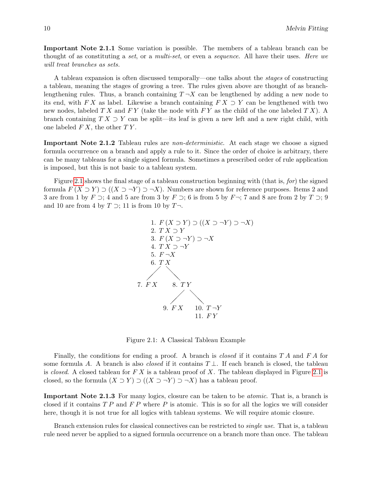Important Note 2.1.1 Some variation is possible. The members of a tableau branch can be thought of as constituting a set, or a multi-set, or even a sequence. All have their uses. Here we will treat branches as sets.

A tableau expansion is often discussed temporally—one talks about the stages of constructing a tableau, meaning the stages of growing a tree. The rules given above are thought of as branchlengthening rules. Thus, a branch containing  $T\neg X$  can be lengthened by adding a new node to its end, with F X as label. Likewise a branch containing  $FX \supset Y$  can be lengthened with two new nodes, labeled  $TX$  and  $FY$  (take the node with  $FY$  as the child of the one labeled  $TX$ ). A branch containing  $TX \supset Y$  can be split—its leaf is given a new left and a new right child, with one labeled  $FX$ , the other  $TY$ .

Important Note 2.1.2 Tableau rules are non-deterministic. At each stage we choose a signed formula occurrence on a branch and apply a rule to it. Since the order of choice is arbitrary, there can be many tableaus for a single signed formula. Sometimes a prescribed order of rule application is imposed, but this is not basic to a tableau system.

Figure [2.1](#page-11-0) shows the final stage of a tableau construction beginning with (that is, for) the signed formula  $F(X \supset Y) \supset (X \supset \neg Y) \supset \neg X$ ). Numbers are shown for reference purposes. Items 2 and 3 are from 1 by  $F \supset$ ; 4 and 5 are from 3 by  $F \supset$ ; 6 is from 5 by  $F \neg$ ; 7 and 8 are from 2 by  $T \supset$ ; 9 and 10 are from 4 by  $T \supset$ ; 11 is from 10 by  $T \neg$ .



<span id="page-11-0"></span>Figure 2.1: A Classical Tableau Example

Finally, the conditions for ending a proof. A branch is *closed* if it contains  $T A$  and  $F A$  for some formula A. A branch is also *closed* if it contains  $T \perp$ . If each branch is closed, the tableau is closed. A closed tableau for  $FX$  is a tableau proof of X. The tableau displayed in Figure [2.1](#page-11-0) is closed, so the formula  $(X \supset Y) \supset ((X \supset \neg Y) \supset \neg X)$  has a tableau proof.

<span id="page-11-1"></span>Important Note 2.1.3 For many logics, closure can be taken to be *atomic*. That is, a branch is closed if it contains  $TP$  and  $FP$  where P is atomic. This is so for all the logics we will consider here, though it is not true for all logics with tableau systems. We will require atomic closure.

Branch extension rules for classical connectives can be restricted to single use. That is, a tableau rule need never be applied to a signed formula occurrence on a branch more than once. The tableau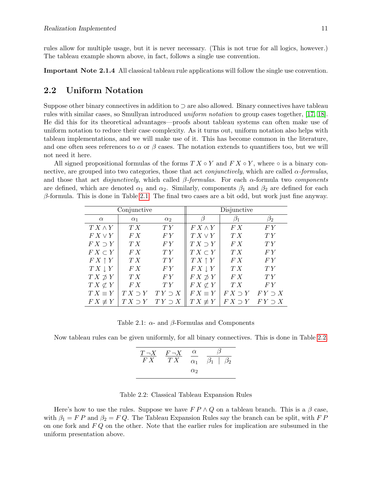rules allow for multiple usage, but it is never necessary. (This is not true for all logics, however.) The tableau example shown above, in fact, follows a single use convention.

<span id="page-12-3"></span>Important Note 2.1.4 All classical tableau rule applications will follow the single use convention.

### <span id="page-12-0"></span>2.2 Uniform Notation

Suppose other binary connectives in addition to ⊃ are also allowed. Binary connectives have tableau rules with similar cases, so Smullyan introduced uniform notation to group cases together, [\[17,](#page-64-1) [18\]](#page-64-2). He did this for its theoretical advantages—proofs about tableau systems can often make use of uniform notation to reduce their case complexity. As it turns out, uniform notation also helps with tableau implementations, and we will make use of it. This has become common in the literature, and one often sees references to  $\alpha$  or  $\beta$  cases. The notation extends to quantifiers too, but we will not need it here.

All signed propositional formulas of the forms  $TX \circ Y$  and  $FX \circ Y$ , where  $\circ$  is a binary connective, are grouped into two categories, those that act *conjunctively*, which are called  $\alpha$ -formulas, and those that act *disjunctively*, which called  $\beta$ -formulas. For each  $\alpha$ -formula two components are defined, which are denoted  $\alpha_1$  and  $\alpha_2$ . Similarly, components  $\beta_1$  and  $\beta_2$  are defined for each  $\beta$ -formula. This is done in Table [2.1.](#page-12-1) The final two cases are a bit odd, but work just fine anyway.

|                     | Conjunctive     |                |                     | Disjunctive    |                |
|---------------------|-----------------|----------------|---------------------|----------------|----------------|
| $\alpha$            | $\alpha_1$      | $\alpha_2$     |                     | $\beta_1$      | $\beta_2$      |
| $T X \wedge Y$      | TX              | TY             | $FX \wedge Y$       | F X            | FY             |
| $F X \vee Y$        | FX              | FY <sub></sub> | $T X \vee Y$        | T X            | TY             |
| $FX \supset Y$      | T X             | FY             | $T X \supset Y$     | F X            | TY             |
| $F X \subset Y$     | FX              | TY             | $T X \subset Y$     | T X            | F Y            |
| $FX \uparrow Y$     | TX              | TY             | $T X \uparrow Y$    | F X            | F Y            |
| $T X \downarrow Y$  | FX              | FY             | $F X \downarrow Y$  | T X            | TY             |
| $T X \not\supset Y$ | T X             | FY             | $F X \not\supset Y$ | F X            | TY             |
| $T X \not\subset Y$ | FX              | TY             | $F X \not\subset Y$ | T X            | FY             |
| $T X \equiv Y$      | $T X \supset Y$ | $TY \supset X$ | $FX \equiv Y$       | $FX \supset Y$ | $FY \supset X$ |
| $F X \not\equiv Y$  | $T X \supset Y$ | $TY \supset X$ | $TX \not\equiv Y$   | $FX \supset Y$ | $FY \supset X$ |

<span id="page-12-1"></span>Table 2.1:  $\alpha$ - and  $\beta$ -Formulas and Components

Now tableau rules can be given uniformly, for all binary connectives. This is done in Table [2.2.](#page-12-2)

| $T\neg X$ | $F \neg X$ | $\alpha$   |                       |
|-----------|------------|------------|-----------------------|
| F'X       | T X        | $\alpha_1$ | $\beta_1$   $\beta_2$ |
|           |            | $\alpha$   |                       |

<span id="page-12-2"></span>Table 2.2: Classical Tableau Expansion Rules

Here's how to use the rules. Suppose we have  $F P \wedge Q$  on a tableau branch. This is a  $\beta$  case, with  $\beta_1 = F P$  and  $\beta_2 = F Q$ . The Tableau Expansion Rules say the branch can be split, with F P on one fork and  $FQ$  on the other. Note that the earlier rules for implication are subsumed in the uniform presentation above.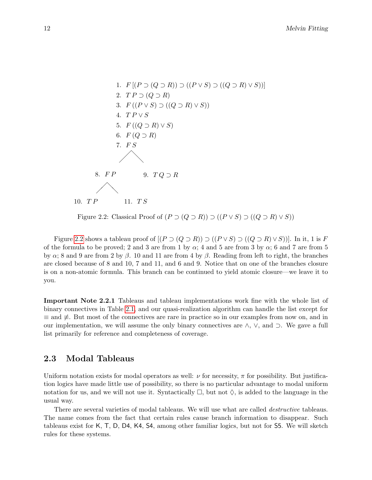

<span id="page-13-1"></span>Figure 2.2: Classical Proof of  $(P \supset (Q \supset R)) \supset ((P \vee S) \supset ((Q \supset R) \vee S))$ 

Figure [2.2](#page-13-1) shows a tableau proof of  $[(P \supset (Q \supset R)) \supset ((P \vee S) \supset ((Q \supset R) \vee S))]$ . In it, 1 is F of the formula to be proved; 2 and 3 are from 1 by  $\alpha$ ; 4 and 5 are from 3 by  $\alpha$ ; 6 and 7 are from 5 by  $\alpha$ ; 8 and 9 are from 2 by  $\beta$ . 10 and 11 are from 4 by  $\beta$ . Reading from left to right, the branches are closed because of 8 and 10, 7 and 11, and 6 and 9. Notice that on one of the branches closure is on a non-atomic formula. This branch can be continued to yield atomic closure—we leave it to you.

Important Note 2.2.1 Tableaus and tableau implementations work fine with the whole list of binary connectives in Table [2.1,](#page-12-1) and our quasi-realization algorithm can handle the list except for  $\equiv$  and  $\neq$ . But most of the connectives are rare in practice so in our examples from now on, and in our implementation, we will assume the only binary connectives are ∧, ∨, and ⊃. We gave a full list primarily for reference and completeness of coverage.

### <span id="page-13-0"></span>2.3 Modal Tableaus

Uniform notation exists for modal operators as well:  $\nu$  for necessity,  $\pi$  for possibility. But justification logics have made little use of possibility, so there is no particular advantage to modal uniform notation for us, and we will not use it. Syntactically  $\Box$ , but not  $\Diamond$ , is added to the language in the usual way.

There are several varieties of modal tableaus. We will use what are called *destructive* tableaus. The name comes from the fact that certain rules cause branch information to disappear. Such tableaus exist for K, T, D, D4, K4, S4, among other familiar logics, but not for S5. We will sketch rules for these systems.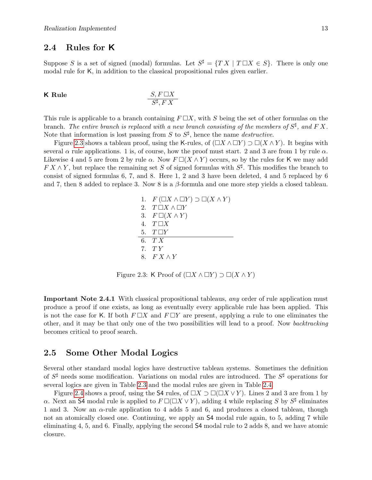## <span id="page-14-0"></span>2.4 Rules for K

Suppose S is a set of signed (modal) formulas. Let  $S^{\sharp} = \{TX \mid T \square X \in S\}$ . There is only one modal rule for K, in addition to the classical propositional rules given earlier.

**K Rule** 
$$
\frac{S, F \square X}{S^{\sharp}, FX}
$$

This rule is applicable to a branch containing  $F \square X$ , with S being the set of other formulas on the branch. The entire branch is replaced with a new branch consisting of the members of  $S^{\sharp}$ , and F X. Note that information is lost passing from S to  $S^{\sharp}$ , hence the name *destructive*.

Figure [2.3](#page-14-2) shows a tableau proof, using the K-rules, of  $(\Box X \land \Box Y) \supset \Box(X \land Y)$ . It begins with several  $\alpha$  rule applications. 1 is, of course, how the proof must start. 2 and 3 are from 1 by rule  $\alpha$ . Likewise 4 and 5 are from 2 by rule  $\alpha$ . Now  $F\Box(X \wedge Y)$  occurs, so by the rules for K we may add  $FX \wedge Y$ , but replace the remaining set S of signed formulas with  $S^{\sharp}$ . This modifies the branch to consist of signed formulas 6, 7, and 8. Here 1, 2 and 3 have been deleted, 4 and 5 replaced by 6 and 7, then 8 added to replace 3. Now 8 is a  $\beta$ -formula and one more step yields a closed tableau.

> 1.  $F(\Box X \land \Box Y) \supset \Box(X \land Y)$ 2.  $T \square X \wedge \square Y$ 3.  $F \square (X \wedge Y)$ 4.  $T \square X$ 5.  $T \square Y$ 6. T X 7. T Y 8.  $FX \wedge Y$

<span id="page-14-2"></span>Figure 2.3: K Proof of  $(\Box X \land \Box Y) \supset \Box (X \land Y)$ 

Important Note 2.4.1 With classical propositional tableaus, any order of rule application must produce a proof if one exists, as long as eventually every applicable rule has been applied. This is not the case for K. If both  $F \square X$  and  $F \square Y$  are present, applying a rule to one eliminates the other, and it may be that only one of the two possibilities will lead to a proof. Now backtracking becomes critical to proof search.

### <span id="page-14-1"></span>2.5 Some Other Modal Logics

Several other standard modal logics have destructive tableau systems. Sometimes the definition of  $S^{\sharp}$  needs some modification. Variations on modal rules are introduced. The  $S^{\sharp}$  operations for several logics are given in Table [2.3](#page-15-1) and the modal rules are given in Table [2.4.](#page-15-2)

<span id="page-14-3"></span>Figure [2.4](#page-16-1) shows a proof, using the S4 rules, of  $\Box X \supset \Box(\Box X \vee Y)$ . Lines 2 and 3 are from 1 by α. Next an S4 modal rule is applied to  $F\Box(\Box X \lor Y)$ , adding 4 while replacing S by  $S^{\sharp}$  eliminates 1 and 3. Now an  $\alpha$ -rule application to 4 adds 5 and 6, and produces a closed tableau, though not an atomically closed one. Continuing, we apply an  $\mathsf{S4}$  modal rule again, to 5, adding 7 while eliminating 4, 5, and 6. Finally, applying the second S4 modal rule to 2 adds 8, and we have atomic closure.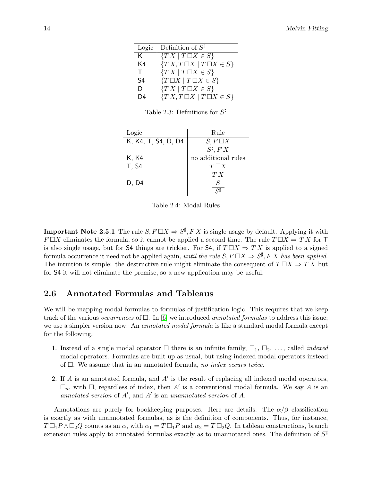| Logic          | Definition of $S^{\sharp}$               |
|----------------|------------------------------------------|
| K.             | $\{TX \mid T \square X \in S\}$          |
| K <sub>4</sub> | $\{TX, T\Box X \mid T\Box X \in S\}$     |
| T.             | $\{TX \mid T\Box X \in S\}$              |
| S <sub>4</sub> | $\{T \square X \mid T \square X \in S\}$ |
| D              | $\{TX \mid T\Box X \in S\}$              |
|                | ${T X, T \square X   T \square X \in S}$ |

<span id="page-15-1"></span>Table 2.3: Definitions for  $S^{\sharp}$ 

| Logic               | Rule                |
|---------------------|---------------------|
| K, K4, T, S4, D, D4 | $S, F \square X$    |
|                     | $S^{\sharp}, F X$   |
| K, K4               | no additional rules |
| <b>T</b> , S4       | $T\Box X$           |
|                     | T X                 |
| D, D4               | $\, S \,$           |
|                     |                     |

<span id="page-15-2"></span>Table 2.4: Modal Rules

**Important Note 2.5.1** The rule  $S, F \square X \Rightarrow S^{\sharp}, F X$  is single usage by default. Applying it with  $F \square X$  eliminates the formula, so it cannot be applied a second time. The rule  $T \square X \Rightarrow T X$  for T is also single usage, but for S4 things are trickier. For S4, if  $T \square X \Rightarrow TX$  is applied to a signed formula occurrence it need not be applied again, until the rule  $S, F \square X \Rightarrow S^{\sharp}, F X$  has been applied. The intuition is simple: the destructive rule might eliminate the consequent of  $T \square X \Rightarrow TX$  but for S4 it will not eliminate the premise, so a new application may be useful.

### <span id="page-15-0"></span>2.6 Annotated Formulas and Tableaus

We will be mapping modal formulas to formulas of justification logic. This requires that we keep track of the various *occurrences* of  $\Box$ . In [\[6\]](#page-63-9) we introduced *annotated formulas* to address this issue; we use a simpler version now. An *annotated modal formula* is like a standard modal formula except for the following.

- 1. Instead of a single modal operator  $\Box$  there is an infinite family,  $\Box_1$ ,  $\Box_2$ , ..., called *indexed* modal operators. Formulas are built up as usual, but using indexed modal operators instead of  $\square$ . We assume that in an annotated formula, no index occurs twice.
- 2. If  $A$  is an annotated formula, and  $A'$  is the result of replacing all indexed modal operators,  $\Box_n$ , with  $\Box$ , regardless of index, then A' is a conventional modal formula. We say A is an annotated version of  $A'$ , and  $A'$  is an unannotated version of  $A$ .

Annotations are purely for bookkeeping purposes. Here are details. The  $\alpha/\beta$  classification is exactly as with unannotated formulas, as is the definition of components. Thus, for instance,  $T \Box_1 P \wedge \Box_2 Q$  counts as an  $\alpha$ , with  $\alpha_1 = T \Box_1 P$  and  $\alpha_2 = T \Box_2 Q$ . In tableau constructions, branch extension rules apply to annotated formulas exactly as to unannotated ones. The definition of  $S^{\sharp}$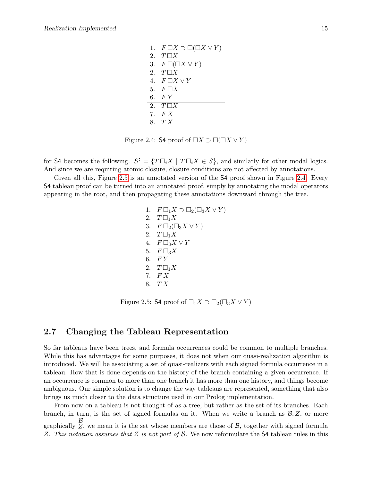1.  $F \square X \supset \square (\square X \vee Y)$ 2.  $T \square X$ 3.  $F \square( \square X \vee Y)$ 2.  $T \square X$ 4.  $F \square X \vee Y$ 5.  $F \square X$ 6. F Y 2.  $T \square X$ 7. F X 8. T X

<span id="page-16-1"></span>Figure 2.4: S4 proof of  $\Box X \supset \Box (\Box X \vee Y)$ 

for S4 becomes the following.  $S^{\sharp} = \{ T \square_i X \mid T \square_i X \in S \}$ , and similarly for other modal logics. And since we are requiring atomic closure, closure conditions are not affected by annotations.

Given all this, Figure [2.5](#page-16-2) is an annotated version of the S4 proof shown in Figure [2.4.](#page-16-1) Every S4 tableau proof can be turned into an annotated proof, simply by annotating the modal operators appearing in the root, and then propagating these annotations downward through the tree.

> 1.  $F \Box_1 X \supset \Box_2 (\Box_3 X \vee Y)$ 2.  $T\Box_1 X$ 3.  $F\Box_2(\Box_3 X \vee Y)$ 2.  $T \square_1 X$ 4.  $F \square_3 X \vee Y$ 5.  $F\Box_3 X$ 6. F Y 2.  $T\Box_1 X$ 7. F X 8. T X

<span id="page-16-2"></span>Figure 2.5: S4 proof of  $\Box_1 X \supset \Box_2(\Box_3 X \vee Y)$ 

### <span id="page-16-0"></span>2.7 Changing the Tableau Representation

So far tableaus have been trees, and formula occurrences could be common to multiple branches. While this has advantages for some purposes, it does not when our quasi-realization algorithm is introduced. We will be associating a set of quasi-realizers with each signed formula occurrence in a tableau. How that is done depends on the history of the branch containing a given occurrence. If an occurrence is common to more than one branch it has more than one history, and things become ambiguous. Our simple solution is to change the way tableaus are represented, something that also brings us much closer to the data structure used in our Prolog implementation.

From now on a tableau is not thought of as a tree, but rather as the set of its branches. Each branch, in turn, is the set of signed formulas on it. When we write a branch as  $\mathcal{B}, \mathcal{Z}$ , or more graphically B  $Z$ , we mean it is the set whose members are those of  $B$ , together with signed formula Z. This notation assumes that Z is not part of B. We now reformulate the  $S4$  tableau rules in this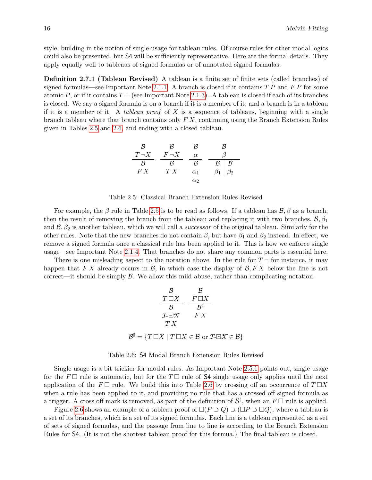style, building in the notion of single-usage for tableau rules. Of course rules for other modal logics could also be presented, but S4 will be sufficiently representative. Here are the formal details. They apply equally well to tableaus of signed formulas or of annotated signed formulas.

Definition 2.7.1 (Tableau Revised) A tableau is a finite set of finite sets (called branches) of signed formulas—see Important Note [2.1.1.](#page-10-2) A branch is closed if it contains  $TP$  and  $FP$  for some atomic P, or if it contains  $T \perp$  (see Important Note [2.1.3\)](#page-11-1). A tableau is closed if each of its branches is closed. We say a signed formula is on a branch if it is a member of it, and a branch is in a tableau if it is a member of it. A tableau proof of X is a sequence of tableaus, beginning with a single branch tableau where that branch contains only  $FX$ , continuing using the Branch Extension Rules given in Tables [2.5](#page-17-0) and [2.6,](#page-17-1) and ending with a closed tableau.

$$
\begin{array}{c|cc}\n\mathcal{B} & \mathcal{B} & \mathcal{B} & \mathcal{B} \\
\hline\nT \neg X & F \neg X & \alpha & \beta \\
\hline\n\mathcal{B} & \mathcal{B} & \mathcal{B} & \mathcal{B} \\
FX & TX & \alpha_1 & \beta_1 \beta_2 \\
\alpha_2 & \alpha_2 & \n\end{array}
$$

<span id="page-17-0"></span>Table 2.5: Classical Branch Extension Rules Revised

For example, the  $\beta$  rule in Table [2.5](#page-17-0) is to be read as follows. If a tableau has  $\beta$ ,  $\beta$  as a branch, then the result of removing the branch from the tableau and replacing it with two branches,  $\mathcal{B}, \beta_1$ and  $\mathcal{B}, \beta_2$  is another tableau, which we will call a *successor* of the original tableau. Similarly for the other rules. Note that the new branches do not contain  $\beta$ , but have  $\beta_1$  and  $\beta_2$  instead. In effect, we remove a signed formula once a classical rule has been applied to it. This is how we enforce single usage—see Important Note [2.1.4.](#page-12-3) That branches do not share any common parts is essential here.

There is one misleading aspect to the notation above. In the rule for  $T \rightarrow$  for instance, it may happen that F X already occurs in B, in which case the display of  $\mathcal{B}, F X$  below the line is not correct—it should be simply  $\beta$ . We allow this mild abuse, rather than complicating notation.

$$
\begin{array}{ccc}\n & \mathcal{B} & \mathcal{B} \\
 \frac{T \Box X}{\mathcal{B}} & \frac{F \Box X}{\mathcal{B}^{\sharp}} \\
 & \mathcal{I} \Box X & F X \\
 & TX\n \end{array}
$$
\n
$$
\mathcal{B}^{\sharp} = \{T \Box X \mid T \Box X \in \mathcal{B} \text{ or } \mathcal{I} \Box X \in \mathcal{B}\}
$$

#### <span id="page-17-1"></span>Table 2.6: S4 Modal Branch Extension Rules Revised

Single usage is a bit trickier for modal rules. As Important Note [2.5.1](#page-14-3) points out, single usage for the  $F \Box$  rule is automatic, but for the T  $\Box$  rule of S4 single usage only applies until the next application of the F  $\Box$  rule. We build this into Table [2.6](#page-17-1) by crossing off an occurrence of  $T \Box X$ when a rule has been applied to it, and providing no rule that has a crossed off signed formula as a trigger. A cross off mark is removed, as part of the definition of  $\mathcal{B}^{\sharp}$ , when an  $F \Box$  rule is applied.

Figure [2.6](#page-18-1) shows an example of a tableau proof of  $\Box(P \supset Q) \supset (\Box P \supset \Box Q)$ , where a tableau is a set of its branches, which is a set of its signed formulas. Each line is a tableau represented as a set of sets of signed formulas, and the passage from line to line is according to the Branch Extension Rules for S4. (It is not the shortest tableau proof for this formua.) The final tableau is closed.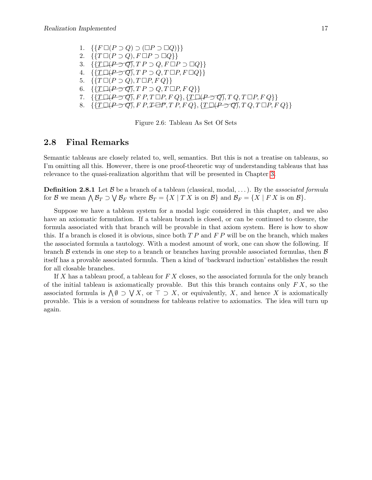1.  $\{F \Box (P \supset Q) \supset (\Box P \supset \Box Q)\}\}\$ 2.  $\{T \square (P \supset Q), F \square P \supset \square Q\}$ 3.  $\{T \square (P \supset Q), T P \supset Q, F \square P \supset \square Q\}$ 4.  $\{T\Box(P\supset Q), T P \supset Q, T \Box P, F \Box Q\}$ 5.  $\{T \square (P \supset Q), T \square P, F Q\}$ 6.  $\{T\Box(P\supset Q), T P \supset Q, T \Box P, F Q\}$ 7.  $\{T \Box (P \supset Q), F P, T \Box P, F Q\}, \{T \Box (P \supset Q), T Q, T \Box P, F Q\}$ 8.  $\{\{\underline{T}\Box(P\supset Q), F\ P, \underline{T}\Box P, T\ P, F\ Q\}, \{\underline{T}\Box(P\supset Q), T\ Q, T\Box P, F\ Q\}\}\$ 

<span id="page-18-1"></span>Figure 2.6: Tableau As Set Of Sets

### <span id="page-18-0"></span>2.8 Final Remarks

Semantic tableaus are closely related to, well, semantics. But this is not a treatise on tableaus, so I'm omitting all this. However, there is one proof-theoretic way of understanding tableaus that has relevance to the quasi-realization algorithm that will be presented in Chapter [3.](#page-19-0)

**Definition 2.8.1** Let  $\beta$  be a branch of a tableau (classical, modal, ...). By the associated formula for B we mean  $\bigwedge \mathcal{B}_T \supset \bigvee \mathcal{B}_F$  where  $\mathcal{B}_T = \{X \mid T X \text{ is on } \mathcal{B}\}\$  and  $\mathcal{B}_F = \{X \mid F X \text{ is on } \mathcal{B}\}.$ 

Suppose we have a tableau system for a modal logic considered in this chapter, and we also have an axiomatic formulation. If a tableau branch is closed, or can be continued to closure, the formula associated with that branch will be provable in that axiom system. Here is how to show this. If a branch is closed it is obvious, since both  $TP$  and  $FP$  will be on the branch, which makes the associated formula a tautology. With a modest amount of work, one can show the following. If branch  $\beta$  extends in one step to a branch or branches having provable associated formulas, then  $\beta$ itself has a provable associated formula. Then a kind of 'backward induction' establishes the result for all closable branches.

If X has a tableau proof, a tableau for  $FX$  closes, so the associated formula for the only branch of the initial tableau is axiomatically provable. But this this branch contains only  $FX$ , so the associated formula is  $\bigwedge \emptyset \supset \bigvee X$ , or  $\top \supset X$ , or equivalently, X, and hence X is axiomatically provable. This is a version of soundness for tableaus relative to axiomatics. The idea will turn up again.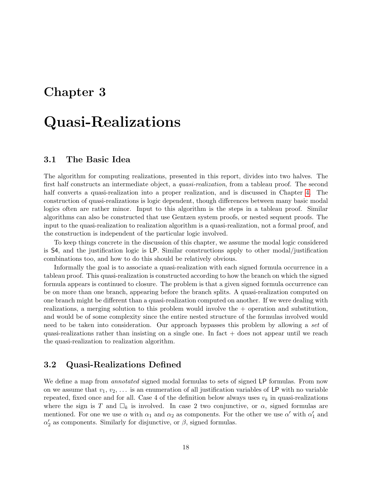# <span id="page-19-0"></span>Chapter 3

# Quasi-Realizations

### <span id="page-19-1"></span>3.1 The Basic Idea

The algorithm for computing realizations, presented in this report, divides into two halves. The first half constructs an intermediate object, a *quasi-realization*, from a tableau proof. The second half converts a quasi-realization into a proper realization, and is discussed in Chapter [4.](#page-28-0) The construction of quasi-realizations is logic dependent, though differences between many basic modal logics often are rather minor. Input to this algorithm is the steps in a tableau proof. Similar algorithms can also be constructed that use Gentzen system proofs, or nested sequent proofs. The input to the quasi-realization to realization algorithm is a quasi-realization, not a formal proof, and the construction is independent of the particular logic involved.

To keep things concrete in the discussion of this chapter, we assume the modal logic considered is S4, and the justification logic is LP. Similar constructions apply to other modal/justification combinations too, and how to do this should be relatively obvious.

Informally the goal is to associate a quasi-realization with each signed formula occurrence in a tableau proof. This quasi-realization is constructed according to how the branch on which the signed formula appears is continued to closure. The problem is that a given signed formula occurrence can be on more than one branch, appearing before the branch splits. A quasi-realization computed on one branch might be different than a quasi-realization computed on another. If we were dealing with realizations, a merging solution to this problem would involve the + operation and substitution, and would be of some complexity since the entire nested structure of the formulas involved would need to be taken into consideration. Our approach bypasses this problem by allowing a set of quasi-realizations rather than insisting on a single one. In fact  $+$  does not appear until we reach the quasi-realization to realization algorithm.

### <span id="page-19-2"></span>3.2 Quasi-Realizations Defined

<span id="page-19-3"></span>We define a map from annotated signed modal formulas to sets of signed LP formulas. From now on we assume that  $v_1, v_2, \ldots$  is an enumeration of all justification variables of LP with no variable repeated, fixed once and for all. Case 4 of the definition below always uses  $v_k$  in quasi-realizations where the sign is T and  $\Box_k$  is involved. In case 2 two conjunctive, or  $\alpha$ , signed formulas are mentioned. For one we use  $\alpha$  with  $\alpha_1$  and  $\alpha_2$  as components. For the other we use  $\alpha'$  with  $\alpha'_1$  and  $\alpha_2'$  as components. Similarly for disjunctive, or  $\beta$ , signed formulas.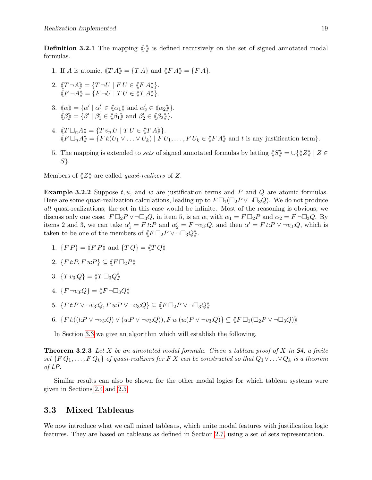**Definition 3.2.1** The mapping  $\langle \cdot \rangle$  is defined recursively on the set of signed annotated modal formulas.

- 1. If A is atomic,  $\langle T A \rangle = \{T A\}$  and  $\langle F A \rangle = \{F A\}.$
- 2.  $\langle T \neg A \rangle = \{ T \neg U \mid F U \in \langle F A \rangle \}.$  $\ddot{\mathcal{K}}F \neg A\mathcal{K} = \{F \neg U \mid TU \in \mathcal{K}T \wedge \mathcal{K}\}.$
- 3.  $\langle \alpha \rangle = {\alpha' | \alpha_1' \in \langle \alpha_1 \rangle \text{ and } \alpha_2' \in \langle \alpha_2 \rangle}.$  $\langle \!\langle \beta \rangle\!\rangle = \{ \beta' \mid \beta'_1 \in \langle \!\langle \beta_1 \rangle\!\rangle \text{ and } \beta'_2 \in \langle \!\langle \beta_2 \rangle\!\rangle \}.$
- 4.  $\langle T \Box_n A \rangle = \{ T v_n : U \mid T U \in \langle T A \rangle \}.$  $\langle F \Box_n A \rangle = \{F \: t: (U_1 \vee \ldots \vee U_k) \mid F \: U_1, \ldots, F \: U_k \in \langle F \: A \rangle \}$  and t is any justification term}.
- 5. The mapping is extended to sets of signed annotated formulas by letting  $\langle S \rangle = \cup \{ \langle Z \rangle | Z \in$  $S$ .

Members of  $\langle Z \rangle$  are called *quasi-realizers* of Z.

**Example 3.2.2** Suppose  $t, u$ , and w are justification terms and P and Q are atomic formulas. Here are some quasi-realization calculations, leading up to  $F \Box_1(\Box_2 P \vee \neg \Box_3 Q)$ . We do not produce all quasi-realizations; the set in this case would be infinite. Most of the reasoning is obvious; we discuss only one case.  $F \Box_2 P \lor \neg \Box_3 Q$ , in item 5, is an  $\alpha$ , with  $\alpha_1 = F \Box_2 P$  and  $\alpha_2 = F \neg \Box_3 Q$ . By items 2 and 3, we can take  $\alpha'_1 = F t$ : P and  $\alpha'_2 = F \neg v_3$ : Q, and then  $\alpha' = F t$ : P  $\vee \neg v_3$ : Q, which is taken to be one of the members of  $\langle F \Box_2 P \lor \neg \Box_3 Q \rangle$ .

- 1.  $\{FP\} = \langle FP \rangle$  and  $\{TQ\} = \langle TQ \rangle$
- 2.  $\{F t : P, F u : P\} \subset \langle F \Box_2 P \rangle$
- 3.  $\{T v_3:Q\} = \langle T \square_3 Q \rangle$
- 4.  $\{F \neg v_3:Q\} = \langle F \neg \Box_3 Q \rangle$
- 5.  $\{F t : P \vee \neg v_3 : Q, F u : P \vee \neg v_3 : Q\} \subseteq \langle F \Box_2 P \vee \neg \Box_3 Q \rangle$
- 6.  $\{F \: t:(t:P \vee \neg v_3:Q) \vee (u:P \vee \neg v_3:Q)), F \: w:(u:P \vee \neg v_3:Q)\} \subseteq \langle F \: \Box_1(\Box_2 P \vee \neg \Box_3 Q) \rangle$

In Section [3.3](#page-20-0) we give an algorithm which will establish the following.

<span id="page-20-1"></span>**Theorem 3.2.3** Let X be an annotated modal formula. Given a tableau proof of X in  $54$ , a finite set  $\{FQ_1, \ldots, FQ_k\}$  of quasi-realizers for F X can be constructed so that  $Q_1 \vee \ldots \vee Q_k$  is a theorem of LP.

Similar results can also be shown for the other modal logics for which tableau systems were given in Sections [2.4](#page-14-0) and [2.5.](#page-14-1)

### <span id="page-20-0"></span>3.3 Mixed Tableaus

We now introduce what we call mixed tableaus, which unite modal features with justification logic features. They are based on tableaus as defined in Section [2.7,](#page-16-0) using a set of sets representation.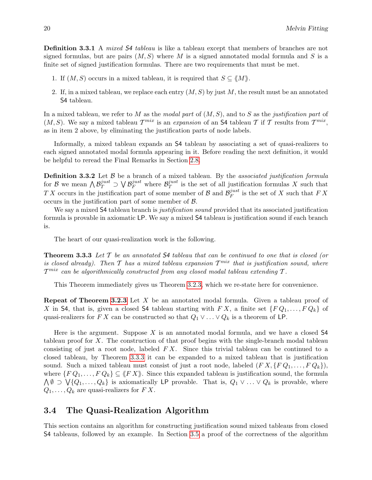**Definition 3.3.1** A *mixed* 54 tableau is like a tableau except that members of branches are not signed formulas, but are pairs  $(M, S)$  where M is a signed annotated modal formula and S is a finite set of signed justification formulas. There are two requirements that must be met.

- 1. If  $(M, S)$  occurs in a mixed tableau, it is required that  $S \subseteq \langle M \rangle$ .
- 2. If, in a mixed tableau, we replace each entry  $(M, S)$  by just M, the result must be an annotated S4 tableau.

In a mixed tableau, we refer to M as the modal part of  $(M, S)$ , and to S as the justification part of  $(M, S)$ . We say a mixed tableau  $\mathcal{T}^{mix}$  is an expansion of an S4 tableau T if T results from  $\mathcal{T}^{mix}$ , as in item 2 above, by eliminating the justification parts of node labels.

Informally, a mixed tableau expands an S4 tableau by associating a set of quasi-realizers to each signed annotated modal formula appearing in it. Before reading the next definition, it would be helpful to reread the Final Remarks in Section [2.8.](#page-18-0)

<span id="page-21-2"></span>**Definition 3.3.2** Let  $\beta$  be a branch of a mixed tableau. By the *associated justification formula* for  $\mathcal B$  we mean  $\bigwedge \mathcal{B}^{just}_T \supset \bigvee \mathcal{B}^{just}_F$  where  $\mathcal{B}^{just}_T$  $j<sup>ust</sup><sub>T</sub>$  is the set of all justification formulas X such that T X occurs in the justification part of some member of B and  $\mathcal{B}_F^{just}$  $j_{\text{H}}^{y}_{F}$  is the set of X such that  $FX$ occurs in the justification part of some member of  $\beta$ .

We say a mixed S4 tableau branch is *justification sound* provided that its associated justification formula is provable in axiomatic LP. We say a mixed S4 tableau is justification sound if each branch is.

The heart of our quasi-realization work is the following.

<span id="page-21-1"></span>**Theorem 3.3.3** Let  $T$  be an annotated  $S4$  tableau that can be continued to one that is closed (or is closed already). Then  $\mathcal T$  has a mixed tableau expansion  $\mathcal T^{mix}$  that is justification sound, where  $\mathcal{T}^{mix}$  can be algorithmically constructed from any closed modal tableau extending  $\mathcal{T}.$ 

This Theorem immediately gives us Theorem [3.2.3,](#page-20-1) which we re-state here for convenience.

**Repeat of Theorem [3.2.3](#page-20-1)** Let X be an annotated modal formula. Given a tableau proof of X in S4, that is, given a closed S4 tableau starting with FX, a finite set  $\{FQ_1, \ldots, FQ_k\}$  of quasi-realizers for F X can be constructed so that  $Q_1 \vee \ldots \vee Q_k$  is a theorem of LP.

Here is the argument. Suppose  $X$  is an annotated modal formula, and we have a closed  $S4$ tableau proof for X. The construction of that proof begins with the single-branch modal tableau consisting of just a root node, labeled  $FX$ . Since this trivial tableau can be continued to a closed tableau, by Theorem [3.3.3](#page-21-1) it can be expanded to a mixed tableau that is justification sound. Such a mixed tableau must consist of just a root node, labeled  $(F X, \{F Q_1, \ldots, F Q_k\}),$ where  $\{FQ_1,\ldots,FQ_k\} \subseteq \langle \langle FX \rangle \rangle$ . Since this expanded tableau is justification sound, the formula  $\bigwedge \emptyset \supset \bigvee \{Q_1, \ldots, Q_k\}$  is axiomatically LP provable. That is,  $Q_1 \vee \ldots \vee Q_k$  is provable, where  $Q_1, \ldots, Q_k$  are quasi-realizers for  $FX$ .

### <span id="page-21-0"></span>3.4 The Quasi-Realization Algorithm

This section contains an algorithm for constructing justification sound mixed tableaus from closed S4 tableaus, followed by an example. In Section [3.5](#page-25-0) a proof of the correctness of the algorithm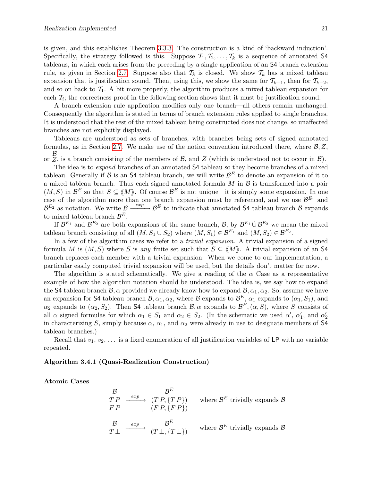is given, and this establishes Theorem [3.3.3.](#page-21-1) The construction is a kind of 'backward induction'. Specifically, the strategy followed is this. Suppose  $\mathcal{T}_1, \mathcal{T}_2, \ldots, \mathcal{T}_k$  is a sequence of annotated S4 tableaus, in which each arises from the preceding by a single application of an S4 branch extension rule, as given in Section [2.7.](#page-16-0) Suppose also that  $\mathcal{T}_k$  is closed. We show  $\mathcal{T}_k$  has a mixed tableau expansion that is justification sound. Then, using this, we show the same for  $\mathcal{T}_{k-1}$ , then for  $\mathcal{T}_{k-2}$ , and so on back to  $\mathcal{T}_1$ . A bit more properly, the algorithm produces a mixed tableau expansion for each  $\mathcal{T}_i$ ; the correctness proof in the following section shows that it must be justification sound.

A branch extension rule application modifies only one branch—all others remain unchanged. Consequently the algorithm is stated in terms of branch extension rules applied to single branches. It is understood that the rest of the mixed tableau being constructed does not change, so unaffected branches are not explicitly displayed.

Tableaus are understood as sets of branches, with branches being sets of signed annotated formulas, as in Section [2.7.](#page-16-0) We make use of the notion convention introduced there, where  $\mathcal{B}, \mathcal{Z},$ or B  $Z$ , is a branch consisting of the members of  $B$ , and  $Z$  (which is understood not to occur in  $B$ ).

The idea is to expand branches of an annotated S4 tableau so they become branches of a mixed tableau. Generally if  $\mathcal B$  is an S4 tableau branch, we will write  $\mathcal B^E$  to denote an expansion of it to a mixed tableau branch. Thus each signed annotated formula  $M$  in  $\beta$  is transformed into a pair  $(M, S)$  in  $\mathcal{B}^E$  so that  $S \subseteq \langle M \rangle$ . Of course  $\mathcal{B}^E$  is not unique—it is simply some expansion. In one case of the algorithm more than one branch expansion must be referenced, and we use  $\mathcal{B}^{E_1}$  and  $\mathcal{B}^{E_2}$  as notation. We write  $\mathcal{B} \xrightarrow{exp} \mathcal{B}^E$  to indicate that annotated S4 tableau branch  $\mathcal{B}$  expands to mixed tableau branch  $\mathcal{B}^E$ .

If  $\mathcal{B}^{E_1}$  and  $\mathcal{B}^{E_2}$  are both expansions of the same branch,  $\mathcal{B}$ , by  $\mathcal{B}^{E_1} \cup \mathcal{B}^{E_2}$  we mean the mixed tableau branch consisting of all  $(M, S_1 \cup S_2)$  where  $(M, S_1) \in \mathcal{B}^{E_1}$  and  $(M, S_2) \in \mathcal{B}^{E_2}$ .

In a few of the algorithm cases we refer to a *trivial expansion*. A trivial expansion of a signed formula M is  $(M, S)$  where S is any finite set such that  $S \subseteq \langle M \rangle$ . A trivial expansion of an S4 branch replaces each member with a trivial expansion. When we come to our implementation, a particular easily computed trivial expansion will be used, but the details don't matter for now.

The algorithm is stated schematically. We give a reading of the  $\alpha$  Case as a representative example of how the algorithm notation should be understood. The idea is, we say how to expand the S4 tableau branch  $\mathcal{B}, \alpha$  provided we already know how to expand  $\mathcal{B}, \alpha_1, \alpha_2$ . So, assume we have an expansion for S4 tableau branch  $\mathcal{B}, \alpha_1, \alpha_2$ , where  $\mathcal{B}$  expands to  $\mathcal{B}^E$ ,  $\alpha_1$  expands to  $(\alpha_1, S_1)$ , and  $\alpha_2$  expands to  $(\alpha_2, S_2)$ . Then S4 tableau branch  $\mathcal{B}, \alpha$  expands to  $\mathcal{B}^E, (\alpha, S)$ , where S consists of all  $\alpha$  signed formulas for which  $\alpha_1 \in S_1$  and  $\alpha_2 \in S_2$ . (In the schematic we used  $\alpha'$ ,  $\alpha'_1$ , and  $\alpha'_2$ in characterizing S, simply because  $\alpha$ ,  $\alpha_1$ , and  $\alpha_2$  were already in use to designate members of S4 tableau branches.)

Recall that  $v_1, v_2, \ldots$  is a fixed enumeration of all justification variables of LP with no variable repeated.

#### <span id="page-22-0"></span>Algorithm 3.4.1 (Quasi-Realization Construction)

#### Atomic Cases

$$
\begin{array}{ccc}\n\mathcal{B} & \mathcal{B}^{E} \\
TP & \xrightarrow{exp} & (TP, \{TP\}) \\
FP & (FP, \{FP\})\n\end{array}\n\quad \text{where } \mathcal{B}^{E} \text{ trivially expands } \mathcal{B}
$$
\n
$$
\begin{array}{ccc}\n\mathcal{B} & \xrightarrow{exp} & \mathcal{B}^{E} \\
(T \perp, \{T \perp\}) & \xrightarrow{where} & \mathcal{B}^{E} \text{ trivially expands } \mathcal{B}\n\end{array}
$$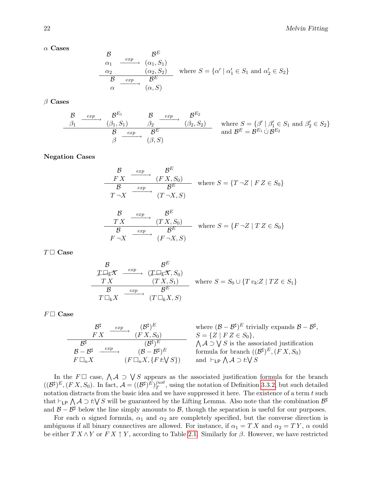$\alpha$  Cases

$$
\begin{array}{ccc}\n\mathcal{B} & \mathcal{B}^E \\
\alpha_1 & \xrightarrow{exp} & (\alpha_1, S_1) \\
\hline\n\alpha_2 & (\alpha_2, S_2) & \text{where } S = \{ \alpha' \mid \alpha_1' \in S_1 \text{ and } \alpha_2' \in S_2 \} \\
\hline\n\mathcal{B} & \xrightarrow{exp} & \beta^E & \\
\alpha & \xrightarrow{(\alpha, S)} & \n\end{array}
$$

 $\beta$  Cases

$$
\begin{array}{c}\n\mathcal{B} \xrightarrow{exp} \mathcal{B}^{E_1} \xrightarrow{g_2} \mathcal{B}^{E_2} \\
\hline\n\beta_1 \xrightarrow{exp} \beta_2 \xrightarrow{exp} \beta_2 \xrightarrow{g_2} \mathcal{B}^{E_2} \\
\hline\n\beta \xrightarrow{exp} \mathcal{B}^E \xrightarrow{g_2} \text{and } \mathcal{B}^E = \mathcal{B}^{E_1} \cup \mathcal{B}^{E_2}\n\end{array}\n\text{where } S = \{\beta' \mid \beta'_1 \in S_1 \text{ and } \beta'_2 \in S_2\}
$$

### Negation Cases

$$
\begin{array}{ccc}\n\mathcal{B} & \xrightarrow{exp} & \mathcal{B}^E \\
\hline\nF X & \xrightarrow{(F X, S_0)} & \text{where } S = \{T \neg Z \mid F Z \in S_0\} \\
T \neg X & \xrightarrow{(T \neg X, S)} & \xrightarrow{(T \neg X, S)} \\
\mathcal{B} & \xrightarrow{exp} & \mathcal{B}^E & \xrightarrow{(TX, S_0)} & \text{where } S = \{F \neg Z \mid T Z \in S_0\} \\
F \neg X & \xrightarrow{(F \neg X, S)} & \xrightarrow{(F \neg X, S)} & \xrightarrow{(T \neg X, S)} & \xrightarrow{(T \neg X, S)} & \xrightarrow{(T \neg X, S)} & \xrightarrow{(T \neg X, S)} & \xrightarrow{(T \neg X, S)} & \xrightarrow{(T \neg X, S)} & \xrightarrow{(T \neg X, S)} & \xrightarrow{(T \neg X, S)} & \xrightarrow{(T \neg X, S)} & \xrightarrow{(T \neg X, S)} & \xrightarrow{(T \neg X, S)} & \xrightarrow{(T \neg X, S)} & \xrightarrow{(T \neg X, S)} & \xrightarrow{(T \neg X, S)} & \xrightarrow{(T \neg X, S)} & \xrightarrow{(T \neg X, S)} & \xrightarrow{(T \neg X, S)} & \xrightarrow{(T \neg X, S)} & \xrightarrow{(T \neg X, S)} & \xrightarrow{(T \neg X, S)} & \xrightarrow{(T \neg X, S)} & \xrightarrow{(T \neg X, S)} & \xrightarrow{(T \neg X, S)} & \xrightarrow{(T \neg X, S)} & \xrightarrow{(T \neg X, S)} & \xrightarrow{(T \neg X, S)} & \xrightarrow{(T \neg X, S)} & \xrightarrow{(T \neg X, S)} & \xrightarrow{(T \neg X, S)} & \xrightarrow{(T \neg X, S)} & \xrightarrow{(T \neg X, S)} & \xrightarrow{(T \neg X, S)} & \xrightarrow{(T \neg X, S)} & \xrightarrow{(T \neg X, S)} & \xrightarrow{(T \neg X, S)} & \xrightarrow{(T \neg X, S)} & \xrightarrow{(T \neg X, S)} & \xrightarrow{(T \neg X, S)} & \xrightarrow{(T \neg X, S
$$

 $(F\neg X, S)$ 

 $T \Box$  Case

$$
\begin{array}{ccc}\n\mathcal{B} & \mathcal{B}^E \\
\mathcal{I} \Box_K \mathcal{K} & \xrightarrow{exp} & (\mathcal{I} \Box_K \mathcal{K}, S_0) \\
\hline\n\mathcal{I} & \mathcal{S} & \xrightarrow{exp} & (\mathcal{T} \mathcal{K}, S_1) \\
\hline\n\mathcal{B} & \xrightarrow{exp} & \mathcal{B}^E & \\
\hline\n\mathcal{I} \Box_k X & \xrightarrow{exp} & (\mathcal{T} \Box_k X, S)\n\end{array}\n\text{ where } S = S_0 \cup \{T v_k : Z \mid T Z \in S_1\}
$$

 $F\Box$  Case

$$
\begin{array}{c}\n\mathcal{B}^{\sharp} \xrightarrow{\exp} (\mathcal{B}^{\sharp})^{E} \text{ where } (\mathcal{B} - \mathcal{B}^{\sharp})^{E} \text{ trivially expands } \mathcal{B} - \mathcal{B}^{\sharp}, \\
\hline\n\mathcal{B}^{\sharp} \xrightarrow{\exp} (\mathcal{B}^{\sharp})^{E} \xrightarrow{\exp} (\mathcal{B} - \mathcal{B}^{\sharp})^{E} \text{ trivially expands } \mathcal{B} - \mathcal{B}^{\sharp}, \\
\hline\n\mathcal{B} - \mathcal{B}^{\sharp} \xrightarrow{\exp} (\mathcal{B} - \mathcal{B}^{\sharp})^{E} \text{ formula for branch } ((\mathcal{B}^{\sharp})^{E}, (FX, S_{0}) \\
F \Box_{n} X \xrightarrow{\exp} (\mathcal{F} \Box_{n} X, \{F t : \forall S\}) \text{ and } \vdash_{\mathsf{LP}} \bigwedge \mathcal{A} \supset t \cdot \bigvee S\n\end{array}
$$

In the  $F\Box$  case,  $\bigwedge \mathcal{A} \supset \bigvee S$  appears as the associated justification formula for the branch  $((\mathcal{B}^{\sharp})^E, (FX, S_0).$  In fact,  $\mathcal{A} = ((\mathcal{B}^{\sharp})^E)^{just}_{T}$  $T^{just}_{T}$ , using the notation of Definition [3.3.2,](#page-21-2) but such detailed notation distracts from the basic idea and we have suppressed it here. The existence of a term  $t$  such that  $\vdash_L$ P  $\bigwedge \mathcal{A} \supset t:\bigvee S$  will be guaranteed by the Lifting Lemma. Also note that the combination  $\mathcal{B}^{\sharp}$ and  $\mathcal{B} - \mathcal{B}^{\sharp}$  below the line simply amounts to  $\mathcal{B}$ , though the separation is useful for our purposes.

For each  $\alpha$  signed formula,  $\alpha_1$  and  $\alpha_2$  are completely specified, but the converse direction is ambiguous if all binary connectives are allowed. For instance, if  $\alpha_1 = TX$  and  $\alpha_2 = TY$ ,  $\alpha$  could be either  $TX \wedge Y$  or  $FX \uparrow Y$ , according to Table [2.1.](#page-12-1) Similarly for  $\beta$ . However, we have restricted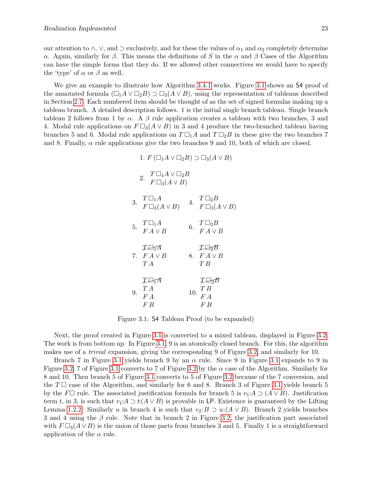our attention to  $\land$ ,  $\lor$ , and  $\supset$  exclusively, and for these the values of  $\alpha_1$  and  $\alpha_2$  completely determine α. Again, similarly for β. This means the definitions of S in the α and β Cases of the Algorithm can have the simple forms that they do. If we allowed other connectives we would have to specify the 'type' of  $\alpha$  or  $\beta$  as well.

We give an example to illustrate how Algorithm [3.4.1](#page-22-0) works. Figure [3.1](#page-24-0) shows an 54 proof of the annotated formula  $(\Box_1 A \lor \Box_2 B) \supset \Box_3(A \lor B)$ , using the representation of tableaus described in Section [2.7.](#page-16-0) Each numbered item should be thought of as the set of signed formulas making up a tableau branch. A detailed description follows. 1 is the initial single branch tableau. Single branch tableau 2 follows from 1 by  $\alpha$ . A  $\beta$  rule application creates a tableau with two branches, 3 and 4. Modal rule applications on  $F \Box_3(A \lor B)$  in 3 and 4 produce the two-branched tableau having branches 5 and 6. Modal rule applications on  $T \Box_1 A$  and  $T \Box_2 B$  in these give the two branches 7 and 8. Finally,  $\alpha$  rule applications give the two branches 9 and 10, both of which are closed.

> 1.  $F(\Box_1 A \lor \Box_2 B) \supset \Box_3(A \lor B)$ 2.  $T \Box_1 A \lor \Box_2 B$  $F \Box_3(A \vee B)$ 3.  $T \square_1 A$  $T \Box_1 A$ <br>  $F \Box_3(A \vee B)$  4.  $T \Box_2 B$ <br>  $F \Box_3(A$  $F \Box_3(A \vee B)$ 5.  $T \square_1 A$  $F A \vee B$ 6.  $T \square_2 B$  $F A \vee B$ 7.  $F A \vee B$  $T \rightarrow A$ T A 8.  $FA \vee B$  $T \rightarrow B$ T B 9.  $T \Box T$ T A F A F B 10.  $T \Box_2 B$ T B F A F B

<span id="page-24-0"></span>Figure 3.1: S4 Tableau Proof (to be expanded)

Next, the proof created in Figure [3.1](#page-24-0) is converted to a mixed tableau, displayed in Figure [3.2.](#page-25-1) The work is from bottom up. In Figure [3.1,](#page-24-0) 9 is an atomically closed branch. For this, the algorithm makes use of a trivial expansion, giving the corresponding 9 of Figure [3.2,](#page-25-1) and similarly for 10.

Branch 7 in Figure [3.1](#page-24-0) yields branch 9 by an  $\alpha$  rule. Since 9 in Figure 3.1 expands to 9 in Figure [3.2,](#page-25-1) 7 of Figure [3.1](#page-24-0) converts to 7 of Figure [3.2](#page-25-1) by the  $\alpha$  case of the Algorithm. Similarly for 8 and 10. Then branch 5 of Figure [3.1](#page-24-0) converts to 5 of Figure [3.2](#page-25-1) because of the 7 conversion, and the  $T\Box$  case of the Algorithm, and similarly for 6 and 8. Branch 3 of Figure [3.1](#page-24-0) yields branch 5 by the F $\Box$  rule. The associated justification formula for branch 5 is  $v_1:A \supset (A \vee B)$ . Justification term t, in 3, is such that  $v_1:A \supset t:(A \vee B)$  is provable in LP. Existence is guaranteed by the Lifting Lemma [1.2.2.](#page-9-0) Similarly u in branch 4 is such that  $v_2: B \supset u:(A \vee B)$ . Branch 2 yields branches 3 and 4 using the  $\beta$  rule. Note that in branch 2 in Figure [3.2,](#page-25-1) the justification part associated with  $F \Box_3(A \lor B)$  is the union of those parts from branches 3 and 5. Finally 1 is a straightforward application of the  $\alpha$  rule.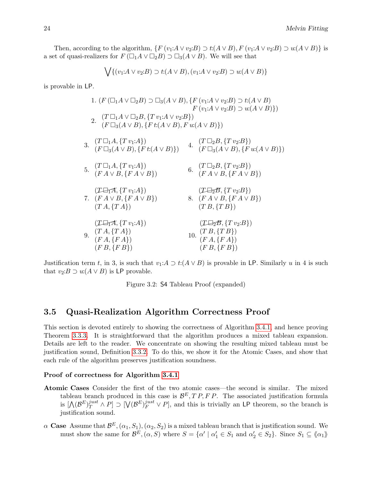Then, according to the algorithm,  $\{F(v_1:A \vee v_2:B) \supset t:(A \vee B), F(v_1:A \vee v_2:B) \supset u:(A \vee B)\}\$ is a set of quasi-realizers for  $F(\Box_1 A \lor \Box_2 B) \supset \Box_3(A \lor B)$ . We will see that

$$
\bigvee \{ (v_1:A \vee v_2:B) \supset t(A \vee B), (v_1:A \vee v_2:B) \supset u(A \vee B) \}
$$

is provable in LP.

1. 
$$
(F(\Box_1 A \lor \Box_2 B) \supset \Box_3(A \lor B), \{F(v_1:A \lor v_2:B) \supset t(A \lor B)
$$
  
\n $F(v_1:A \lor v_2:B) \supset u(A \lor B)\})$   
\n2.  $(T \Box_1 A \lor \Box_2 B, \{T v_1:A \lor v_2:B\})$   
\n3.  $(F \Box_3(A \lor B), \{F t:(A \lor B), F u:(A \lor B)\})$   
\n4.  $(T \Box_2 B, \{T v_2:B\})$   
\n5.  $(T \Box_1 A, \{T v_1:A\})$   
\n $(F \Box_3(A \lor B), \{F t:(A \lor B)\})$   
\n6.  $(T \Box_2 B, \{T v_2:B\})$   
\n $(F A \lor B, \{F A \lor B\})$   
\n7.  $(F A \lor B, \{F A \lor B\})$   
\n $(T \Box_1 A, \{T v_1:A\})$   
\n8.  $(F A \lor B, \{F A \lor B\})$   
\n9.  $(T A, \{T A\})$   
\n10.  $(T B, \{T B\})$   
\n11.  $(T \Box_2 B, \{T v_2:B\})$   
\n12.  $(T \Box_2 B, \{T v_2:B\})$   
\n13.  $(T \Box_1 A, \{T v_1:A\})$   
\n $(T \Box_2 B, \{T v_2:B\})$   
\n14.  $(T \Box_2 B, \{T v_2:B\})$   
\n $(T A \lor B, \{F A \lor B\})$   
\n $(T B, \{F A \lor B\})$   
\n $(T B, \{T B\})$   
\n $(T B, \{T B\})$   
\n $(T B, \{F B\})$   
\n $(T B, \{F B\})$   
\n $(T B, \{F B\})$   
\n $(T B, \{F B\})$ 

Justification term t, in 3, is such that  $v_1:A \supset t:(A \vee B)$  is provable in LP. Similarly u in 4 is such that  $v_2: B \supset u: (A \vee B)$  is LP provable.

<span id="page-25-1"></span>Figure 3.2: S4 Tableau Proof (expanded)

### <span id="page-25-0"></span>3.5 Quasi-Realization Algorithm Correctness Proof

This section is devoted entirely to showing the correctness of Algorithm [3.4.1,](#page-22-0) and hence proving Theorem [3.3.3.](#page-21-1) It is straightforward that the algorithm produces a mixed tableau expansion. Details are left to the reader. We concentrate on showing the resulting mixed tableau must be justification sound, Definition [3.3.2.](#page-21-2) To do this, we show it for the Atomic Cases, and show that each rule of the algorithm preserves justification soundness.

#### Proof of correctness for Algorithm [3.4.1](#page-22-0)

- Atomic Cases Consider the first of the two atomic cases—the second is similar. The mixed tableau branch produced in this case is  $\mathcal{B}^E$ ,  $TP$ ,  $FP$ . The associated justification formula is  $[\Lambda(\mathcal{B}^E)^{just}_T \wedge P] \supset [\bigvee (\mathcal{B}^E)^{just}_F \vee P]$ , and this is trivially an LP theorem, so the branch is justification sound.
- $\alpha$  Case Assume that  $\mathcal{B}^E$ ,  $(\alpha_1, S_1)$ ,  $(\alpha_2, S_2)$  is a mixed tableau branch that is justification sound. We must show the same for  $\mathcal{B}^E$ ,  $(\alpha, S)$  where  $S = {\alpha' | \alpha_1 \in S_1 \text{ and } \alpha_2' \in S_2}$ . Since  $S_1 \subseteq \langle \alpha_1 \rangle$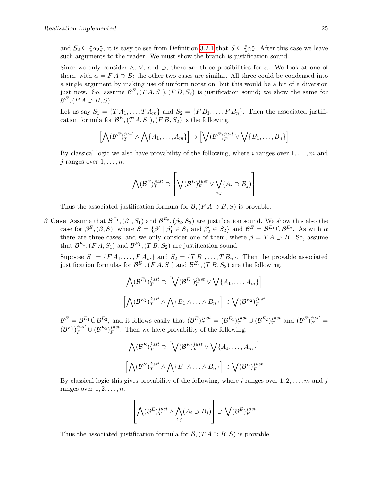and  $S_2 \subseteq \langle \alpha_2 \rangle$ , it is easy to see from Definition [3.2.1](#page-19-3) that  $S \subseteq \langle \alpha \rangle$ . After this case we leave such arguments to the reader. We must show the branch is justification sound.

Since we only consider  $\wedge$ ,  $\vee$ , and  $\supset$ , there are three possibilities for  $\alpha$ . We look at one of them, with  $\alpha = F A \supset B$ ; the other two cases are similar. All three could be condensed into a single argument by making use of uniform notation, but this would be a bit of a diversion just now. So, assume  $\mathcal{B}^E$ ,  $(T A, S_1)$ ,  $(F B, S_2)$  is justification sound; we show the same for  $\mathcal{B}^E$ ,  $(F A \supset B, S)$ .

Let us say  $S_1 = \{T A_1, \ldots, T A_m\}$  and  $S_2 = \{F B_1, \ldots, F B_n\}$ . Then the associated justification formula for  $\mathcal{B}^E$ ,  $(T A, S_1)$ ,  $(F B, S_2)$  is the following.

$$
\left[\bigwedge(\mathcal{B}^E)^{just}_{T} \wedge \bigwedge\{A_1,\ldots,A_m\}\right] \supset \left[\bigvee(\mathcal{B}^E)^{just}_{F} \vee \bigvee\{B_1,\ldots,B_n\}\right]
$$

By classical logic we also have provability of the following, where i ranges over  $1, \ldots, m$  and j ranges over  $1, \ldots, n$ .

$$
\bigwedge(\mathcal{B}^E)^{just}_{T} \supset \left[ \bigvee(\mathcal{B}^E)^{just}_{F} \vee \bigvee_{i,j} (A_i \supset B_j) \right]
$$

Thus the associated justification formula for  $\mathcal{B}, (FA \supset B, S)$  is provable.

 $\beta$  Case Assume that  $\mathcal{B}^{E_1}$ ,  $(\beta_1, S_1)$  and  $\mathcal{B}^{E_2}$ ,  $(\beta_2, S_2)$  are justification sound. We show this also the case for  $\beta^E$ ,  $(\beta, S)$ , where  $S = {\beta' \mid \beta'_1 \in S_1 \text{ and } \beta'_2 \in S_2}$  and  $\beta^E = \beta^{E_1} \cup \beta^{E_2}$ . As with  $\alpha$ there are three cases, and we only consider one of them, where  $\beta = TA \supset B$ . So, assume that  $\mathcal{B}^{E_1}$ ,  $(F A, S_1)$  and  $\mathcal{B}^{E_2}$ ,  $(T B, S_2)$  are justification sound.

Suppose  $S_1 = \{F A_1, \ldots, F A_m\}$  and  $S_2 = \{T B_1, \ldots, T B_n\}$ . Then the provable associated justification formulas for  $\mathcal{B}^{E_1}$ ,  $(F A, S_1)$  and  $\mathcal{B}^{E_2}$ ,  $(T B, S_2)$  are the following.

$$
\bigwedge (\mathcal{B}^{E_1})_T^{just} \supset \Big[\bigvee (\mathcal{B}^{E_1})_F^{just} \vee \bigvee \{A_1, \dots, A_m\}\Big]
$$

$$
\Big[\bigwedge (\mathcal{B}^{E_2})_T^{just} \wedge \bigwedge \{B_1 \wedge \dots \wedge B_n\}\Big] \supset \bigvee (\mathcal{B}^{E_2})_F^{just}
$$

 $\mathcal{B}^E = \mathcal{B}^{E_1} \cup \mathcal{B}^{E_2}$ , and it follows easily that  $(\mathcal{B}^E)^{just}_{T} = (\mathcal{B}^{E_1})^{just}_{T} \cup (\mathcal{B}^{E_2})^{just}_{T}$  $j_1^{just}$  and  $(\mathcal{B}^E)_{F}^{just}$  =  $(\mathcal{B}^{E_1})_F^{just} \cup (\mathcal{B}^{E_2})_F^{just}$  $j_{\text{u}}^{\text{just}}$ . Then we have provability of the following.

$$
\bigwedge (\mathcal{B}^E)^{just}_{T} \supset \Big[\bigvee (\mathcal{B}^E)^{just}_{F} \vee \bigvee \{A_1, \dots, A_m\}\Big]
$$

$$
\Big[\bigwedge (\mathcal{B}^E)^{just}_{T} \wedge \bigwedge \{B_1 \wedge \dots \wedge B_n\}\Big] \supset \bigvee (\mathcal{B}^E)^{just}_{F}
$$

By classical logic this gives provability of the following, where i ranges over  $1, 2, \ldots, m$  and j ranges over  $1, 2, \ldots, n$ .

$$
\left[\bigwedge(\mathcal{B}^E)^{just}_{T} \wedge \bigwedge_{i,j}(A_i \supset B_j)\right] \supset \bigvee(\mathcal{B}^E)^{just}_{F}
$$

Thus the associated justification formula for  $\mathcal{B}$ ,  $(T A \supset B, S)$  is provable.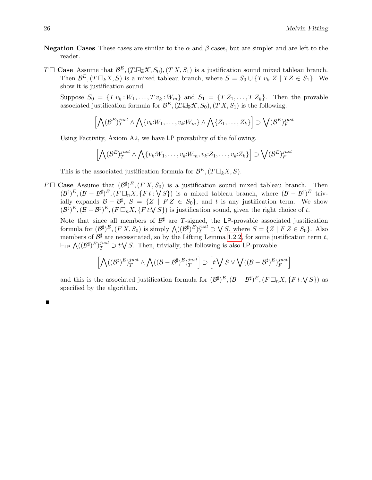- **Negation Cases** These cases are similar to the  $\alpha$  and  $\beta$  cases, but are simpler and are left to the reader.
- $T \Box$  Case Assume that  $\mathcal{B}^E$ ,  $( \mathcal{I} \Box_K \mathcal{X}, S_0), (TX, S_1)$  is a justification sound mixed tableau branch. Then  $\mathcal{B}^E$ ,  $(T \Box_k X, S)$  is a mixed tableau branch, where  $S = S_0 \cup \{T v_k : Z \mid T Z \in S_1\}$ . We show it is justification sound.

Suppose  $S_0 = \{Tv_k:W_1,\ldots, Tv_k:W_m\}$  and  $S_1 = \{TZ_1,\ldots, TZ_k\}$ . Then the provable  $\mathcal{B}(\mathcal{A}) = \{x \in \mathcal{B} : \mathcal{B}(\mathcal{A}) : \mathcal{A} \in \mathcal{B}(\mathcal{A})\}$  and  $\mathcal{B}(\mathcal{A}) = \{x \in \mathcal{B}(\mathcal{A}), \mathcal{B}(\mathcal{A}) : \mathcal{B}(\mathcal{A})\}$  associated justification formula for  $\mathcal{B}^E$ ,  $(\mathcal{I}\Box\mathcal{A}\mathcal{A}, S_0), (T X, S_1)$  is the follo

$$
\left[\bigwedge(\mathcal{B}^E)^{just}_{T} \land \bigwedge\{v_k:W_1,\ldots,v_k:W_m\} \land \bigwedge\{Z_1,\ldots,Z_k\}\right] \supset \bigvee(\mathcal{B}^E)^{just}_{F}
$$

Using Factivity, Axiom A2, we have LP provability of the following.

$$
\left[\bigwedge(\mathcal{B}^E)^{just}_{T} \land \bigwedge\{v_k{:}W_1,\ldots,v_k{:}W_m,v_k{:}Z_1,\ldots,v_k{:}Z_k\}\right] \supset \bigvee(\mathcal{B}^E)^{just}_{F}
$$

This is the associated justification formula for  $\mathcal{B}^E$ ,  $(T \Box_k X, S)$ .

 $F \Box$  Case Assume that  $(\mathcal{B}^{\sharp})^E$ ,  $(F X, S_0)$  is a justification sound mixed tableau branch. Then  $(\mathcal{B}^{\sharp})^E$ ,  $(\mathcal{B}-\mathcal{B}^{\sharp})^E$ ,  $(F \Box_n X, \{F \ t : \bigvee S\})$  is a mixed tableau branch, where  $(\mathcal{B}-\mathcal{B}^{\sharp})^E$  trivially expands  $\mathcal{B} - \mathcal{B}^{\sharp}$ ,  $S = \{Z \mid FZ \in S_0\}$ , and t is any justification term. We show  $(\mathcal{B}^{\sharp})^E$ ,  $(\mathcal{B} - \mathcal{B}^{\sharp})^E$ ,  $(F \Box_n X, \{F \, t: \bigvee S\})$  is justification sound, given the right choice of t.

Note that since all members of  $\mathcal{B}^{\sharp}$  are T-signed, the LP-provable associated justification formula for  $(\mathcal{B}^{\sharp})^E$ ,  $(F X, S_0)$  is simply  $\bigwedge ((\mathcal{B}^{\sharp})^E)^{just}_{T} \supset \bigvee S$ , where  $S = \{Z \mid F Z \in S_0\}$ . Also members of  $\mathcal{B}^{\sharp}$  are necessitated, so by the Lifting Lemma [1.2.2,](#page-9-0) for some justification term t,  $\vdash_{\mathsf{LP}} \bigwedge ((\mathcal{B}^{\sharp})_T^{E})_T^{just} \supset t:\bigvee S$ . Then, trivially, the following is also LP-provable

$$
\left[\bigwedge (({\mathcal B}^{\sharp})^{E})^{just}_T \wedge \bigwedge (({\mathcal B}-{\mathcal B}^{\sharp})^{E})^{just}_T\right] \supset \left[t \bigvee S \vee \bigvee (({\mathcal B}-{\mathcal B}^{\sharp})^{E})^{just}_F\right]
$$

and this is the associated justification formula for  $(\mathcal{B}^{\sharp})^E$ ,  $(\mathcal{B} - \mathcal{B}^{\sharp})^E$ ,  $(F \Box_n X, \{F \, t : \bigvee S\})$  as specified by the algorithm.

| ×, | 전 사      |  |
|----|----------|--|
|    | ۰.<br>۰. |  |
|    | ۰.       |  |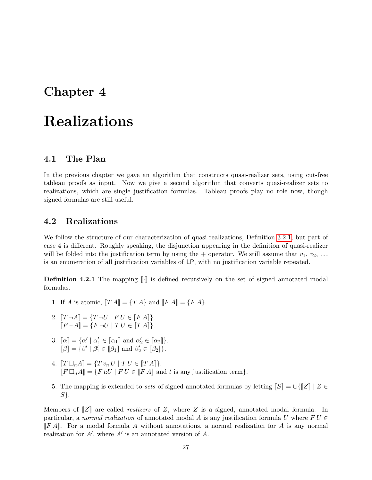# <span id="page-28-0"></span>Chapter 4

# Realizations

### <span id="page-28-1"></span>4.1 The Plan

In the previous chapter we gave an algorithm that constructs quasi-realizer sets, using cut-free tableau proofs as input. Now we give a second algorithm that converts quasi-realizer sets to realizations, which are single justification formulas. Tableau proofs play no role now, though signed formulas are still useful.

### <span id="page-28-2"></span>4.2 Realizations

We follow the structure of our characterization of quasi-realizations, Definition [3.2.1,](#page-19-3) but part of case 4 is different. Roughly speaking, the disjunction appearing in the definition of quasi-realizer will be folded into the justification term by using the + operator. We still assume that  $v_1, v_2, \ldots$ is an enumeration of all justification variables of LP, with no justification variable repeated.

**Definition 4.2.1** The mapping  $\llbracket \cdot \rrbracket$  is defined recursively on the set of signed annotated modal formulas.

- 1. If A is atomic,  $[[T A]] = {T A}$  and  $[[F A]] = {F A}$ .
- 2.  $[T \neg A] = \{T \neg U \mid F U \in [F A]\}.$  $[ F \neg A ] = \{ F \neg U \mid TU \in [ T A ] \}.$
- 3.  $[\![\alpha]\!] = {\{\alpha' \mid \alpha'_1 \in [\![\alpha_1]\!] \text{ and } \alpha'_2 \in [\![\alpha_2]\!] \}}.$  $\llbracket \beta \rrbracket = \{ \beta' \mid \beta_1' \in \llbracket \beta_1 \rrbracket \text{ and } \beta_2' \in \llbracket \beta_2 \rrbracket \}.$
- 4.  $[[T \Box_n A] = \{T v_n : U | T U \in [[T A]]\}.$  $[\![F \Box_n A]\!] = \{F \, t \cdot U \mid F \, U \in [\![\overline{F} A]\!] \]$  and t is any justification term.
- 5. The mapping is extended to sets of signed annotated formulas by letting  $\llbracket S \rrbracket = \bigcup \{ \llbracket Z \rrbracket \mid Z \in$ S}.

Members of  $\llbracket Z \rrbracket$  are called *realizers* of Z, where Z is a signed, annotated modal formula. In particular, a normal realization of annotated modal A is any justification formula U where  $FU \in$  $\llbracket F A \rrbracket$ . For a modal formula A without annotations, a normal realization for A is any normal realization for  $A'$ , where  $A'$  is an annotated version of  $A$ .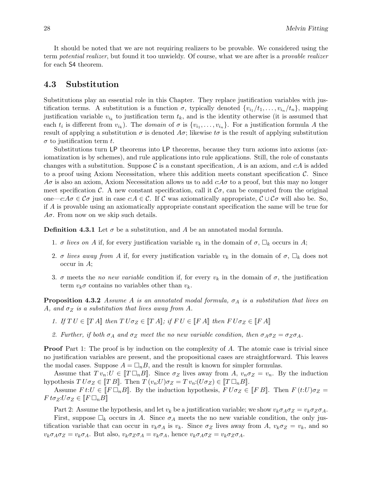It should be noted that we are not requiring realizers to be provable. We considered using the term potential realizer, but found it too unwieldy. Of course, what we are after is a provable realizer for each S4 theorem.

### <span id="page-29-0"></span>4.3 Substitution

Substitutions play an essential role in this Chapter. They replace justification variables with justification terms. A substitution is a function  $\sigma$ , typically denoted  $\{v_{i_1}/t_1, \ldots, v_{i_n}/t_n\}$ , mapping justification variable  $v_{i_k}$  to justification term  $t_k$ , and is the identity otherwise (it is assumed that each  $t_i$  is different from  $v_{i_k}$ ). The *domain* of  $\sigma$  is  $\{v_{i_1}, \ldots, v_{i_n}\}$ . For a justification formula A the result of applying a substitution  $\sigma$  is denoted  $A\sigma$ ; likewise  $t\sigma$  is the result of applying substitution  $\sigma$  to justification term t.

Substitutions turn LP theorems into LP theorems, because they turn axioms into axioms (axiomatization is by schemes), and rule applications into rule applications. Still, the role of constants changes with a substitution. Suppose C is a constant specification, A is an axiom, and  $cA$  is added to a proof using Axiom Necessitation, where this addition meets constant specification  $\mathcal{C}$ . Since  $A\sigma$  is also an axiom, Axiom Necessitation allows us to add  $c \cdot A\sigma$  to a proof, but this may no longer meet specification C. A new constant specification, call it  $\mathcal{C}\sigma$ , can be computed from the original one—c: $A\sigma \in \mathcal{C}\sigma$  just in case  $c: A \in \mathcal{C}$ . If C was axiomatically appropriate,  $\mathcal{C} \cup \mathcal{C}\sigma$  will also be. So, if A is provable using an axiomatically appropriate constant specification the same will be true for  $A\sigma$ . From now on we skip such details.

**Definition 4.3.1** Let  $\sigma$  be a substitution, and A be an annotated modal formula.

- 1.  $\sigma$  lives on A if, for every justification variable  $v_k$  in the domain of  $\sigma$ ,  $\Box_k$  occurs in A;
- 2. σ lives away from A if, for every justification variable  $v_k$  in the domain of  $\sigma$ ,  $\Box_k$  does not occur in A;
- 3.  $\sigma$  meets the *no new variable* condition if, for every  $v_k$  in the domain of  $\sigma$ , the justification term  $v_k \sigma$  contains no variables other than  $v_k$ .

<span id="page-29-1"></span>**Proposition 4.3.2** Assume A is an annotated modal formula,  $\sigma_A$  is a substitution that lives on A, and  $\sigma_Z$  is a substitution that lives away from A.

- 1. If  $TU \in [TA]$  then  $TU\sigma_Z \in [TA]$ ; if  $FU \in [FA]$  then  $FU\sigma_Z \in [FA]$
- 2. Further, if both  $\sigma_A$  and  $\sigma_Z$  meet the no new variable condition, then  $\sigma_A \sigma_Z = \sigma_Z \sigma_A$ .

**Proof** Part 1: The proof is by induction on the complexity of A. The atomic case is trivial since no justification variables are present, and the propositional cases are straightforward. This leaves the modal cases. Suppose  $A = \Box_n B$ , and the result is known for simpler formulas.

Assume that  $Tv_n:U \in [T \square_n B]$ . Since  $\sigma_Z$  lives away from A,  $v_n \sigma_Z = v_n$ . By the induction hypothesis  $T U \sigma_Z \in [T B]$ . Then  $T (v_n:U) \sigma_Z = T v_n: (U \sigma_Z) \in [T \Box_n B]$ .

Assume  $F t: U \in [F \Box_n B]$ . By the induction hypothesis,  $F U \sigma_Z \in [F B]$ . Then  $F (t:U) \sigma_Z =$  $F t \sigma_Z : U \sigma_Z \in [F \Box_n B]$ 

Part 2: Assume the hypothesis, and let  $v_k$  be a justification variable; we show  $v_k \sigma_A \sigma_Z = v_k \sigma_Z \sigma_A$ .

First, suppose  $\Box_k$  occurs in A. Since  $\sigma_A$  meets the no new variable condition, the only justification variable that can occur in  $v_k \sigma_A$  is  $v_k$ . Since  $\sigma_Z$  lives away from A,  $v_k \sigma_Z = v_k$ , and so  $v_k \sigma_A \sigma_Z = v_k \sigma_A$ . But also,  $v_k \sigma_Z \sigma_A = v_k \sigma_A$ , hence  $v_k \sigma_A \sigma_Z = v_k \sigma_Z \sigma_A$ .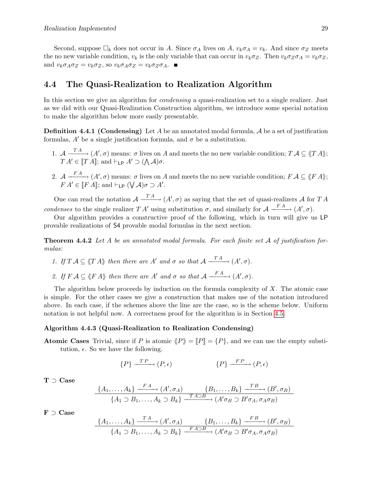Second, suppose  $\Box_k$  does not occur in A. Since  $\sigma_A$  lives on A,  $v_k \sigma_A = v_k$ . And since  $\sigma_Z$  meets the no new variable condition,  $v_k$  is the only variable that can occur in  $v_k \sigma_Z$ . Then  $v_k \sigma_Z \sigma_A = v_k \sigma_Z$ , and  $v_k \sigma_A \sigma_Z = v_k \sigma_Z$ , so  $v_k \sigma_A \sigma_Z = v_k \sigma_Z \sigma_A$ .

### <span id="page-30-0"></span>4.4 The Quasi-Realization to Realization Algorithm

In this section we give an algorithm for *condensing* a quasi-realization set to a single realizer. Just as we did with our Quasi-Realization Construction algorithm, we introduce some special notation to make the algorithm below more easily presentable.

<span id="page-30-3"></span>**Definition 4.4.1 (Condensing)** Let A be an annotated modal formula, A be a set of justification formulas, A' be a single justification formula, and  $\sigma$  be a substitution.

- 1.  $\mathcal{A} \xrightarrow{T A} (A', \sigma)$  means:  $\sigma$  lives on A and meets the no new variable condition;  $T A \subseteq \langle T A \rangle$ ;  $T A' \in [T A];$  and  $\vdash_{\mathsf{LP}} A' \supset (\bigwedge \mathcal{A})\sigma.$
- 2.  $\mathcal{A} \xrightarrow{FA} (A', \sigma)$  means:  $\sigma$  lives on A and meets the no new variable condition;  $F \mathcal{A} \subseteq \langle \! \langle F \, A \rangle \! \rangle$ ;  $FA' \in [FA]$ ; and  $\vdash_{\mathsf{LP}} (\bigvee \mathcal{A})\sigma \supset A'.$

One can read the notation  $\mathcal{A} \xrightarrow{T A} (A', \sigma)$  as saying that the set of quasi-realizers  $\mathcal A$  for T A condenses to the single realizer T A' using substitution  $\sigma$ , and similarly for  $\mathcal{A} \xrightarrow{FA} (A', \sigma)$ .

Our algorithm provides a constructive proof of the following, which in turn will give us LP provable realizations of S4 provable modal formulas in the next section.

<span id="page-30-2"></span>**Theorem 4.4.2** Let A be an annotated modal formula. For each finite set A of justification formulas:

- 1. If  $T A \subseteq \langle T A \rangle$  then there are A' and  $\sigma$  so that  $A \xrightarrow{T A} (A', \sigma)$ .
- 2. If  $F A \subseteq \langle F A \rangle$  then there are A' and  $\sigma$  so that  $A \xrightarrow{FA} (A', \sigma)$ .

The algorithm below proceeds by induction on the formula complexity of  $X$ . The atomic case is simple. For the other cases we give a construction that makes use of the notation introduced above. In each case, if the schemes above the line are the case, so is the scheme below. Uniform notation is not helpful now. A correctness proof for the algorithm is in Section [4.5.](#page-32-0)

#### <span id="page-30-1"></span>Algorithm 4.4.3 (Quasi-Realization to Realization Condensing)

**Atomic Cases** Trivial, since if P is atomic  $\langle P \rangle = [P] = \{P\}$ , and we can use the empty substitution,  $\epsilon$ . So we have the following.

$$
\{P\} \xrightarrow{\text{TP}} (P, \epsilon) \qquad \{P\} \xrightarrow{\text{FP}} (P, \epsilon)
$$

T ⊃ Case

$$
\frac{\{A_1,\ldots,A_k\} \xrightarrow{FA} (A',\sigma_A)}{\{A_1 \supset B_1,\ldots,A_k \supset B_k\} \xrightarrow{T A \supset B} (A'\sigma_B \supset B'\sigma_A,\sigma_A\sigma_B)}
$$

F ⊃ Case

$$
\frac{\{A_1,\ldots,A_k\} \xrightarrow{T A} (A',\sigma_A)}{\{A_1 \supset B_1,\ldots,A_k \supset B_k\} \xrightarrow{F A \supset B} (A'\sigma_B \supset B'\sigma_A,\sigma_A\sigma_B)}
$$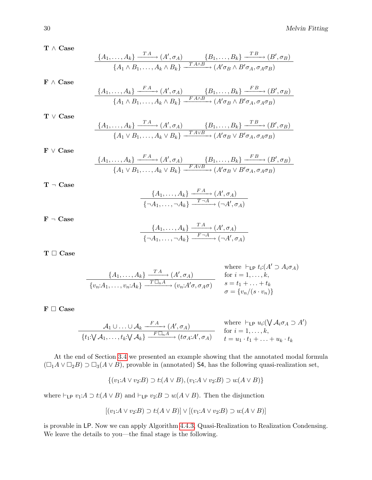$T \wedge Case$ 

$$
\frac{\{A_1,\ldots,A_k\} \xrightarrow{\text{T A}} (A',\sigma_A)}{\{A_1 \wedge B_1,\ldots,A_k \wedge B_k\} \xrightarrow{\text{T A} \wedge B} (A'\sigma_B \wedge B'\sigma_A,\sigma_A\sigma_B)}
$$

 $\mathbf{F} \, \wedge \, \mathbf{Case}$ 

$$
\frac{\{A_1,\ldots,A_k\} \xrightarrow{FA} (A',\sigma_A) \qquad \{B_1,\ldots,B_k\} \xrightarrow{FB} (B',\sigma_B)}{\{A_1 \wedge B_1,\ldots,A_k \wedge B_k\} \xrightarrow{FA \wedge B} (A'\sigma_B \wedge B'\sigma_A,\sigma_A\sigma_B)}
$$

 $\mathbf{T} \ \vee \ \mathbf{Case}$ 

$$
\frac{\{A_1,\ldots,A_k\} \xrightarrow{T A} (A',\sigma_A) \qquad \{B_1,\ldots,B_k\} \xrightarrow{T B} (B',\sigma_B)}{\{A_1 \vee B_1,\ldots,A_k \vee B_k\} \xrightarrow{T A \vee B} (A'\sigma_B \vee B'\sigma_A,\sigma_A\sigma_B)}
$$

F ∨ Case

$$
\frac{\{A_1,\ldots,A_k\} \xrightarrow{FA} (A',\sigma_A) \qquad \{B_1,\ldots,B_k\} \xrightarrow{FB} (B',\sigma_B)}{\{A_1 \vee B_1,\ldots,A_k \vee B_k\} \xrightarrow{FA \vee B} (A'\sigma_B \vee B'\sigma_A,\sigma_A\sigma_B)}
$$

$$
\mathbf{T}\,\neg\,\mathbf{Case}
$$

$$
\frac{\{A_1,\ldots,A_k\} \xrightarrow{FA} (A',\sigma_A)}{\{\neg A_1,\ldots,\neg A_k\} \xrightarrow{T\neg A} (\neg A',\sigma_A)}
$$

 $F \neg$  Case

$$
\frac{\{A_1,\ldots,A_k\} \xrightarrow{T A} (A',\sigma_A)}{\{\neg A_1,\ldots,\neg A_k\} \xrightarrow{F \neg A} (\neg A',\sigma_A)}
$$

 $\mathbf{T} \ \Box \ \mathbf{Case}$ 

where 
$$
\vdash_{\mathsf{LP}} t_i:(A' \supset A_i, \sigma_A)
$$
  
\n
$$
\frac{\{A_1, \ldots, A_k\} \xrightarrow{T \Box_n A} (A', \sigma_A)}{\{v_n:A_1, \ldots, v_n:A_k\} \xrightarrow{T \Box_n A} (v_n:A' \sigma, \sigma_A \sigma)} \quad \text{for } i = 1, \ldots, k, \sigma = t_1 + \ldots + t_k \sigma = \{v_n/(s \cdot v_n)\}
$$

### $F \Box$  Case

$$
\frac{\mathcal{A}_1 \cup \ldots \cup \mathcal{A}_k \xrightarrow{FA} (A', \sigma_A)}{\{t_1: \bigvee \mathcal{A}_1, \ldots, t_k: \bigvee \mathcal{A}_k\} \xrightarrow{F \square_n A} (t \sigma_A: A', \sigma_A)} \quad \text{where } \vdash_{\mathsf{LP}} u_i: (\bigvee \mathcal{A}_i \sigma_A \supset A') \text{ for } i = 1, \ldots, k, \quad t = u_1 \cdot t_1 + \ldots + u_k \cdot t_k}
$$

At the end of Section [3.4](#page-21-0) we presented an example showing that the annotated modal formula  $(\Box_1 A \lor \Box_2 B) \supset \Box_3(A \lor B)$ , provable in (annotated) S4, has the following quasi-realization set,

$$
\{(v_1:A \lor v_2:B) \supset t(A \lor B), (v_1:A \lor v_2:B) \supset u(A \lor B)\}\
$$

where  $\vdash_{\mathsf{LP}} v_1: A \supset t: (A \lor B)$  and  $\vdash_{\mathsf{LP}} v_2: B \supset u: (A \lor B)$ . Then the disjunction

L.

$$
[(v_1:A \vee v_2:B) \supset t(A \vee B)] \vee [(v_1:A \vee v_2:B) \supset u(A \vee B)]
$$

is provable in LP. Now we can apply Algorithm [4.4.3,](#page-30-1) Quasi-Realization to Realization Condensing. We leave the details to you—the final stage is the following.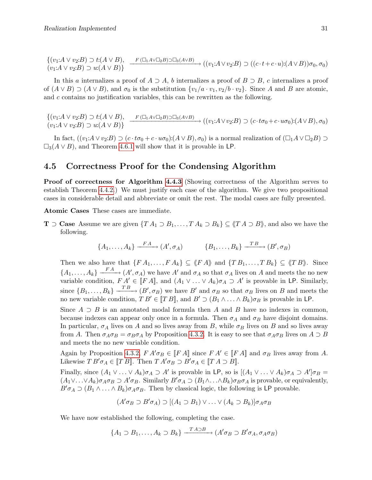$$
\{(v_1:A\vee v_2:B)\supset t:(A\vee B),\quad F(\Box_1A\vee\Box_2B)\supset\Box_3(A\vee B)\}\n\longrightarrow ((v_1:A\vee v_2:B)\supset ((c\cdot t+c\cdot u):(A\vee B))\sigma_0,\sigma_0)
$$

In this a internalizes a proof of  $A \supset A$ , b internalizes a proof of  $B \supset B$ , c internalizes a proof of  $(A \vee B) \supset (A \vee B)$ , and  $\sigma_0$  is the substitution  $\{v_1/a \cdot v_1, v_2/b \cdot v_2\}$ . Since A and B are atomic, and  $c$  contains no justification variables, this can be rewritten as the following.

 $\{(v_1:A \vee v_2:B) \supset t:(A \vee B),\}$  $(v_1:A \vee v_2:B) \supset u(A \vee B)$  $\longrightarrow$  $\longrightarrow$   $(\Box_1 A \lor \Box_2 B) \Box \Box_3 (A \lor B)$ <br> $\longrightarrow$   $((v_1: A \lor v_2: B) \supset (c \cdot t \sigma_0 + c \cdot u \sigma_0): (A \lor B), \sigma_0)$ 

In fact,  $((v_1:A\vee v_2:B)\supset (c\cdot t\sigma_0+c\cdot u\sigma_0):(A\vee B),\sigma_0)$  is a normal realization of  $(\Box_1 A\vee \Box_2 B)\supset$  $\square_3(A \vee B)$ , and Theorem [4.6.1](#page-34-1) will show that it is provable in LP.

### <span id="page-32-0"></span>4.5 Correctness Proof for the Condensing Algorithm

Proof of correctness for Algorithm [4.4.3](#page-30-1) (Showing correctness of the Algorithm serves to establish Theorem [4.4.2.](#page-30-2)) We must justify each case of the algorithm. We give two propositional cases in considerable detail and abbreviate or omit the rest. The modal cases are fully presented.

Atomic Cases These cases are immediate.

**T**  $\supset$  **Case** Assume we are given  $\{TA_1 \supset B_1, \ldots, TA_k \supset B_k\} \subseteq \langle T A \supset B \rangle$ , and also we have the following.

$$
\{A_1, \ldots, A_k\} \xrightarrow{FA} (A', \sigma_A) \qquad \{B_1, \ldots, B_k\} \xrightarrow{TB} (B', \sigma_B)
$$

Then we also have that  $\{FA_1, \ldots, FA_k\} \subseteq \langle \langle FA \rangle \rangle$  and  $\{TB_1, \ldots, TB_k\} \subseteq \langle \langle TB \rangle \rangle$ . Since  $\{A_1,\ldots,A_k\} \xrightarrow{FA} (A',\sigma_A)$  we have  $A'$  and  $\sigma_A$  so that  $\sigma_A$  lives on A and meets the no new variable condition,  $FA' \in [FA]$ , and  $(A_1 \vee \ldots \vee A_k)\sigma_A \supset A'$  is provable in LP. Similarly, since  ${B_1, \ldots, B_k}$   $\xrightarrow{T_B} (B', \sigma_B)$  we have B' and  $\sigma_B$  so that  $\sigma_B$  lives on B and meets the no new variable condition,  $T B' \in [T B]$ , and  $B' \supset (B_1 \wedge \ldots \wedge B_k) \sigma_B$  is provable in LP.

Since  $A \supset B$  is an annotated modal formula then A and B have no indexes in common, because indexes can appear only once in a formula. Then  $\sigma_A$  and  $\sigma_B$  have disjoint domains. In particular,  $\sigma_A$  lives on A and so lives away from B, while  $\sigma_B$  lives on B and so lives away from A. Then  $\sigma_A \sigma_B = \sigma_B \sigma_A$  by Proposition [4.3.2.](#page-29-1) It is easy to see that  $\sigma_A \sigma_B$  lives on  $A \supset B$ and meets the no new variable condition.

Again by Proposition [4.3.2,](#page-29-1)  $FA'\sigma_B \in [FA]$  since  $FA' \in [FA]$  and  $\sigma_B$  lives away from A. Likewise  $T B' \sigma_A \in [T B]$ . Then  $T A' \sigma_B \supset B' \sigma_A \in [T A \supset B]$ .

Finally, since  $(A_1 \vee \ldots \vee A_k)\sigma_A \supset A'$  is provable in LP, so is  $[(A_1 \vee \ldots \vee A_k)\sigma_A \supset A']\sigma_B =$  $(A_1 \vee \ldots \vee A_k)\sigma_A \sigma_B \supset A' \sigma_B$ . Similarly  $B' \sigma_A \supset (B_1 \wedge \ldots \wedge B_k) \sigma_B \sigma_A$  is provable, or equivalently,  $B'\sigma_A \supset (B_1 \wedge \ldots \wedge B_k)\sigma_A \sigma_B$ . Then by classical logic, the following is LP provable.

$$
(A' \sigma_B \supset B' \sigma_A) \supset [(A_1 \supset B_1) \vee \ldots \vee (A_k \supset B_k)] \sigma_A \sigma_B
$$

We have now established the following, completing the case.

$$
\{A_1 \supset B_1, \ldots, A_k \supset B_k\} \xrightarrow{\text{TA} \supset B} (A' \sigma_B \supset B' \sigma_A, \sigma_A \sigma_B)
$$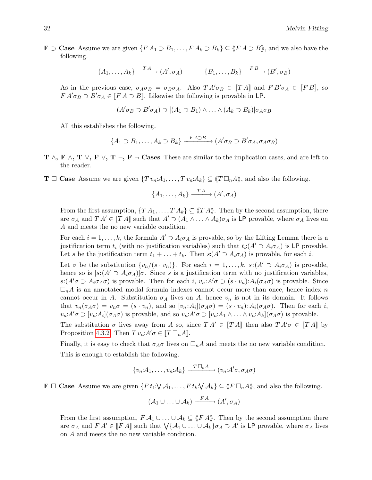**F** ⊃ **Case** Assume we are given  $\{FA_1 \supset B_1, \ldots, FA_k \supset B_k\}$   $\subseteq$   $\langle \n \langle FA \supset B \rangle$ , and we also have the following.

$$
\{A_1, \ldots, A_k\} \xrightarrow{\text{T A}} (A', \sigma_A) \qquad \{B_1, \ldots, B_k\} \xrightarrow{\text{FB}} (B', \sigma_B)
$$

As in the previous case,  $\sigma_A \sigma_B = \sigma_B \sigma_A$ . Also  $T A' \sigma_B \in [T A]$  and  $F B' \sigma_A \in [F B]$ , so  $FA' \sigma_B \supset B' \sigma_A \in [FA \supset B]$ . Likewise the following is provable in LP.

$$
(A' \sigma_B \supset B' \sigma_A) \supset [(A_1 \supset B_1) \wedge \ldots \wedge (A_k \supset B_k)] \sigma_A \sigma_B
$$

All this establishes the following.

$$
\{A_1 \supset B_1, \ldots, A_k \supset B_k\} \xrightarrow{F A \supset B} (A' \sigma_B \supset B' \sigma_A, \sigma_A \sigma_B)
$$

- $T \wedge, F \wedge, T \vee, F \vee, T \neg, F \neg$  Cases These are similar to the implication cases, and are left to the reader.
- **T**  $\Box$  **Case** Assume we are given  $\{Tv_n:A_1,\ldots, Tv_n:A_k\} \subseteq \langle T \Box_n A \rangle$ , and also the following.

$$
\{A_1,\ldots,A_k\} \xrightarrow{T A} (A',\sigma_A)
$$

From the first assumption,  $\{TA_1, \ldots, TA_k\} \subseteq \langle T \rangle$ . Then by the second assumption, there are  $\sigma_A$  and  $T A' \in [T A]$  such that  $A' \supset (A_1 \wedge \ldots \wedge A_k) \sigma_A$  is LP provable, where  $\sigma_A$  lives on A and meets the no new variable condition.

For each  $i = 1, \ldots, k$ , the formula  $A' \supset A_i \sigma_A$  is provable, so by the Lifting Lemma there is a justification term  $t_i$  (with no justification variables) such that  $t_i$ : $(A' \supset A_i \sigma_A)$  is LP provable. Let s be the justification term  $t_1 + \ldots + t_k$ . Then  $s(A' \supset A_i \sigma_A)$  is provable, for each i.

Let  $\sigma$  be the substitution  $\{v_n/(s \cdot v_n)\}\$ . For each  $i = 1, \ldots, k$ ,  $s:(A' \supset A_i \sigma_A)$  is provable, hence so is  $[s:(A' \supset A_i \sigma_A)]\sigma$ . Since s is a justification term with no justification variables,  $s:(A'\sigma \supset A_i\sigma_A\sigma)$  is provable. Then for each i,  $v_n:A'\sigma \supset (s\cdot v_n):A_i(\sigma_A\sigma)$  is provable. Since  $\Box_n A$  is an annotated modal formula indexes cannot occur more than once, hence index n cannot occur in A. Substitution  $\sigma_A$  lives on A, hence  $v_n$  is not in its domain. It follows that  $v_n(\sigma_A\sigma) = v_n\sigma = (s \cdot v_n)$ , and so  $[v_n:A_i](\sigma_A\sigma) = (s \cdot v_n): A_i(\sigma_A\sigma)$ . Then for each i,  $v_n: A' \sigma \supset [v_n: A_i](\sigma_A \sigma)$  is provable, and so  $v_n: A' \sigma \supset [v_n: A_1 \wedge \ldots \wedge v_n: A_k](\sigma_A \sigma)$  is provable.

The substitution  $\sigma$  lives away from A so, since  $T A' \in [T A]$  then also  $T A' \sigma \in [T A]$  by Proposition [4.3.2.](#page-29-1) Then  $T v_n: A' \sigma \in [T \Box_n A]$ .

Finally, it is easy to check that  $\sigma_A \sigma$  lives on  $\Box_n A$  and meets the no new variable condition. This is enough to establish the following.

$$
\{v_n: A_1, \ldots, v_n: A_k\} \xrightarrow{T \Box_n A} (v_n: A' \sigma, \sigma_A \sigma)
$$

 $\mathbf{F} \Box$  Case Assume we are given  $\{F t_1 : \forall \mathcal{A}_1, \dots, F t_k : \forall \mathcal{A}_k\} \subseteq \langle\!\langle F \Box_n A \rangle\!\rangle$ , and also the following.

$$
(\mathcal{A}_1 \cup \ldots \cup \mathcal{A}_k) \xrightarrow{FA} (A', \sigma_A)
$$

From the first assumption,  $F \mathcal{A}_1 \cup \ldots \cup \mathcal{A}_k \subseteq \langle F \rangle$ . Then by the second assumption there are  $\sigma_A$  and  $FA' \in [FA]$  such that  $\bigvee \{A_1 \cup \ldots \cup A_k\} \sigma_A \supset A'$  is LP provable, where  $\sigma_A$  lives on A and meets the no new variable condition.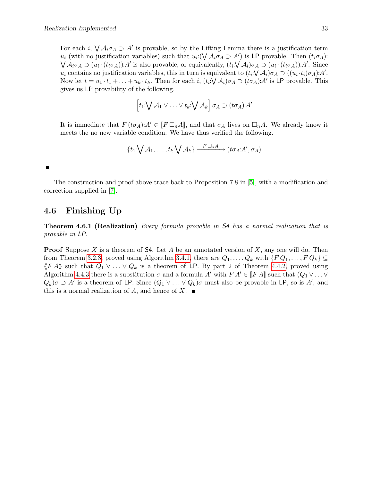For each i,  $\bigvee A_i \sigma_A \supset A'$  is provable, so by the Lifting Lemma there is a justification term  $u_i$  (with no justification variables) such that  $u_i: (\bigvee \mathcal{A}_i \sigma_A \supset A')$  is LP provable. Then  $(t_i \sigma_A)$ :  $\bigvee A_i \sigma_A \supset (u_i \cdot (t_i \sigma_A)) : A'$  is also provable, or equivalently,  $(t_i \cdot \bigvee A_i) \sigma_A \supset (u_i \cdot (t_i \sigma_A)) : A'$ . Since  $u_i$  contains no justification variables, this in turn is equivalent to  $(t_i: \bigvee \mathcal{A}_i) \sigma_A \supset ((u_i \cdot t_i) \sigma_A): A'.$ Now let  $t = u_1 \cdot t_1 + \ldots + u_k \cdot t_k$ . Then for each  $i, (t_i \vee \mathcal{A}_i) \sigma_A \supset (t \sigma_A) : A'$  is LP provable. This gives us LP provability of the following.

$$
\left[t_1:\bigvee \mathcal{A}_1\vee\ldots\vee t_k:\bigvee \mathcal{A}_k\right]\sigma_A\supset (t\sigma_A):A'
$$

It is immediate that  $F(t\sigma_A):A'\in[F\Box_nA]$ , and that  $\sigma_A$  lives on  $\Box_nA$ . We already know it meets the no new variable condition. We have thus verified the following.

$$
\{t_1:\bigvee \mathcal{A}_1,\ldots,t_k:\bigvee \mathcal{A}_k\} \xrightarrow{F\Box_n A} (t\sigma_A:A',\sigma_A)
$$

П

The construction and proof above trace back to Proposition 7.8 in [\[5\]](#page-63-10), with a modification and correction supplied in [\[7\]](#page-63-11).

### <span id="page-34-0"></span>4.6 Finishing Up

<span id="page-34-1"></span>Theorem 4.6.1 (Realization) Every formula provable in S4 has a normal realization that is provable in LP.

**Proof** Suppose X is a theorem of S4. Let A be an annotated version of X, any one will do. Then from Theorem [3.2.3,](#page-20-1) proved using Algorithm [3.4.1,](#page-22-0) there are  $Q_1, \ldots, Q_k$  with  $\{F Q_1, \ldots, F Q_k\} \subseteq$  $\langle \n \langle F \, A \rangle \rangle$  such that  $Q_1 \vee \ldots \vee Q_k$  is a theorem of LP. By part 2 of Theorem [4.4.2,](#page-30-2) proved using Algorithm [4.4.3](#page-30-1) there is a substitution  $\sigma$  and a formula A' with  $FA' \in [FA]$  such that  $(Q_1 \vee \dots \vee$  $Q_k$ ) $\sigma \supset A'$  is a theorem of LP. Since  $(Q_1 \vee \ldots \vee Q_k)\sigma$  must also be provable in LP, so is A', and this is a normal realization of A, and hence of X.  $\blacksquare$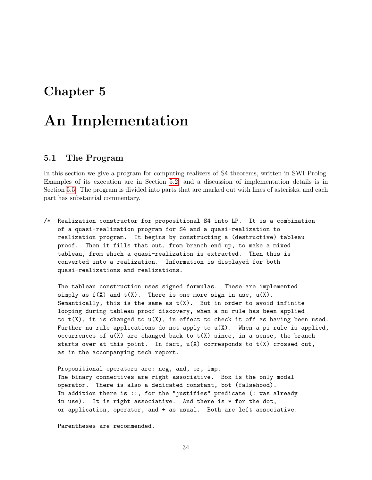# <span id="page-35-0"></span>Chapter 5

# An Implementation

### <span id="page-35-1"></span>5.1 The Program

In this section we give a program for computing realizers of S4 theorems, written in SWI Prolog. Examples of its execution are in Section [5.2,](#page-54-0) and a discussion of implementation details is in Section [5.5.](#page-58-1) The program is divided into parts that are marked out with lines of asterisks, and each part has substantial commentary.

/\* Realization constructor for propositional S4 into LP. It is a combination of a quasi-realization program for S4 and a quasi-realization to realization program. It begins by constructing a (destructive) tableau proof. Then it fills that out, from branch end up, to make a mixed tableau, from which a quasi-realization is extracted. Then this is converted into a realization. Information is displayed for both quasi-realizations and realizations.

The tableau construction uses signed formulas. These are implemented simply as  $f(X)$  and  $t(X)$ . There is one more sign in use,  $u(X)$ . Semantically, this is the same as  $t(X)$ . But in order to avoid infinite looping during tableau proof discovery, when a nu rule has been applied to  $t(X)$ , it is changed to  $u(X)$ , in effect to check it off as having been used. Further nu rule applications do not apply to  $u(X)$ . When a pi rule is applied, occurrences of  $u(X)$  are changed back to  $t(X)$  since, in a sense, the branch starts over at this point. In fact,  $u(X)$  corresponds to  $t(X)$  crossed out, as in the accompanying tech report.

Propositional operators are: neg, and, or, imp. The binary connectives are right associative. Box is the only modal operator. There is also a dedicated constant, bot (falsehood). In addition there is ::, for the "justifies" predicate (: was already in use). It is right associative. And there is \* for the dot, or application, operator, and + as usual. Both are left associative.

Parentheses are recommended.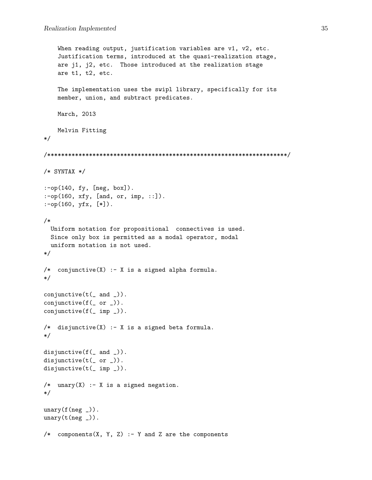```
When reading output, justification variables are v1, v2, etc.
    Justification terms, introduced at the quasi-realization stage,
   are j1, j2, etc. Those introduced at the realization stage
   are t1, t2, etc.
   The implementation uses the swipl library, specifically for its
   member, union, and subtract predicates.
   March, 2013
   Melvin Fitting
*/
/*********************************************************************/
/* SYNTAX */
:-op(140, fy, [neg, box]).
:-op(160, xfy, [and, or, imp, ::]).
:-op(160, yfx, [*]).
/*
 Uniform notation for propositional connectives is used.
 Since only box is permitted as a modal operator, modal
 uniform notation is not used.
*/
/* conjunctive(X) :- X is a signed alpha formula.
*/
conjunctive(t( and )).
conjunctive(f(_ or _)).
conjunctive(f(_ imp _)).
/* disjunctive(X) :- X is a signed beta formula.
*/
disjunctive(f(\_ and \_).
disjunctive(t(- or _{-})).
disjunctive(t(_ imp _)).
/* unary(X) :- X is a signed negation.
*/
unary(f(neg_.
unary(t(neg_.
/* components(X, Y, Z) :- Y and Z are the components
```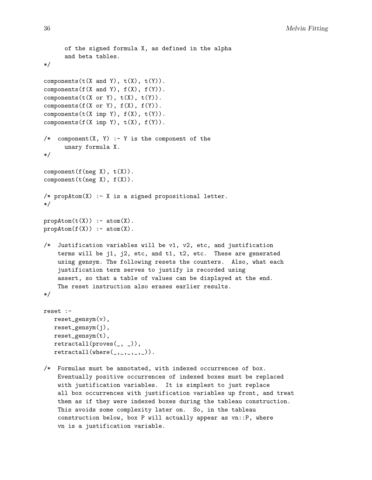```
of the signed formula X, as defined in the alpha
      and beta tables.
*/
components(t(X \text{ and } Y), t(X), t(Y)).
components(f(X \text{ and } Y), f(X), f(Y)).
components(t(X \text{ or } Y), t(X), t(Y)).
components(f(X \text{ or } Y), f(X), f(Y)).
components(t(X \text{ imp } Y), f(X), t(Y)).
components(f(X \text{ imp } Y), t(X), f(Y)).
/* component(X, Y) :- Y is the component of the
      unary formula X.
*/
component(f(neg X), t(X)).component(t(neg X), f(X)).
/* propAtom(X) :- X is a signed propositional letter.
*/
prophtom(t(X)) :- atom(X).
prophtom(f(X)) :- atom(X).
/* Justification variables will be v1, v2, etc, and justification
    terms will be j1, j2, etc, and t1, t2, etc. These are generated
    using gensym. The following resets the counters. Also, what each
    justification term serves to justify is recorded using
    assert, so that a table of values can be displayed at the end.
    The reset instruction also erases earlier results.
*/
reset :-
   reset_gensym(v),
   reset_gensym(j),
   reset_gensym(t),
   retractall(proves(_, _)),
   retractall(\text{where}(\_,\_,\_,\_,\_,\_))./* Formulas must be annotated, with indexed occurrences of box.
    Eventually positive occurrences of indexed boxes must be replaced
    with justification variables. It is simplest to just replace
```
all box occurrences with justification variables up front, and treat them as if they were indexed boxes during the tableau construction. This avoids some complexity later on. So, in the tableau construction below, box P will actually appear as vn::P, where vn is a justification variable.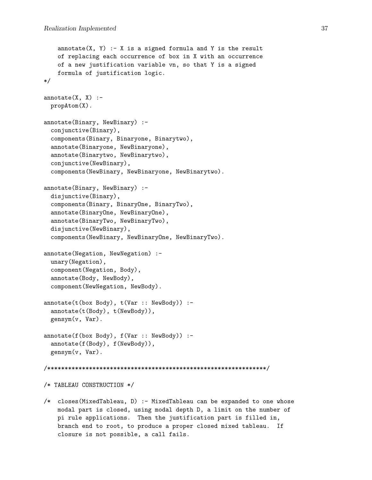```
annotate(X, Y) :- X is a signed formula and Y is the result
    of replacing each occurrence of box in X with an occurrence
    of a new justification variable vn, so that Y is a signed
    formula of justification logic.
*/
annotate(X, X) :-
 propAtom(X).
annotate(Binary, NewBinary) :-
  conjunctive(Binary),
  components(Binary, Binaryone, Binarytwo),
  annotate(Binaryone, NewBinaryone),
  annotate(Binarytwo, NewBinarytwo),
  conjunctive(NewBinary),
  components(NewBinary, NewBinaryone, NewBinarytwo).
annotate(Binary, NewBinary) :-
  disjunctive(Binary),
  components(Binary, BinaryOne, BinaryTwo),
  annotate(BinaryOne, NewBinaryOne),
  annotate(BinaryTwo, NewBinaryTwo),
  disjunctive(NewBinary),
  components(NewBinary, NewBinaryOne, NewBinaryTwo).
annotate(Negation, NewNegation) :-
  unary(Negation),
  component(Negation, Body),
  annotate(Body, NewBody),
  component(NewNegation, NewBody).
annotate(t(box Body), t(Var :: NewBody)) :-
  annotate(t(Body), t(NewBody)),
  gensym(v, Var).
annotate(f(box Body), f(Var :: NewBody)) :-
  annotate(f(Body), f(NewBody)),
  gensym(v, Var).
/***************************************************************/
/* TABLEAU CONSTRUCTION */
/* closes(MixedTableau, D) :- MixedTableau can be expanded to one whose
```
modal part is closed, using modal depth D, a limit on the number of pi rule applications. Then the justification part is filled in, branch end to root, to produce a proper closed mixed tableau. If closure is not possible, a call fails.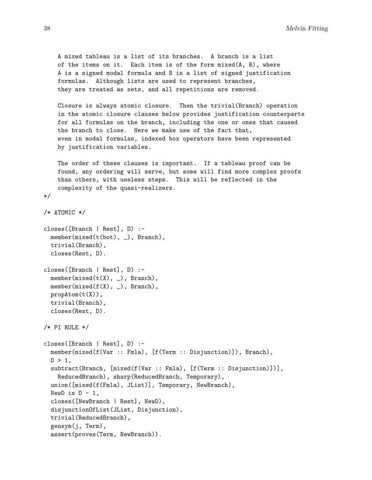38 Melvin Fitting

```
A mixed tableau is a list of its branches. A branch is a list
   of the items on it. Each item is of the form mixed(A, B), where
    A is a signed modal formula and B is a list of signed justification
   formulas. Although lists are used to represent branches,
   they are treated as sets, and all repetitions are removed.
   Closure is always atomic closure. Then the trivial(Branch) operation
   in the atomic closure clauses below provides justification counterparts
   for all formulas on the branch, including the one or ones that caused
   the branch to close. Here we make use of the fact that,
    even in modal formulas, indexed box operators have been represented
   by justification variables.
   The order of these clauses is important. If a tableau proof can be
   found, any ordering will serve, but some will find more complex proofs
   than others, with useless steps. This will be reflected in the
    complexity of the quasi-realizers.
*/
/* ATOMIC */
closes([Branch | Rest], D) :-
 member(mixed(t(bot), _), Branch),
 trivial(Branch),
 closes(Rest, D).
closes([Branch | Rest], D) :-
 member(mixed(t(X), _), Branch),
 member(mixed(f(X), _), Branch),
 propAtom(t(X)),
 trivial(Branch),
  closes(Rest, D).
/* PI RULE */
closes([Branch | Rest], D) :-
 member(mixed(f(Var :: Fmla), [f(Term :: Disjunction)]), Branch),
 D > 1,
 subtract(Branch, [mixed(f(Var :: Fmla), [f(Term :: Disjunction)])],
   ReducedBranch), sharp(ReducedBranch, Temporary),
 union([mixed(f(Fmla), JList)], Temporary, NewBranch),
 NewD is D - 1,
  closes([NewBranch | Rest], NewD),
 disjunctionOfList(JList, Disjunction),
 trivial(ReducedBranch),
 gensym(j, Term),
 assert(proves(Term, NewBranch)).
```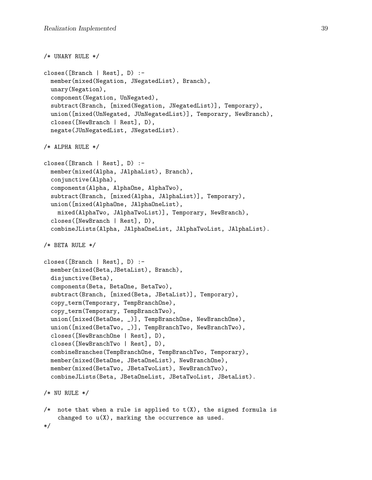```
/* UNARY RULE */
closes([Branch | Rest], D) :-
 member(mixed(Negation, JNegatedList), Branch),
 unary(Negation),
  component(Negation, UnNegated),
  subtract(Branch, [mixed(Negation, JNegatedList)], Temporary),
 union([mixed(UnNegated, JUnNegatedList)], Temporary, NewBranch),
  closes([NewBranch | Rest], D),
 negate(JUnNegatedList, JNegatedList).
/* ALPHA RULE */
closes([Branch | Rest], D) :-
 member(mixed(Alpha, JAlphaList), Branch),
  conjunctive(Alpha),
  components(Alpha, AlphaOne, AlphaTwo),
  subtract(Branch, [mixed(Alpha, JAlphaList)], Temporary),
 union([mixed(AlphaOne, JAlphaOneList),
   mixed(AlphaTwo, JAlphaTwoList)], Temporary, NewBranch),
  closes([NewBranch | Rest], D),
  combineJLists(Alpha, JAlphaOneList, JAlphaTwoList, JAlphaList).
/* BETA RULE */closes([Branch | Rest], D) :-
 member(mixed(Beta,JBetaList), Branch),
 disjunctive(Beta),
 components(Beta, BetaOne, BetaTwo),
  subtract(Branch, [mixed(Beta, JBetaList)], Temporary),
  copy_term(Temporary, TempBranchOne),
  copy_term(Temporary, TempBranchTwo),
 union([mixed(BetaOne, _)], TempBranchOne, NewBranchOne),
 union([mixed(BetaTwo, )], TempBranchTwo, NewBranchTwo),
  closes([NewBranchOne | Rest], D),
  closes([NewBranchTwo | Rest], D),
  combineBranches(TempBranchOne, TempBranchTwo, Temporary),
 member(mixed(BetaOne, JBetaOneList), NewBranchOne),
 member(mixed(BetaTwo, JBetaTwoList), NewBranchTwo),
  combineJLists(Beta, JBetaOneList, JBetaTwoList, JBetaList).
/* NU RULE *//* note that when a rule is applied to t(X), the signed formula is
    changed to u(X), marking the occurrence as used.
*/
```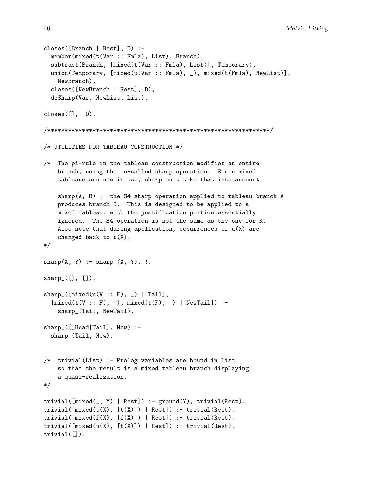```
closes([Branch | Rest], D) :-
 member(mixed(t(Var :: Fmla), List), Branch),
  subtract(Branch, [mixed(t(Var :: Fmla), List)], Temporary),
  union(Temporary, [mixed(u(Var :: Fmla), _), mixed(t(Fmla), NewList)],
    NewBranch),
  closes([NewBranch | Rest], D),
  deSharp(Var, NewList, List).
\text{closes}([], \_D).
/****************************************************************/
/* UTILITIES FOR TABLEAU CONSTRUCTION */
/* The pi-rule in the tableau construction modifies an entire
    branch, using the so-called sharp operation. Since mixed
    tableaus are now in use, sharp must take that into account.
    sharp(A, B) :- the S4 sharp operation applied to tableau branch A
    produces branch B. This is designed to be applied to a
    mixed tableau, with the justification portion essentially
    ignored. The S4 operation is not the same as the one for K.
    Also note that during application, occurrences of u(X) are
    changed back to t(X).
*/
sharp(X, Y) :- sharp(X, Y), !.
sharp_{}[[] , []].
sharp_{\square}([\text{mixed}(u(V :: F), \_) | \text{Tail}],[mixed(t(V :: F), ...), mixed(t(F), ) | NewTail]) :-
    sharp_(Tail, NewTail).
sharp_([_Head|Tail], New) :-
  sharp_(Tail, New).
/* trivial(List) :- Prolog variables are bound in List
    so that the result is a mixed tableau branch displaying
    a quasi-realization.
*/
trivial([mixed(\_, Y) | Rest]) :- ground(Y), trivial(Rest).trivial([mixed(t(X), [t(X)]) | Rest]) :- trivial(Rest).trivial([\texttt{mixed}(f(X), [f(X)]) | Rest]) :- trivial(Rest).
trivial([mixed(u(X), [t(X)]) | Rest]) :- trivial(Rest).trivial([]).
```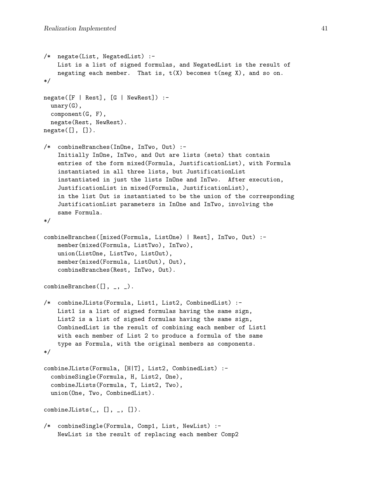```
/* negate(List, NegatedList) :-
   List is a list of signed formulas, and NegatedList is the result of
   negating each member. That is, t(X) becomes t(neg X), and so on.
*/
negate([F | Rest], [G | NewRest]):-
 unary(G),
 component(G, F),
 negate(Rest, NewRest).
negative([], []).
/* combineBranches(InOne, InTwo, Out) :-
    Initially InOne, InTwo, and Out are lists (sets) that contain
    entries of the form mixed(Formula, JustificationList), with Formula
    instantiated in all three lists, but JustificationList
    instantiated in just the lists InOne and InTwo. After execution,
    JustificationList in mixed(Formula, JustificationList),
    in the list Out is instantiated to be the union of the corresponding
    JustificationList parameters in InOne and InTwo, involving the
    same Formula.
*/
combineBranches([mixed(Formula, ListOne) | Rest], InTwo, Out) :-
   member(mixed(Formula, ListTwo), InTwo),
   union(ListOne, ListTwo, ListOut),
   member(mixed(Formula, ListOut), Out),
    combineBranches(Rest, InTwo, Out).
combineBranches([], _{-}, _{-}).
/* combineJLists(Formula, List1, List2, CombinedList) :-
   List1 is a list of signed formulas having the same sign,
   List2 is a list of signed formulas having the same sign,
   CombinedList is the result of combining each member of List1
   with each member of List 2 to produce a formula of the same
   type as Formula, with the original members as components.
*/
combineJLists(Formula, [H|T], List2, CombinedList) :-
  combineSingle(Formula, H, List2, One),
  combineJLists(Formula, T, List2, Two),
 union(One, Two, CombinedList).
combinelLists(\_, [\], \_, [\]/* combineSingle(Formula, Comp1, List, NewList) :-
   NewList is the result of replacing each member Comp2
```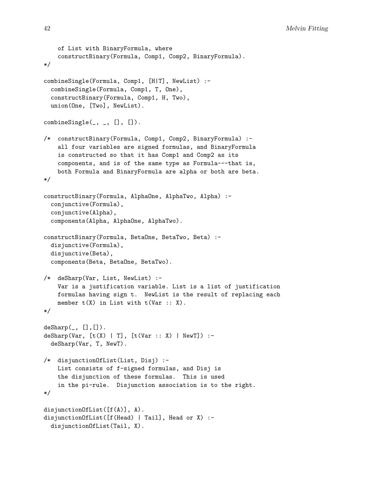```
of List with BinaryFormula, where
    constructBinary(Formula, Comp1, Comp2, BinaryFormula).
*/
combineSingle(Formula, Comp1, [H|T], NewList) :-
  combineSingle(Formula, Comp1, T, One),
  constructBinary(Formula, Comp1, H, Two),
  union(One, [Two], NewList).
combineSingle(\_,\_,\ []\, []).
/* constructBinary(Formula, Comp1, Comp2, BinaryFormula) :-
    all four variables are signed formulas, and BinaryFormula
    is constructed so that it has Comp1 and Comp2 as its
    components, and is of the same type as Formula---that is,
    both Formula and BinaryFormula are alpha or both are beta.
*/
constructBinary(Formula, AlphaOne, AlphaTwo, Alpha) :-
  conjunctive(Formula),
  conjunctive(Alpha),
  components(Alpha, AlphaOne, AlphaTwo).
constructBinary(Formula, BetaOne, BetaTwo, Beta) :-
  disjunctive(Formula),
  disjunctive(Beta),
  components(Beta, BetaOne, BetaTwo).
/* deSharp(Var, List, NewList) :-
    Var is a justification variable. List is a list of justification
    formulas having sign t. NewList is the result of replacing each
    member t(X) in List with t(Var : X).
*/
\text{deSharp}(\_, [], []).
deSharp(Var, [t(X) | T], [t(Var :: X) | NewT]) :-
  deSharp(Var, T, NewT).
/* disjunctionOfList(List, Disj) :-
    List consists of f-signed formulas, and Disj is
    the disjunction of these formulas. This is used
    in the pi-rule. Disjunction association is to the right.
*/
disjunctionOfList([f(A)], A).
disjunctionOfList([f(Head) | Tail], Head or X) :-
  disjunctionOfList(Tail, X).
```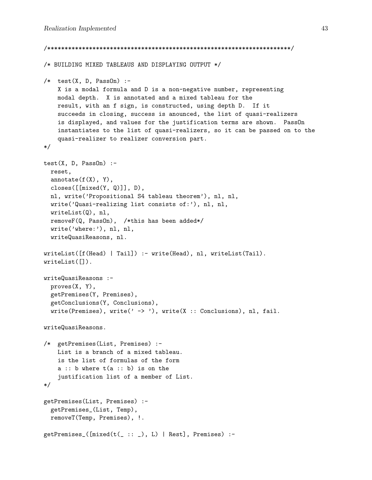```
/**********************************************************************/
/* BUILDING MIXED TABLEAUS AND DISPLAYING OUTPUT */
/* test(X, D, PassOn):-
   X is a modal formula and D is a non-negative number, representing
   modal depth. X is annotated and a mixed tableau for the
   result, with an f sign, is constructed, using depth D. If it
   succeeds in closing, success is anounced, the list of quasi-realizers
    is displayed, and values for the justification terms are shown. PassOn
    instantiates to the list of quasi-realizers, so it can be passed on to the
   quasi-realizer to realizer conversion part.
*/
test(X, D, PassOn) :-
 reset,
 annotate(f(X), Y),closes([[mixed(Y, Q)]], D),
 nl, write('Propositional S4 tableau theorem'), nl, nl,
 write('Quasi-realizing list consists of:'), nl, nl,
 writeList(Q), nl,
 removeF(Q, PassOn), /*this has been added*/
 write('where:'), nl, nl,
 writeQuasiReasons, nl.
writeList([f(Head) | Tail]) :- write(Head), nl, writeList(Tail).
writeList([]).
writeQuasiReasons :-
 proves(X, Y),
 getPremises(Y, Premises),
 getConclusions(Y, Conclusions),
 write(Premises), write(' -> '), write(X : Conclusions), nl, fail.
writeQuasiReasons.
/* getPremises(List, Premises) :-
   List is a branch of a mixed tableau.
   is the list of formulas of the form
   a :: b where t(a :: b) is on the
    justification list of a member of List.
*/
getPremises(List, Premises) :-
 getPremises_(List, Temp),
 removeT(Temp, Premises), !.
getPremises_([mixed(t(_ :: _), L) | Rest], Premises) :-
```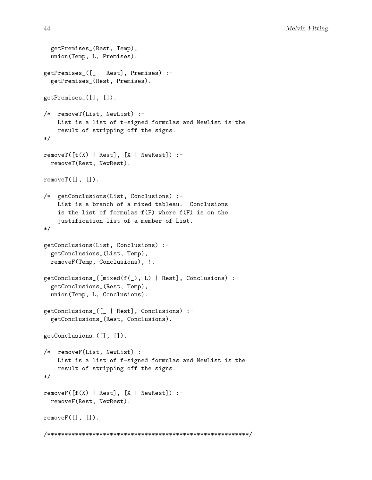```
getPremises_(Rest, Temp),
 union(Temp, L, Premises).
getPremises_([_ | Rest], Premises) :-
  getPremises_(Rest, Premises).
getPremises_([], []).
/* removeT(List, NewList) :-
   List is a list of t-signed formulas and NewList is the
    result of stripping off the signs.
*/
removeT([t(X) | Rest], [X | NewRest]) :-removeT(Rest, NewRest).
removeT([], []).
/* getConclusions(List, Conclusions) :-
    List is a branch of a mixed tableau. Conclusions
    is the list of formulas f(F) where f(F) is on the
    justification list of a member of List.
*/
getConclusions(List, Conclusions) :-
  getConclusions_(List, Temp),
 removeF(Temp, Conclusions), !.
getConclusions_([mixed(f(_), L) | Rest], Conclusions) :-
  getConclusions_(Rest, Temp),
  union(Temp, L, Conclusions).
getConclusions_([_ | Rest], Conclusions) :-
  getConclusions_(Rest, Conclusions).
getConclusions_([], []).
/* removeF(List, NewList) :-
    List is a list of f-signed formulas and NewList is the
    result of stripping off the signs.
*/
removeF([f(X) | Rest], [X | NewRest]) :-removeF(Rest, NewRest).
removeF([], []).
/**********************************************************/
```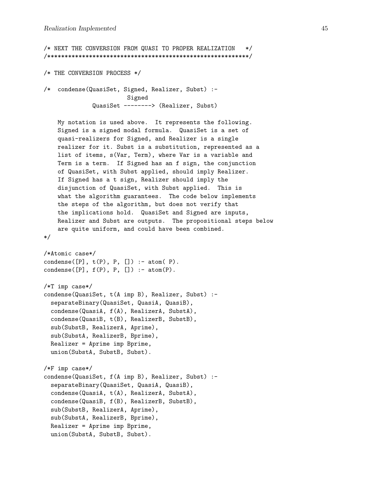```
/* NEXT THE CONVERSION FROM QUASI TO PROPER REALIZATION */
/**********************************************************/
/* THE CONVERSION PROCESS */
/* condense(QuasiSet, Signed, Realizer, Subst) :-
                        Signed
              QuasiSet --------> (Realizer, Subst)
   My notation is used above. It represents the following.
   Signed is a signed modal formula. QuasiSet is a set of
   quasi-realizers for Signed, and Realizer is a single
   realizer for it. Subst is a substitution, represented as a
   list of items, s(Var, Term), where Var is a variable and
   Term is a term. If Signed has an f sign, the conjunction
   of QuasiSet, with Subst applied, should imply Realizer.
   If Signed has a t sign, Realizer should imply the
   disjunction of QuasiSet, with Subst applied. This is
   what the algorithm guarantees. The code below implements
   the steps of the algorithm, but does not verify that
   the implications hold. QuasiSet and Signed are inputs,
   Realizer and Subst are outputs. The propositional steps below
   are quite uniform, and could have been combined.
*/
/*Atomic case*/
condense([P], t(P), P, []) :- atom(P).
condense([P], f(P), P, []) :- atom(P).
/*T imp case*/
condense(QuasiSet, t(A imp B), Realizer, Subst) :-
  separateBinary(QuasiSet, QuasiA, QuasiB),
  condense(QuasiA, f(A), RealizerA, SubstA),
  condense(QuasiB, t(B), RealizerB, SubstB),
  sub(SubstB, RealizerA, Aprime),
  sub(SubstA, RealizerB, Bprime),
 Realizer = Aprime imp Bprime,
 union(SubstA, SubstB, Subst).
/*F imp case*/
condense(QuasiSet, f(A imp B), Realizer, Subst) :-
  separateBinary(QuasiSet, QuasiA, QuasiB),
  condense(QuasiA, t(A), RealizerA, SubstA),
  condense(QuasiB, f(B), RealizerB, SubstB),
  sub(SubstB, RealizerA, Aprime),
  sub(SubstA, RealizerB, Bprime),
 Realizer = Aprime imp Bprime,
 union(SubstA, SubstB, Subst).
```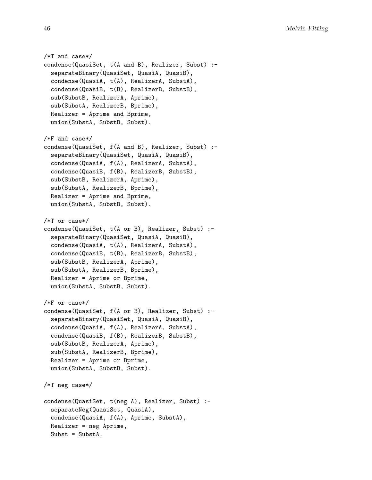```
/*T and case*/
condense(QuasiSet, t(A and B), Realizer, Subst) :-
  separateBinary(QuasiSet, QuasiA, QuasiB),
  condense(QuasiA, t(A), RealizerA, SubstA),
  condense(QuasiB, t(B), RealizerB, SubstB),
  sub(SubstB, RealizerA, Aprime),
  sub(SubstA, RealizerB, Bprime),
 Realizer = Aprime and Bprime,
  union(SubstA, SubstB, Subst).
/*F and case*/
condense(QuasiSet, f(A and B), Realizer, Subst) :-
  separateBinary(QuasiSet, QuasiA, QuasiB),
  condense(QuasiA, f(A), RealizerA, SubstA),
  condense(QuasiB, f(B), RealizerB, SubstB),
  sub(SubstB, RealizerA, Aprime),
  sub(SubstA, RealizerB, Bprime),
  Realizer = Aprime and Bprime,
  union(SubstA, SubstB, Subst).
/*T or case*/
condense(QuasiSet, t(A or B), Realizer, Subst) :-
  separateBinary(QuasiSet, QuasiA, QuasiB),
  condense(QuasiA, t(A), RealizerA, SubstA),
  condense(QuasiB, t(B), RealizerB, SubstB),
  sub(SubstB, RealizerA, Aprime),
  sub(SubstA, RealizerB, Bprime),
 Realizer = Aprime or Bprime,
  union(SubstA, SubstB, Subst).
/*F or case*/
condense(QuasiSet, f(A or B), Realizer, Subst) :-
  separateBinary(QuasiSet, QuasiA, QuasiB),
  condense(QuasiA, f(A), RealizerA, SubstA),
  condense(QuasiB, f(B), RealizerB, SubstB),
  sub(SubstB, RealizerA, Aprime),
  sub(SubstA, RealizerB, Bprime),
 Realizer = Aprime or Bprime,
  union(SubstA, SubstB, Subst).
/*T neg case*/
condense(QuasiSet, t(neg A), Realizer, Subst) :-
  separateNeg(QuasiSet, QuasiA),
  condense(QuasiA, f(A), Aprime, SubstA),
 Realizer = neg Aprime,
 Subst = SubstA.
```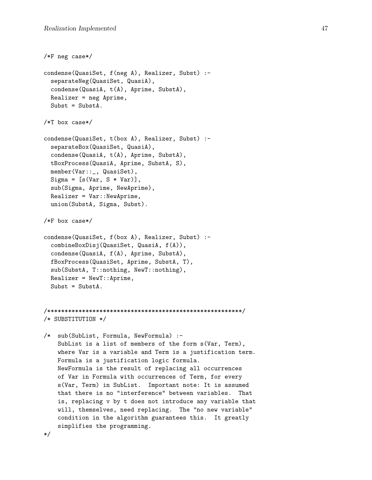```
/*F neg case*/
condense(QuasiSet, f(neg A), Realizer, Subst) :-
  separateNeg(QuasiSet, QuasiA),
  condense(QuasiA, t(A), Aprime, SubstA),
 Realizer = neg Aprime,
 Subst = SubstA.
/*T box case*/
condense(QuasiSet, t(box A), Realizer, Subst) :-
  separateBox(QuasiSet, QuasiA),
  condense(QuasiA, t(A), Aprime, SubstA),
 tBoxProcess(QuasiA, Aprime, SubstA, S),
 member(Var::_, QuasiSet),
 Sigma = [s(Var, S * Var)],sub(Sigma, Aprime, NewAprime),
 Realizer = Var::NewAprilme,union(SubstA, Sigma, Subst).
/*F box case*/
condense(QuasiSet, f(box A), Realizer, Subst) :-
  combineBoxDisj(QuasiSet, QuasiA, f(A)),
  condense(QuasiA, f(A), Aprime, SubstA),
 fBoxProcess(QuasiSet, Aprime, SubstA, T),
  sub(SubstA, T::nothing, NewT::nothing),
 Realizer = NewT::Aprilme,Subst = SubstA.
/********************************************************/
/* SUBSTITUTION */
/* sub(SubList, Formula, NewFormula) :-
   SubList is a list of members of the form s(Var, Term),
   where Var is a variable and Term is a justification term.
   Formula is a justification logic formula.
   NewFormula is the result of replacing all occurrences
   of Var in Formula with occurrences of Term, for every
   s(Var, Term) in SubList. Important note: It is assumed
   that there is no "interference" between variables. That
    is, replacing v by t does not introduce any variable that
   will, themselves, need replacing. The "no new variable"
   condition in the algorithm guarantees this. It greatly
   simplifies the programming.
*/
```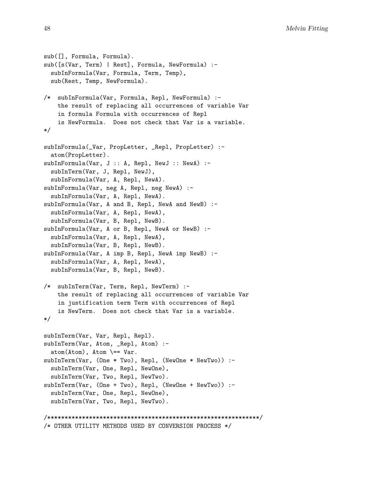```
sub([], Formula, Formula).
sub([s(Var, Term) | Rest], Formula, NewFormula) :-
  subInFormula(Var, Formula, Term, Temp),
  sub(Rest, Temp, NewFormula).
/* subInFormula(Var, Formula, Repl, NewFormula) :-
    the result of replacing all occurrences of variable Var
    in formula Formula with occurrences of Repl
    is NewFormula. Does not check that Var is a variable.
*/
subInFormula(_Var, PropLetter, _Repl, PropLetter) :-
  atom(PropLetter).
subInFormula(Var, J :: A, Repl, NewJ :: NewA) :-
  subInTerm(Var, J, Repl, NewJ),
  subInFormula(Var, A, Repl, NewA).
subInFormula(Var, neg A, Repl, neg NewA) :-
  subInFormula(Var, A, Repl, NewA).
subInFormula(Var, A and B, Repl, NewA and NewB) :-
  subInFormula(Var, A, Repl, NewA),
  subInFormula(Var, B, Repl, NewB).
subInFormula(Var, A or B, Repl, NewA or NewB) :-
  subInFormula(Var, A, Repl, NewA),
  subInFormula(Var, B, Repl, NewB).
subInFormula(Var, A imp B, Repl, NewA imp NewB) :-
  subInFormula(Var, A, Repl, NewA),
  subInFormula(Var, B, Repl, NewB).
/* subInTerm(Var, Term, Repl, NewTerm) :-
    the result of replacing all occurrences of variable Var
    in justification term Term with occurrences of Repl
    is NewTerm. Does not check that Var is a variable.
*/
subInTerm(Var, Var, Repl, Repl).
subInTerm(Var, Atom, _Repl, Atom) :-
  atom(Atom), Atom \ == Var.
subInTerm(Var, (One * Two), Repl, (NewOne * NewTwo)) :-
  subInTerm(Var, One, Repl, NewOne),
  subInTerm(Var, Two, Repl, NewTwo).
subInTerm(Var, (One + Two), Repl, (NewOne + NewTwo)) :-
  subInTerm(Var, One, Repl, NewOne),
  subInTerm(Var, Two, Repl, NewTwo).
/*************************************************************/
/* OTHER UTILITY METHODS USED BY CONVERSION PROCESS */
```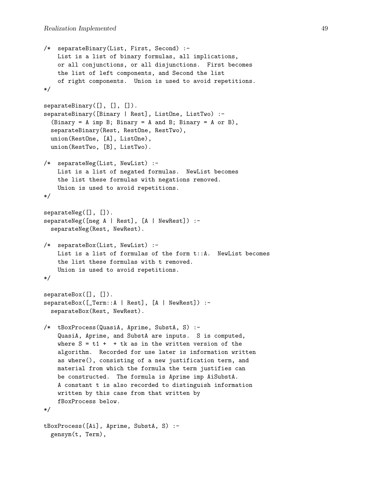```
/* separateBinary(List, First, Second) :-
   List is a list of binary formulas, all implications,
   or all conjunctions, or all disjunctions. First becomes
   the list of left components, and Second the list
   of right components. Union is used to avoid repetitions.
*/
separateBinary([], [], []).
separateBinary([Binary | Rest], ListOne, ListTwo) :-
  (Binary = A imp B; Binary = A and B; Binary = A or B),
  separateBinary(Rest, RestOne, RestTwo),
 union(RestOne, [A], ListOne),
  union(RestTwo, [B], ListTwo).
/* separateNeg(List, NewList) :-
   List is a list of negated formulas. NewList becomes
   the list these formulas with negations removed.
    Union is used to avoid repetitions.
*/
separateNeg([], []).
separateNeg([neg A | Rest], [A | NewRest]) :-
  separateNeg(Rest, NewRest).
/* separateBox(List, NewList) :-
   List is a list of formulas of the form t::A. NewList becomes
   the list these formulas with t removed.
   Union is used to avoid repetitions.
*/
separateBox([], []).
separateBox([_Term::A | Rest], [A | NewRest]) :-
  separateBox(Rest, NewRest).
/* tBoxProcess(QuasiA, Aprime, SubstA, S) :-
    QuasiA, Aprime, and SubstA are inputs. S is computed,
   where S = t1 + t is as in the written version of the
   algorithm. Recorded for use later is information written
   as where(), consisting of a new justification term, and
   material from which the formula the term justifies can
   be constructed. The formula is Aprime imp AiSubstA.
   A constant t is also recorded to distinguish information
   written by this case from that written by
   fBoxProcess below.
*/
tBoxProcess([Ai], Aprime, SubstA, S) :-
 gensym(t, Term),
```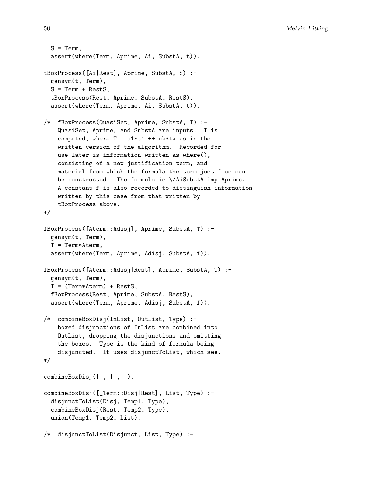```
S = Term,
 assert(where(Term, Aprime, Ai, SubstA, t)).
tBoxProcess([Ai|Rest], Aprime, SubstA, S) :-
  gensym(t, Term),
 S = Term + RestS,tBoxProcess(Rest, Aprime, SubstA, RestS),
  assert(where(Term, Aprime, Ai, SubstA, t)).
/* fBoxProcess(QuasiSet, Aprime, SubstA, T) :-
   QuasiSet, Aprime, and SubstA are inputs. T is
    computed, where T = u1*t1 + t uktk as in the
   written version of the algorithm. Recorded for
   use later is information written as where(),
   consisting of a new justification term, and
   material from which the formula the term justifies can
   be constructed. The formula is \/AiSubstA imp Aprime.
   A constant f is also recorded to distinguish information
   written by this case from that written by
   tBoxProcess above.
*/
fBoxProcess([Aterm::Adisj], Aprime, SubstA, T) :-
 gensym(t, Term),
 T = Term*Aterm,
 assert(where(Term, Aprime, Adisj, SubstA, f)).
fBoxProcess([Aterm::Adisj|Rest], Aprime, SubstA, T) :-
  gensym(t, Term),
 T = (Term*Aterm) + RestS,
 fBoxProcess(Rest, Aprime, SubstA, RestS),
  assert(where(Term, Aprime, Adisj, SubstA, f)).
/* combineBoxDisj(InList, OutList, Type) :-
   boxed disjunctions of InList are combined into
   OutList, dropping the disjunctions and omitting
   the boxes. Type is the kind of formula being
   disjuncted. It uses disjunctToList, which see.
*/
combineBoxDisj([], [], _).
combineBoxDisj([_Term::Disj|Rest], List, Type) :-
  disjunctToList(Disj, Temp1, Type),
  combineBoxDisj(Rest, Temp2, Type),
 union(Temp1, Temp2, List).
/* disjunctToList(Disjunct, List, Type) :-
```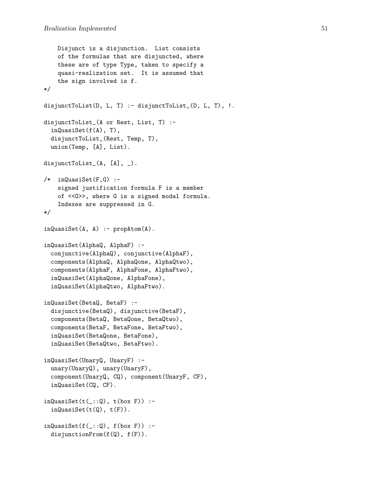```
Disjunct is a disjunction. List consists
    of the formulas that are disjuncted, where
    these are of type Type, taken to specify a
    quasi-realization set. It is assumed that
    the sign involved is f.
*/
disjunctToList(D, L, T) :- disjunctToList_(D, L, T), !.
disjunctToList_(A or Rest, List, T) :-
  inQuasiSet(f(A), T),
  disjunctToList_(Rest, Temp, T),
  union(Temp, [A], List).
disjunctToList_(A, [A], _).
/* inQuasiSet(F,G) :-
    signed justification formula F is a member
    of <<G>>, where G is a signed modal formula.
    Indexes are suppressed in G.
*/
inQuasiset(A, A) :- prophtom(A).inQuasiSet(AlphaQ, AlphaF) :-
  conjunctive(AlphaQ), conjunctive(AlphaF),
  components(AlphaQ, AlphaQone, AlphaQtwo),
  components(AlphaF, AlphaFone, AlphaFtwo),
  inQuasiSet(AlphaQone, AlphaFone),
  inQuasiSet(AlphaQtwo, AlphaFtwo).
inQuasiSet(BetaQ, BetaF) :-
  disjunctive(BetaQ), disjunctive(BetaF),
  components(BetaQ, BetaQone, BetaQtwo),
  components(BetaF, BetaFone, BetaFtwo),
  inQuasiSet(BetaQone, BetaFone),
  inQuasiSet(BetaQtwo, BetaFtwo).
inQuasiSet(UnaryQ, UnaryF) :-
  unary(UnaryQ), unary(UnaryF),
  component(UnaryQ, CQ), component(UnaryF, CF),
  inQuasiSet(CQ, CF).
inQuasisSet(t(.::Q), t(box F)):-
  inQuasislet(t(Q), t(F)).inQuasisSet(f(\_:\mathbb{Q}), f(box F)) :-
  disjunctionFrom(f(Q), f(F)).
```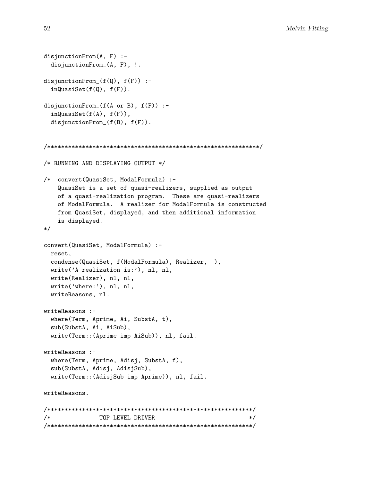```
disjunctionFrom(A, F) :-
 disjunctionFrom_(A, F), !.
disjunctionFrom_(f(Q), f(F)) :-
  inQuasislet(f(Q), f(F)).disjunctionFrom_(f(A or B), f(F)) :-
  inQuasiSet(f(A), f(F)),
 disjunctionFrom_(f(B), f(F)).
/*************************************************************/
/* RUNNING AND DISPLAYING OUTPUT */
/* convert(QuasiSet, ModalFormula) :-
   QuasiSet is a set of quasi-realizers, supplied as output
   of a quasi-realization program. These are quasi-realizers
   of ModalFormula. A realizer for ModalFormula is constructed
   from QuasiSet, displayed, and then additional information
   is displayed.
*/
convert(QuasiSet, ModalFormula) :-
 reset,
 condense(QuasiSet, f(ModalFormula), Realizer, _),
 write('A realization is:'), nl, nl,
 write(Realizer), nl, nl,
 write('where:'), nl, nl,
 writeReasons, nl.
writeReasons :-
 where(Term, Aprime, Ai, SubstA, t),
  sub(SubstA, Ai, AiSub),
 write(Term::(Aprime imp AiSub)), nl, fail.
writeReasons :-
 where(Term, Aprime, Adisj, SubstA, f),
  sub(SubstA, Adisj, AdisjSub),
 write(Term::(AdisjSub imp Aprime)), nl, fail.
writeReasons.
/***********************************************************/
/* TOP LEVEL DRIVER */
/***********************************************************/
```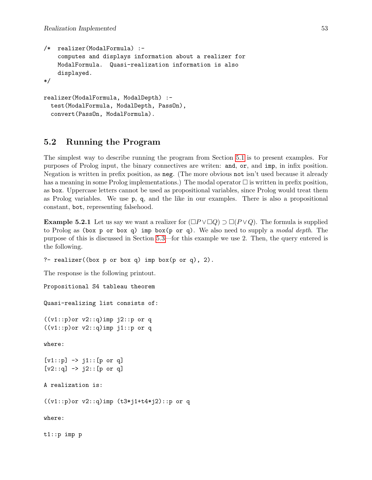```
/* realizer(ModalFormula) :-
    computes and displays information about a realizer for
   ModalFormula. Quasi-realization information is also
    displayed.
*/
realizer(ModalFormula, ModalDepth) :-
  test(ModalFormula, ModalDepth, PassOn),
  convert(PassOn, ModalFormula).
```
## <span id="page-54-0"></span>5.2 Running the Program

The simplest way to describe running the program from Section [5.1](#page-35-1) is to present examples. For purposes of Prolog input, the binary connectives are writen: and, or, and imp, in infix position. Negation is written in prefix position, as neg. (The more obvious not isn't used because it already has a meaning in some Prolog implementations.) The modal operator  $\Box$  is written in prefix position, as box. Uppercase letters cannot be used as propositional variables, since Prolog would treat them as Prolog variables. We use p, q, and the like in our examples. There is also a propositional constant, bot, representing falsehood.

<span id="page-54-1"></span>**Example 5.2.1** Let us say we want a realizer for  $(\Box P \lor \Box Q) \supset \Box (P \lor Q)$ . The formula is supplied to Prolog as (box p or box q) imp box(p or q). We also need to supply a *modal depth*. The purpose of this is discussed in Section [5.3—](#page-57-0)for this example we use 2. Then, the query entered is the following.

?- realizer((box  $p$  or box  $q$ ) imp box( $p$  or  $q$ ), 2).

The response is the following printout.

```
Propositional S4 tableau theorem
Quasi-realizing list consists of:
((v1::p)or v2::q)imp j2::p or q
((v1::p)or v2::q)imp j1::p or q
where:
[v1::p] \rightarrow i1::[p \text{ or } q][v2::q] \rightarrow j2::[p \text{ or } q]A realization is:
((v1::p) or v2::q) imp (t3*j1+t4+j2):p or q
where:
t1::p imp p
```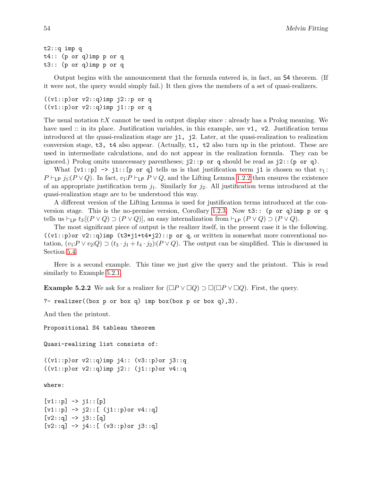```
t2::q imp q
t4:: (p or q)imp p or q
t3:: (p or q)imp p or q
```
Output begins with the announcement that the formula entered is, in fact, an S4 theorem. (If it were not, the query would simply fail.) It then gives the members of a set of quasi-realizers.

```
((v1::p)or v2::q)imp j2::p or q
((v1::p)or v2::q)imp j1::p or q
```
The usual notation  $t:X$  cannot be used in output display since : already has a Prolog meaning. We have used :: in its place. Justification variables, in this example, are v1, v2. Justification terms introduced at the quasi-realization stage are j1, j2. Later, at the quasi-realization to realization conversion stage,  $t3$ ,  $t4$  also appear. (Actually,  $t1$ ,  $t2$  also turn up in the printout. These are used in intermediate calculations, and do not appear in the realization formula. They can be ignored.) Prolog omits unnecessary parentheses;  $j2$ ::p or q should be read as  $j2$ :: $(p \text{ or } q)$ .

What  $[v1::p] \rightarrow j1::[p \text{ or } q]$  tells us is that justification term j1 is chosen so that  $v_1$ :  $P \vdash_{\textsf{LP}} j_1: (P \lor Q)$ . In fact,  $v_1: P \vdash_{\textsf{LP}} P \lor Q$ , and the Lifting Lemma [1.2.2](#page-9-0) then ensures the existence of an appropriate justification term  $j_1$ . Similarly for  $j_2$ . All justification terms introduced at the quasi-realization stage are to be understood this way.

A different version of the Lifting Lemma is used for justification terms introduced at the conversion stage. This is the no-premise version, Corollary [1.2.3.](#page-9-1) Now t3:: (p or q)imp p or q tells us  $\vdash_{\mathsf{LP}} t_3: [(P \lor Q) \supset (P \lor Q)],$  an easy internalization from  $\vdash_{\mathsf{LP}} (P \lor Q) \supset (P \lor Q).$ 

The most significant piece of output is the realizer itself, in the present case it is the following.  $((vi::p)$ or v2::q)imp  $(t3*pi1+t4*pi2):p$  or q, or written in somewhat more conventional notation,  $(v_1: P \vee v_2:Q) \supset (t_3 \cdot j_1 + t_4 \cdot j_2): (P \vee Q)$ . The output can be simplified. This is discussed in Section [5.4.](#page-58-0)

Here is a second example. This time we just give the query and the printout. This is read similarly to Example [5.2.1.](#page-54-1)

<span id="page-55-0"></span>**Example 5.2.2** We ask for a realizer for  $(\Box P \lor \Box Q) \supset \Box(\Box P \lor \Box Q)$ . First, the query.

?- realizer((box  $p$  or box q) imp box(box  $p$  or box q),3).

And then the printout.

Propositional S4 tableau theorem

Quasi-realizing list consists of:

((v1::p)or v2::q)imp j4:: (v3::p)or j3::q  $((v1: p)$ or  $v2: q)$ imp  $j2:$ :  $(j1: p)$ or  $v4: q$ 

where:

```
[v1::p] \rightarrow j1::[p][v1::p] -> j2::[ (j1::p) or v4::q][v2:q] \rightarrow j3::[q][v2:,q] \rightarrow j4::[ (v3::p) or j3::q]
```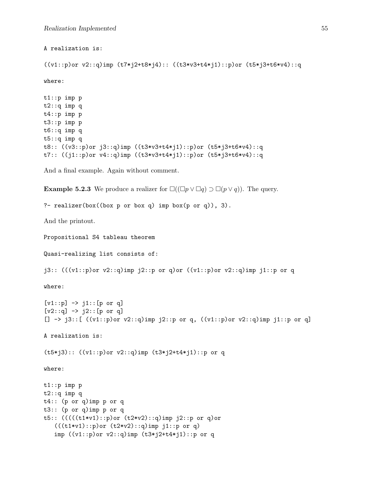```
A realization is:
((v1::p)or v2::q)imp (t7*j2+t8*j4):: ((t3*v3+t4*j1)::p)or (t5*j3+t6*v4)::q
where:
t1::p imp p
t2::q imp q
t4::p imp p
t3::p imp p
t6::q imp q
t5::q imp q
t8:: ((v3::p)or j3::q)imp ((t3*v3+t4*j1)::p)or (t5*j3+t6*v4)::q
t7:: ((j1::p)or v4::q)imp ((t3*v3+t4*j1)::p)or (t5*j3+t6*v4)::q
And a final example. Again without comment.
Example 5.2.3 We produce a realizer for \Box((\Box p \lor \Box q) \supset \Box (p \lor q)). The query.
?- realizer(box((box p or box q) imp box(p or q)), 3).
And the printout.
Propositional S4 tableau theorem
Quasi-realizing list consists of:
j3:: (((v1::p)or v2::q)imp j2::p or q)or ((v1::p)or v2::q)imp j1::p or q
where:
[v1::p] \rightarrow j1::[p \text{ or } q][v2::q] \rightarrow j2::[p \text{ or } q][] \rightarrow j3::[ ((v1::p)or v2::q)imp j2::p or q, ((v1::p)or v2::q)imp j1::p or q]
A realization is:
(t5*j3):: ((v1::p)or v2::q)imp (t3*j2+t4*j1)::p or q
where:
t1::p imp p
t2::q imp q
t4:: (p or q)imp p or q
t3:: (p or q)imp p or q
t5:: (((((t1*v1)::p)or (t2*v2)::q)imp j2::p or q)or
   (((t1*v1)::p)or (t2*v2)::q)imp j1::p or q)imp ((v1::p)or v2::q)imp (t3*pi2+t4*pi)::p or q
```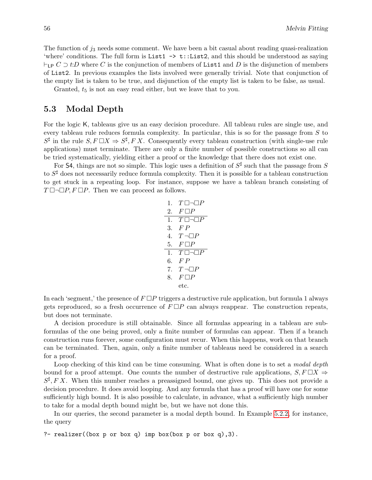The function of  $j_3$  needs some comment. We have been a bit casual about reading quasi-realization 'where' conditions. The full form is List1  $\rightarrow$  t::List2, and this should be understood as saying  $\vdash_{LP} C \supset t:D$  where C is the conjunction of members of List1 and D is the disjunction of members of List2. In previous examples the lists involved were generally trivial. Note that conjunction of the empty list is taken to be true, and disjunction of the empty list is taken to be false, as usual.

Granted,  $t_5$  is not an easy read either, but we leave that to you.

### <span id="page-57-0"></span>5.3 Modal Depth

For the logic K, tableaus give us an easy decision procedure. All tableau rules are single use, and every tableau rule reduces formula complexity. In particular, this is so for the passage from S to  $S^{\sharp}$  in the rule  $S, F \square X \Rightarrow S^{\sharp}, F X$ . Consequently every tableau construction (with single-use rule applications) must terminate. There are only a finite number of possible constructions so all can be tried systematically, yielding either a proof or the knowledge that there does not exist one.

For 54, things are not so simple. This logic uses a definition of  $S^{\sharp}$  such that the passage from S to  $S^{\sharp}$  does not necessarily reduce formula complexity. Then it is possible for a tableau construction to get stuck in a repeating loop. For instance, suppose we have a tableau branch consisting of  $T \Box \neg \Box P$ ,  $F \Box P$ . Then we can proceed as follows.

1. 
$$
T \Box \Box P
$$
  
\n2.  $F \Box P$   
\n3.  $FP$   
\n4.  $T \Box \Box P$   
\n5.  $F \Box P$   
\n1.  $T \Box \Box \Box P$   
\n6.  $FP$   
\n7.  $T \neg \Box P$   
\n8.  $F \Box P$   
\netc.

In each 'segment,' the presence of  $F \Box P$  triggers a destructive rule application, but formula 1 always gets reproduced, so a fresh occurrence of  $F \Box P$  can always reappear. The construction repeats, but does not terminate.

A decision procedure is still obtainable. Since all formulas appearing in a tableau are subformulas of the one being proved, only a finite number of formulas can appear. Then if a branch construction runs forever, some configuration must recur. When this happens, work on that branch can be terminated. Then, again, only a finite number of tableaus need be considered in a search for a proof.

Loop checking of this kind can be time consuming. What is often done is to set a *modal depth* bound for a proof attempt. One counts the number of destructive rule applications,  $S, F \square X \Rightarrow$  $S^{\sharp}, FX.$  When this number reaches a preassigned bound, one gives up. This does not provide a decision procedure. It does avoid looping. And any formula that has a proof will have one for some sufficiently high bound. It is also possible to calculate, in advance, what a sufficiently high number to take for a modal depth bound might be, but we have not done this.

In our queries, the second parameter is a modal depth bound. In Example [5.2.2,](#page-55-0) for instance, the query

?- realizer((box  $p$  or box  $q$ ) imp box(box  $p$  or box  $q$ ),3).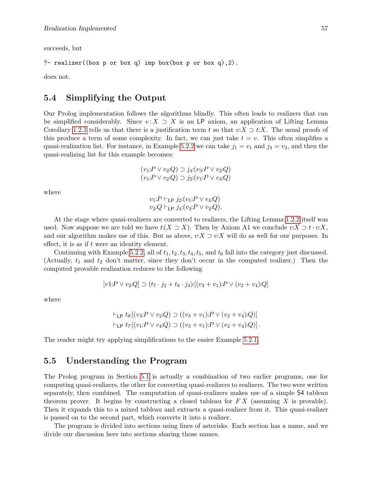succeeds, but

```
?- realizer((box p or box q) imp box(box p or box q),2).
```
does not.

## <span id="page-58-0"></span>5.4 Simplifying the Output

Our Prolog implementation follows the algorithms blindly. This often leads to realizers that can be simplified considerably. Since  $v: X \supset X$  is an LP axiom, an application of Lifting Lemma Corollary [1.2.3](#page-9-1) tells us that there is a justification term t so that  $v:X \supset t:X$ . The usual proofs of this produce a term of some complexity. In fact, we can just take  $t = v$ . This often simplifies a quasi-realization list. For instance, in Example [5.2.2](#page-55-0) we can take  $j_1 = v_1$  and  $j_3 = v_2$ , and then the quasi-realizing list for this example becomes:

$$
(v_1: P \lor v_2:Q) \supset j_4: (v_3: P \lor v_2:Q)
$$
  

$$
(v_1: P \lor v_2:Q) \supset j_2: (v_1: P \lor v_4:Q)
$$

where

$$
v_1: P \vdash_{\mathsf{LP}} j_2: (v_1: P \lor v_4:Q)
$$
  

$$
v_2: Q \vdash_{\mathsf{LP}} j_4: (v_3: P \lor v_2:Q).
$$

At the stage where quasi-realizers are converted to realizers, the Lifting Lemma [1.2.2](#page-9-0) itself was used. Now suppose we are told we have  $t: (X \supset X)$ . Then by Axiom A1 we conclude  $v: X \supset t \cdot v: X$ . and our algorithm makes use of this. But as above,  $v:X \supset v:X$  will do as well for our purposes. In effect, it is as if t were an identity element.

Continuing with Example [5.2.2,](#page-55-0) all of  $t_1, t_2, t_3, t_4, t_5$ , and  $t_6$  fall into the category just discussed. (Actually,  $t_1$  and  $t_2$  don't matter, since they don't occur in the computed realizer.) Then the computed provable realization reduces to the following

$$
[v1:P \lor v_2:Q] \supset (t_7 \cdot j_2 + t_8 \cdot j_4) \cdot [(v_3 + v_1):P \lor (v_2 + v_4):Q]
$$

where

$$
\vdash_{\mathsf{LP}} t_8: [(v_3 \mathpunct{:} P \lor v_2 \mathpunct{:} Q) \supset ((v_3 + v_1) \mathpunct{:} P \lor (v_2 + v_4) \mathpunct{:} Q)]
$$
  

$$
\vdash_{\mathsf{LP}} t_7: [(v_1 \mathpunct{:} P \lor v_4 \mathpunct{:} Q) \supset ((v_3 + v_1) \mathpunct{:} P \lor (v_2 + v_4) \mathpunct{:} Q)].
$$

The reader might try applying simplifications to the easier Example [5.2.1.](#page-54-1)

## <span id="page-58-1"></span>5.5 Understanding the Program

The Prolog program in Section [5.1](#page-35-1) is actually a combination of two earlier programs, one for computing quasi-realizers, the other for converting quasi-realizers to realizers. The two were written separately, then combined. The computation of quasi-realizers makes use of a simple S4 tableau theorem prover. It begins by constructing a closed tableau for  $FX$  (assuming X is provable). Then it expands this to a mixed tableau and extracts a quasi-realizer from it. This quasi-realizer is passed on to the second part, which converts it into a realizer.

The program is divided into sections using lines of asterisks. Each section has a name, and we divide our discussion here into sections sharing those names.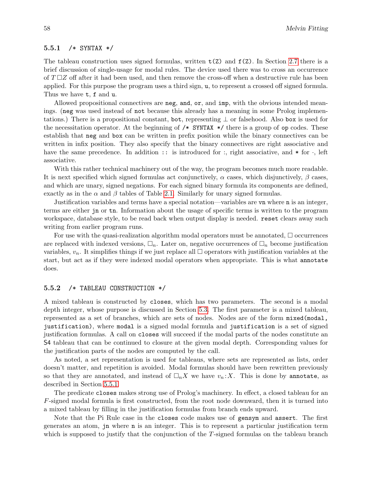### <span id="page-59-0"></span>5.5.1 /\* SYNTAX \*/

The tableau construction uses signed formulas, written  $t(2)$  and  $f(2)$ . In Section [2.7](#page-16-0) there is a brief discussion of single-usage for modal rules. The device used there was to cross an occurrence of  $T \square Z$  off after it had been used, and then remove the cross-off when a destructive rule has been applied. For this purpose the program uses a third sign, u, to represent a crossed off signed formula. Thus we have t, f and u.

Allowed propositional connectives are neg, and, or, and imp, with the obvious intended meanings. (neg was used instead of not because this already has a meaning in some Prolog implementations.) There is a propositional constant, bot, representing  $\perp$  or falsehood. Also box is used for the necessitation operator. At the beginning of  $/*$  SYNTAX  $*/$  there is a group of op codes. These establish that neg and box can be written in prefix position while the binary connectives can be written in infix position. They also specify that the binary connectives are right associative and have the same precedence. In addition  $\cdots$  is introduced for  $\cdots$ , right associative, and  $*$  for  $\cdots$ , left associative.

With this rather technical machinery out of the way, the program becomes much more readable. It is next specified which signed formulas act conjunctively,  $\alpha$  cases, which disjunctively,  $\beta$  cases, and which are unary, signed negations. For each signed binary formula its components are defined, exactly as in the  $\alpha$  and  $\beta$  tables of Table [2.1.](#page-12-1) Similarly for unary signed formulas.

Justification variables and terms have a special notation—variables are vn where n is an integer, terms are either jn or tn. Information about the usage of specific terms is written to the program workspace, database style, to be read back when output display is needed. reset clears away such writing from earlier program runs.

For use with the quasi-realization algorithm modal operators must be annotated,  $\Box$  occurrences are replaced with indexed versions,  $\Box_n$ . Later on, negative occurrences of  $\Box_n$  become justification variables,  $v_n$ . It simplifies things if we just replace all  $\Box$  operators with justification variables at the start, but act as if they were indexed modal operators when appropriate. This is what annotate does.

### <span id="page-59-1"></span>5.5.2 /\* TABLEAU CONSTRUCTION \*/

A mixed tableau is constructed by closes, which has two parameters. The second is a modal depth integer, whose purpose is discussed in Section [5.3.](#page-57-0) The first parameter is a mixed tableau, represented as a set of branches, which are sets of nodes. Nodes are of the form mixed(modal, justification), where modal is a signed modal formula and justification is a set of signed justification formulas. A call on closes will succeed if the modal parts of the nodes constitute an S4 tableau that can be continued to closure at the given modal depth. Corresponding values for the justification parts of the nodes are computed by the call.

As noted, a set representation is used for tableaus, where sets are represented as lists, order doesn't matter, and repetition is avoided. Modal formulas should have been rewritten previously so that they are annotated, and instead of  $\Box_n X$  we have  $v_n : X$ . This is done by annotate, as described in Section [5.5.1.](#page-59-0)

The predicate closes makes strong use of Prolog's machinery. In effect, a closed tableau for an F-signed modal formula is first constructed, from the root node downward, then it is turned into a mixed tableau by filling in the justification formulas from branch ends upward.

Note that the Pi Rule case in the closes code makes use of gensym and assert. The first generates an atom, jn where n is an integer. This is to represent a particular justification term which is supposed to justify that the conjunction of the T-signed formulas on the tableau branch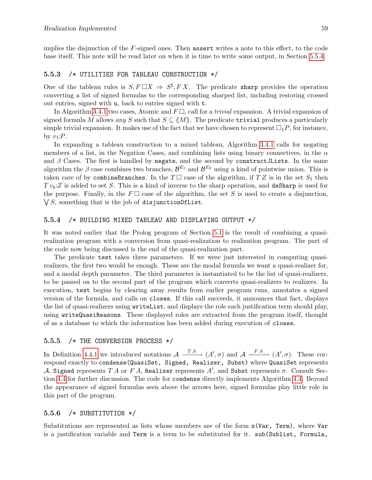implies the disjunction of the F-signed ones. Then assert writes a note to this effect, to the code base itself. This note will be read later on when it is time to write some output, in Section [5.5.4.](#page-60-1)

#### <span id="page-60-0"></span>5.5.3 /\* UTILITIES FOR TABLEAU CONSTRUCTION \*/

One of the tableau rules is  $S, F \square X \Rightarrow S^{\sharp}, FX$ . The predicate sharp provides the operation converting a list of signed formulas to the corresponding sharped list, including restoring crossed out entries, signed with u, back to entries signed with t.

In Algorithm [3.4.1](#page-22-0) two cases, Atomic and  $F\Box$ , call for a *trivial* expansion. A trivial expansion of signed formula M allows any S such that  $S \subseteq \langle M \rangle$ . The predicate **trivial** produces a particularly simple trivial expansion. It makes use of the fact that we have chosen to represent  $\Box_1 P$ , for instance, by  $v_1$ : P.

In expanding a tableau construction to a mixed tableau, Algorithm [3.4.1](#page-22-0) calls for negating members of a list, in the Negation Cases, and combining lists using binary connectives, in the  $\alpha$ and  $\beta$  Cases. The first is handled by negate, and the second by constructJLists. In the same algorithm the  $\beta$  case combines two branches,  $\mathcal{B}^{E_1}$  and  $\mathcal{B}^{E_2}$  using a kind of pointwise union. This is taken care of by combineBranches. In the  $T\Box$  case of the algorithm, if  $TZ$  is in the set  $S_1$  then  $Tv_k:Z$  is added to set S. This is a kind of inverse to the sharp operation, and deSharp is used for the purpose. Finally, in the  $F \square$  case of the algorithm, the set S is used to create a disjunction,  $\bigvee S$ , something that is the job of disjunction Of List.

#### <span id="page-60-1"></span>5.5.4 /\* BUILDING MIXED TABLEAU AND DISPLAYING OUTPUT \*/

It was noted earlier that the Prolog program of Section [5.1](#page-35-1) is the result of combining a quasirealization program with a conversion from quasi-realization to realization program. The part of the code now being discussed is the end of the quasi-realization part.

The predicate test takes three parameters. If we were just interested in computing quasirealizers, the first two would be enough. These are the modal formula we want a quasi-realizer for, and a modal depth parameter. The third parameter is instantiated to be the list of quasi-realizers, to be passed on to the second part of the program which converts quasi-realizers to realizers. In execution, test begins by clearing away results from earlier program runs, annotates a signed version of the formula, and calls on closes. If this call succeeds, it announces that fact, displays the list of quasi-realizers using writeList, and displays the role each justification term should play, using writeQuasiReasons. These displayed roles are extracted from the program itself, thought of as a database to which the information has been added during execution of closes.

### <span id="page-60-2"></span>5.5.5 /\* THE CONVERSION PROCESS \*/

In Definition [4.4.1](#page-30-3) we introduced notations  $\mathcal{A} \xrightarrow{T A} (A', \sigma)$  and  $\mathcal{A} \xrightarrow{FA} (A', \sigma)$ . These correspond exactly to condense(QuasiSet, Signed, Realizer, Subst) where QuasiSet represents A, Signed represents  $TA$  or  $FA$ , Realizer represents  $A',$  and Subst represents  $\sigma$ . Consult Section [4.4](#page-30-0) for further discussion. The code for condense directly implements Algorithm [4.4.](#page-30-0) Beyond the appearance of signed formulas seen above the arrows here, signed formulas play little role in this part of the program.

#### <span id="page-60-3"></span>5.5.6 /\* SUBSTITUTION \*/

Substitutions are represented as lists whose members are of the form s(Var, Term), where Var is a justification variable and Term is a term to be substituted for it. sub(Sublist, Formula,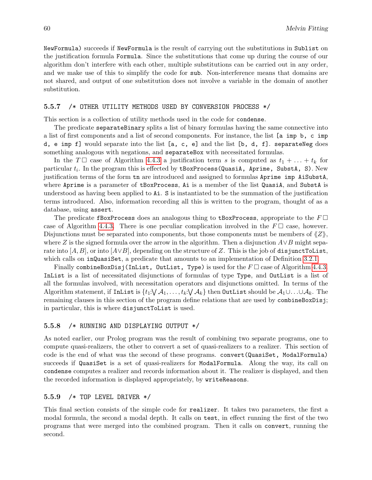NewFormula) succeeds if NewFormula is the result of carrying out the substitutions in Sublist on the justification formula Formula. Since the substitutions that come up during the course of our algorithm don't interfere with each other, multiple substitutions can be carried out in any order, and we make use of this to simplify the code for sub. Non-interference means that domains are not shared, and output of one substitution does not involve a variable in the domain of another substitution.

### <span id="page-61-0"></span>5.5.7 /\* OTHER UTILITY METHODS USED BY CONVERSION PROCESS \*/

This section is a collection of utility methods used in the code for condense.

The predicate separateBinary splits a list of binary formulas having the same connective into a list of first components and a list of second components. For instance, the list [a imp b, c imp d, e imp f] would separate into the list  $[a, c, e]$  and the list  $[b, d, f]$ . separateNeg does something analogous with negations, and separateBox with necessitated formulas.

In the  $T \Box$  case of Algorithm [4.4.3](#page-30-1) a justification term s is computed as  $t_1 + \ldots + t_k$  for particular  $t_i$ . In the program this is effected by  $\tt$ BoxProcess(QuasiA, Aprime, SubstA, S). New justification terms of the form tn are introduced and assigned to formulas Aprime imp AiSubstA, where Aprime is a parameter of tBoxProcess, Ai is a member of the list QuasiA, and SubstA is understood as having been applied to Ai. S is instantiated to be the summation of the justification terms introduced. Also, information recording all this is written to the program, thought of as a database, using assert.

The predicate fBoxProcess does an analogous thing to tBoxProcess, appropriate to the  $F\Box$ case of Algorithm [4.4.3.](#page-30-1) There is one peculiar complication involved in the  $F\Box$  case, however. Disjunctions must be separated into components, but those components must be members of  $\langle Z \rangle$ , where Z is the signed formula over the arrow in the algorithm. Then a disjunction  $A\vee B$  might separate into [A, B], or into [ $A\vee B$ ], depending on the structure of Z. This is the job of disjunctToList, which calls on inQuasiSet, a predicate that amounts to an implementation of Definition [3.2.1.](#page-19-3)

Finally combineBoxDisj(InList, OutList, Type) is used for the  $F \Box$  case of Algorithm [4.4.3.](#page-30-1) InList is a list of necessitated disjunctions of formulas of type Type, and OutList is a list of all the formulas involved, with necessitation operators and disjunctions omitted. In terms of the Algorithm statement, if  $\texttt{InList}$  is  $\{t_1:\bigvee \mathcal{A}_1,\ldots,t_k:\bigvee \mathcal{A}_k\}$  then  $\texttt{OutList}$  should be  $\mathcal{A}_1\cup\ldots\cup\mathcal{A}_k.$  The remaining clauses in this section of the program define relations that are used by combineBoxDisj; in particular, this is where disjunctToList is used.

### <span id="page-61-1"></span>5.5.8 /\* RUNNING AND DISPLAYING OUTPUT \*/

As noted earlier, our Prolog program was the result of combining two separate programs, one to compute quasi-realizers, the other to convert a set of quasi-realizers to a realizer. This section of code is the end of what was the second of these programs. convert (QuasiSet, ModalFormula) succeeds if QuasiSet is a set of quasi-realizers for ModalFormula. Along the way, its call on condense computes a realizer and records information about it. The realizer is displayed, and then the recorded information is displayed appropriately, by writeReasons.

### <span id="page-61-2"></span>5.5.9 /\* TOP LEVEL DRIVER \*/

This final section consists of the simple code for realizer. It takes two parameters, the first a modal formula, the second a modal depth. It calls on test, in effect running the first of the two programs that were merged into the combined program. Then it calls on convert, running the second.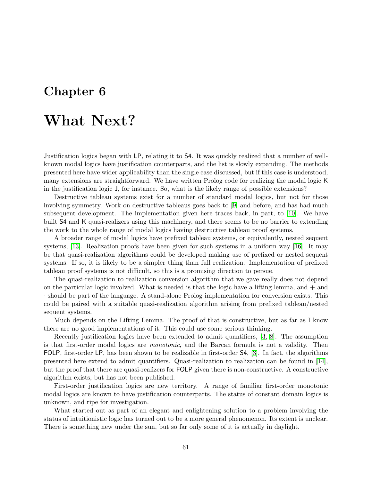# <span id="page-62-0"></span>Chapter 6

# What Next?

Justification logics began with LP, relating it to S4. It was quickly realized that a number of wellknown modal logics have justification counterparts, and the list is slowly expanding. The methods presented here have wider applicability than the single case discussed, but if this case is understood, many extensions are straightforward. We have written Prolog code for realizing the modal logic K in the justification logic J, for instance. So, what is the likely range of possible extensions?

Destructive tableau systems exist for a number of standard modal logics, but not for those involving symmetry. Work on destructive tableaus goes back to [\[9\]](#page-63-12) and before, and has had much subsequent development. The implementation given here traces back, in part, to [\[10\]](#page-63-13). We have built S4 and K quasi-realizers using this machinery, and there seems to be no barrier to extending the work to the whole range of modal logics having destructive tableau proof systems.

A broader range of modal logics have prefixed tableau systems, or equivalently, nested sequent systems, [\[13\]](#page-63-14). Realization proofs have been given for such systems in a uniform way [\[16\]](#page-64-0). It may be that quasi-realization algorithms could be developed making use of prefixed or nested sequent systems. If so, it is likely to be a simpler thing than full realization. Implementation of prefixed tableau proof systems is not difficult, so this is a promising direction to persue.

The quasi-realization to realization conversion algorithm that we gave really does not depend on the particular logic involved. What is needed is that the logic have a lifting lemma, and  $+$  and · should be part of the language. A stand-alone Prolog implementation for conversion exists. This could be paired with a suitable quasi-realization algorithm arising from prefixed tableau/nested sequent systems.

Much depends on the Lifting Lemma. The proof of that is constructive, but as far as I know there are no good implementations of it. This could use some serious thinking.

Recently justification logics have been extended to admit quantifiers, [\[3,](#page-63-5) [8\]](#page-63-6). The assumption is that first-order modal logics are monotonic, and the Barcan formula is not a validity. Then FOLP, first-order LP, has been shown to be realizable in first-order S4, [\[3\]](#page-63-5). In fact, the algorithms presented here extend to admit quantifiers. Quasi-realization to realization can be found in [\[14\]](#page-63-8), but the proof that there are quasi-realizers for FOLP given there is non-constructive. A constructive algorithm exists, but has not been published.

First-order justification logics are new territory. A range of familiar first-order monotonic modal logics are known to have justification counterparts. The status of constant domain logics is unknown, and ripe for investigation.

What started out as part of an elegant and enlightening solution to a problem involving the status of intuitionistic logic has turned out to be a more general phenomenon. Its extent is unclear. There is something new under the sun, but so far only some of it is actually in daylight.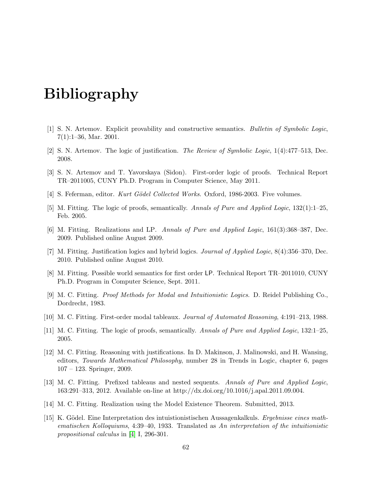# Bibliography

- <span id="page-63-1"></span><span id="page-63-0"></span>[1] S. N. Artemov. Explicit provability and constructive semantics. Bulletin of Symbolic Logic, 7(1):1–36, Mar. 2001.
- <span id="page-63-3"></span>[2] S. N. Artemov. The logic of justification. The Review of Symbolic Logic, 1(4):477–513, Dec. 2008.
- <span id="page-63-5"></span>[3] S. N. Artemov and T. Yavorskaya (Sidon). First-order logic of proofs. Technical Report TR–2011005, CUNY Ph.D. Program in Computer Science, May 2011.
- <span id="page-63-15"></span>[4] S. Feferman, editor. Kurt Gödel Collected Works. Oxford, 1986-2003. Five volumes.
- <span id="page-63-10"></span>[5] M. Fitting. The logic of proofs, semantically. Annals of Pure and Applied Logic, 132(1):1–25, Feb. 2005.
- <span id="page-63-9"></span>[6] M. Fitting. Realizations and LP. Annals of Pure and Applied Logic, 161(3):368–387, Dec. 2009. Published online August 2009.
- <span id="page-63-11"></span>[7] M. Fitting. Justification logics and hybrid logics. Journal of Applied Logic, 8(4):356–370, Dec. 2010. Published online August 2010.
- <span id="page-63-6"></span>[8] M. Fitting. Possible world semantics for first order LP. Technical Report TR–2011010, CUNY Ph.D. Program in Computer Science, Sept. 2011.
- <span id="page-63-12"></span>[9] M. C. Fitting. Proof Methods for Modal and Intuitionistic Logics. D. Reidel Publishing Co., Dordrecht, 1983.
- <span id="page-63-13"></span>[10] M. C. Fitting. First-order modal tableaux. Journal of Automated Reasoning, 4:191–213, 1988.
- <span id="page-63-7"></span>[11] M. C. Fitting. The logic of proofs, semantically. Annals of Pure and Applied Logic, 132:1–25, 2005.
- <span id="page-63-4"></span>[12] M. C. Fitting. Reasoning with justifications. In D. Makinson, J. Malinowski, and H. Wansing, editors, Towards Mathematical Philosophy, number 28 in Trends in Logic, chapter 6, pages 107 – 123. Springer, 2009.
- <span id="page-63-14"></span>[13] M. C. Fitting. Prefixed tableaus and nested sequents. Annals of Pure and Applied Logic, 163:291–313, 2012. Available on-line at http://dx.doi.org/10.1016/j.apal.2011.09.004.
- <span id="page-63-8"></span>[14] M. C. Fitting. Realization using the Model Existence Theorem. Submitted, 2013.
- <span id="page-63-2"></span>[15] K. Gödel. Eine Interpretation des intuistionistischen Aussagenkalkuls. Ergebnisse eines mathematischen Kolloquiums, 4:39–40, 1933. Translated as An interpretation of the intuitionistic propositional calculus in [\[4\]](#page-63-15) I, 296-301.